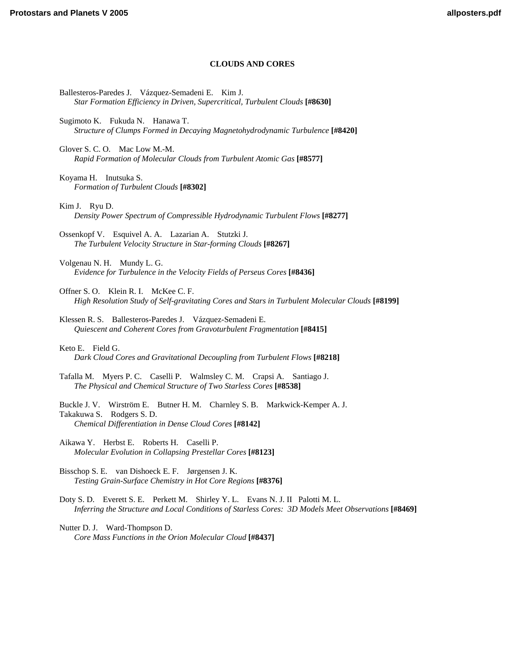# **CLOUDS AND CORES**

Ballesteros-Paredes J. Vázquez-Semadeni E. Kim J. *[Star Formation Efficiency in Driven, Supercritical, Turbulent Clouds](http://www.lpi.usra.edu/meetings/ppv2005/pdf/8630.pdf)* **[#8630]** Sugimoto K. Fukuda N. Hanawa T. *[Structure of Clumps Formed in Decaying Magnetohydrodynamic Turbulence](http://www.lpi.usra.edu/meetings/ppv2005/pdf/8420.pdf)* **[#8420]** Glover S. C. O. Mac Low M.-M. *[Rapid Formation of Molecular Clouds from Turbulent Atomic Gas](http://www.lpi.usra.edu/meetings/ppv2005/pdf/8577.pdf)* **[#8577]** Koyama H. Inutsuka S. *[Formation of Turbulent Clouds](http://www.lpi.usra.edu/meetings/ppv2005/pdf/8302.pdf)* **[#8302]** Kim J. Ryu D. *[Density Power Spectrum of Compressible Hydrodynamic Turbulent Flows](http://www.lpi.usra.edu/meetings/ppv2005/pdf/8277.pdf)* **[#8277]** [Ossenkopf V. Esquivel A. A. Lazarian A. Stutzki J.](http://www.lpi.usra.edu/meetings/ppv2005/pdf/8267.pdf)  *The Turbulent Velocity Structure in Star-forming Clouds* **[#8267]** Volgenau N. H. Mundy L. G. *[Evidence for Turbulence in the Velocity Fields of Perseus Cores](http://www.lpi.usra.edu/meetings/ppv2005/pdf/8436.pdf)* **[#8436]** Offner S. O. Klein R. I. McKee C. F. *[High Resolution Study of Self-gravitating Cores and Stars in Turbulent Molecular Clouds](http://www.lpi.usra.edu/meetings/ppv2005/pdf/8199.pdf)* **[#8199]** Klessen R. S. Ballesteros-Paredes J. Vázquez-Semadeni E. *[Quiescent and Coherent Cores from Gravoturbulent Fragmentation](http://www.lpi.usra.edu/meetings/ppv2005/pdf/8415.pdf)* **[#8415]** Keto E. Field G. *[Dark Cloud Cores and Gravitational Decoupling from Turbulent Flows](http://www.lpi.usra.edu/meetings/ppv2005/pdf/8218.pdf)* **[#8218]** [Tafalla M. Myers P. C. Caselli P. Walmsley C. M. Crapsi A. Santiago J.](http://www.lpi.usra.edu/meetings/ppv2005/pdf/8538.pdf)  *The Physical and Chemical Structure of Two Starless Cores* **[#8538]** [Buckle J. V. Wirström E. Butner H. M. Charnley S. B. Markwick-Kemper A. J.](http://www.lpi.usra.edu/meetings/ppv2005/pdf/8142.pdf)  Takakuwa S. Rodgers S. D. *Chemical Differentiation in Dense Cloud Cores* **[#8142]** Aikawa Y. Herbst E. Roberts H. Caselli P. *[Molecular Evolution in Collapsing Prestellar Cores](http://www.lpi.usra.edu/meetings/ppv2005/pdf/8123.pdf)* **[#8123]** Bisschop S. E. van Dishoeck E. F. Jørgensen J. K. *[Testing Grain-Surface Chemistry in Hot Core Regions](http://www.lpi.usra.edu/meetings/ppv2005/pdf/8376.pdf)* **[#8376]** Doty S. D. Everett S. E. Perkett M. Shirley Y. L. Evans N. J. II Palotti M. L. *[Inferring the Structure and Local Conditions of Starless Cores: 3D Models Meet Observations](http://www.lpi.usra.edu/meetings/ppv2005/pdf/8469.pdf)* **[#8469]** Nutter D. J. Ward-Thompson D. *[Core Mass Functions in the Orion Molecular Cloud](http://www.lpi.usra.edu/meetings/ppv2005/pdf/8437.pdf)* **[#8437]**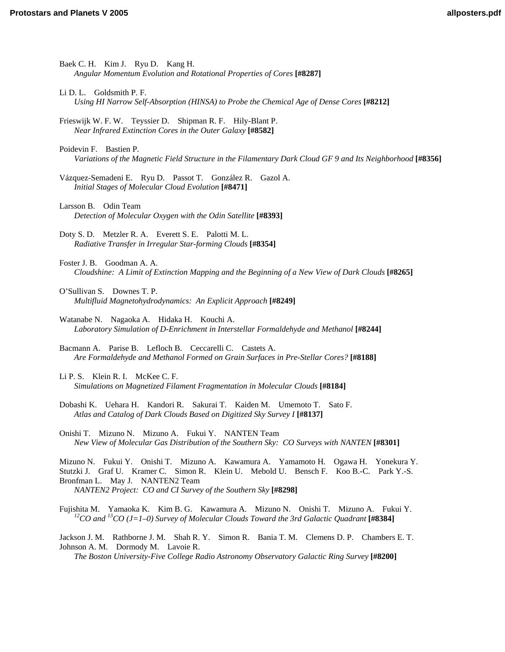- Baek C. H. Kim J. Ryu D. Kang H. *[Angular Momentum Evolution and Rotational Properties of Cores](http://www.lpi.usra.edu/meetings/ppv2005/pdf/8287.pdf)* **[#8287]**
- Li D. L. Goldsmith P. F. *[Using HI Narrow Self-Absorption \(HINSA\) to Probe the Chemical Age of Dense Cores](http://www.lpi.usra.edu/meetings/ppv2005/pdf/8212.pdf)* **[#8212]**
- [Frieswijk W. F. W. Teyssier D. Shipman R. F. Hily-Blant P.](http://www.lpi.usra.edu/meetings/ppv2005/pdf/8582.pdf)  *Near Infrared Extinction Cores in the Outer Galaxy* **[#8582]**
- Poidevin F. Bastien P. *[Variations of the Magnetic Field Structure in the Filamentary Dark Cloud GF 9 and Its Neighborhood](http://www.lpi.usra.edu/meetings/ppv2005/pdf/8356.pdf)* **[#8356]**
- [Vázquez-Semadeni E. Ryu D. Passot T. González R. Gazol A.](http://www.lpi.usra.edu/meetings/ppv2005/pdf/8471.pdf)  *Initial Stages of Molecular Cloud Evolution* **[#8471]**
- Larsson B. Odin Team *[Detection of Molecular Oxygen with the Odin Satellite](http://www.lpi.usra.edu/meetings/ppv2005/pdf/8393.pdf)* **[#8393]**
- [Doty S. D. Metzler R. A. Everett S. E. Palotti M. L.](http://www.lpi.usra.edu/meetings/ppv2005/pdf/8354.pdf)  *Radiative Transfer in Irregular Star-forming Clouds* **[#8354]**
- Foster J. B. Goodman A. A. *[Cloudshine: A Limit of Extinction Mapping and the Beginning of a New View of Dark Clouds](http://www.lpi.usra.edu/meetings/ppv2005/pdf/8265.pdf)* **[#8265]**
- O'Sullivan S. Downes T. P. *[Multifluid Magnetohydrodynamics: An Explicit Approach](http://www.lpi.usra.edu/meetings/ppv2005/pdf/8249.pdf)* **[#8249]**
- Watanabe N. Nagaoka A. Hidaka H. Kouchi A. *[Laboratory Simulation of D-Enrichment in Interstellar Formaldehyde and Methanol](http://www.lpi.usra.edu/meetings/ppv2005/pdf/8244.pdf)* **[#8244]**
- Bacmann A. Parise B. Lefloch B. Ceccarelli C. Castets A. *[Are Formaldehyde and Methanol Formed on Grain Surfaces in Pre-Stellar Cores?](http://www.lpi.usra.edu/meetings/ppv2005/pdf/8188.pdf)* **[#8188]**
- Li P. S. Klein R. I. McKee C. F. *[Simulations on Magnetized Filament Fragmentation in Molecular Clouds](http://www.lpi.usra.edu/meetings/ppv2005/pdf/8184.pdf)* **[#8184]**
- [Dobashi K. Uehara H. Kandori R. Sakurai T. Kaiden M. Umemoto T. Sato F.](http://www.lpi.usra.edu/meetings/ppv2005/pdf/8137.pdf)  *Atlas and Catalog of Dark Clouds Based on Digitized Sky Survey I* **[#8137]**
- Onishi T. Mizuno N. Mizuno A. Fukui Y. NANTEN Team *[New View of Molecular Gas Distribution of the Southern Sky: CO Surveys with NANTEN](http://www.lpi.usra.edu/meetings/ppv2005/pdf/8301.pdf)* **[#8301]**

[Mizuno N. Fukui Y. Onishi T. Mizuno A. Kawamura A. Yamamoto H. Ogawa H. Yonekura Y.](http://www.lpi.usra.edu/meetings/ppv2005/pdf/8298.pdf)  Stutzki J. Graf U. Kramer C. Simon R. Klein U. Mebold U. Bensch F. Koo B.-C. Park Y.-S. Bronfman L. May J. NANTEN2 Team *NANTEN2 Project: CO and CI Survey of the Southern Sky* **[#8298]**

[Fujishita M. Yamaoka K. Kim B. G. Kawamura A. Mizuno N. Onishi T. Mizuno A. Fukui Y.](http://www.lpi.usra.edu/meetings/ppv2005/pdf/8384.pdf) *12CO and 13CO (J=1–0) Survey of Molecular Clouds Toward the 3rd Galactic Quadrant* **[#8384]**

[Jackson J. M. Rathborne J. M. Shah R. Y. Simon R. Bania T. M. Clemens D. P. Chambers E. T.](http://www.lpi.usra.edu/meetings/ppv2005/pdf/8200.pdf)  Johnson A. M. Dormody M. Lavoie R.

*The Boston University-Five College Radio Astronomy Observatory Galactic Ring Survey* **[#8200]**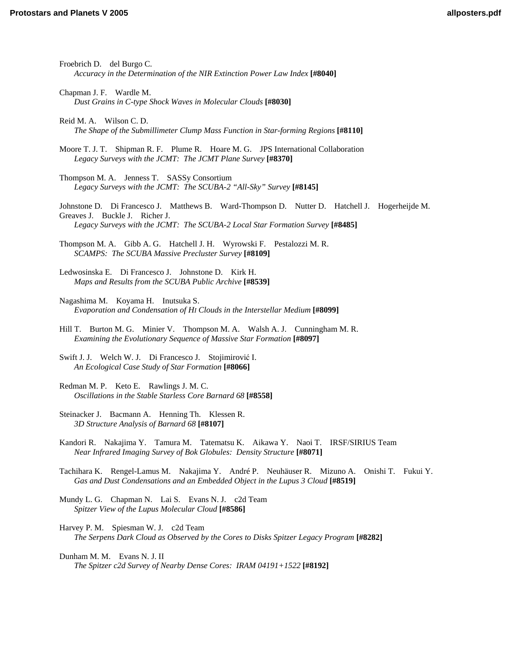Froebrich D. del Burgo C. *[Accuracy in the Determination of the NIR Extinction Power Law Index](http://www.lpi.usra.edu/meetings/ppv2005/pdf/8040.pdf)* **[#8040]** Chapman J. F. Wardle M. *[Dust Grains in C-type Shock Waves in Molecular Clouds](http://www.lpi.usra.edu/meetings/ppv2005/pdf/8030.pdf)* **[#8030]** Reid M. A. Wilson C. D. *[The Shape of the Submillimeter Clump Mass Function in Star-forming Regions](http://www.lpi.usra.edu/meetings/ppv2005/pdf/8110.pdf)* **[#8110]** [Moore T. J. T. Shipman R. F. Plume R. Hoare M. G. JPS International Collaboration](http://www.lpi.usra.edu/meetings/ppv2005/pdf/8370.pdf)  *Legacy Surveys with the JCMT: The JCMT Plane Survey* **[#8370]** Thompson M. A. Jenness T. SASSy Consortium *[Legacy Surveys with the JCMT: The SCUBA-2 "All-Sky" Survey](http://www.lpi.usra.edu/meetings/ppv2005/pdf/8145.pdf)* **[#8145]** [Johnstone D. Di Francesco J. Matthews B. Ward-Thompson D. Nutter D. Hatchell J. Hogerheijde M.](http://www.lpi.usra.edu/meetings/ppv2005/pdf/8485.pdf)  Greaves J. Buckle J. Richer J. *Legacy Surveys with the JCMT: The SCUBA-2 Local Star Formation Survey* **[#8485]** [Thompson M. A. Gibb A. G. Hatchell J. H. Wyrowski F. Pestalozzi M. R.](http://www.lpi.usra.edu/meetings/ppv2005/pdf/8109.pdf)  *SCAMPS: The SCUBA Massive Precluster Survey* **[#8109]** [Ledwosinska E. Di Francesco J. Johnstone D. Kirk H.](http://www.lpi.usra.edu/meetings/ppv2005/pdf/8539.pdf)  *Maps and Results from the SCUBA Public Archive* **[#8539]** Nagashima M. Koyama H. Inutsuka S. *[Evaporation and Condensation of HI Clouds in the Interstellar Medium](http://www.lpi.usra.edu/meetings/ppv2005/pdf/8099.pdf)* **[#8099]** [Hill T. Burton M. G. Minier V. Thompson M. A. Walsh A. J. Cunningham M. R.](http://www.lpi.usra.edu/meetings/ppv2005/pdf/8097.pdf)  *Examining the Evolutionary Sequence of Massive Star Formation* **[#8097]** [Swift J. J. Welch W. J. Di Francesco J. Stojimirovi](http://www.lpi.usra.edu/meetings/ppv2005/pdf/8066.pdf)ć I. *An Ecological Case Study of Star Formation* **[#8066]** Redman M. P. Keto E. Rawlings J. M. C. *[Oscillations in the Stable Starless Core Barnard 68](http://www.lpi.usra.edu/meetings/ppv2005/pdf/8558.pdf)* **[#8558]** [Steinacker J. Bacmann A. Henning Th. Klessen R.](http://www.lpi.usra.edu/meetings/ppv2005/pdf/8107.pdf)  *3D Structure Analysis of Barnard 68* **[#8107]** [Kandori R. Nakajima Y. Tamura M. Tatematsu K. Aikawa Y. Naoi T. IRSF/SIRIUS Team](http://www.lpi.usra.edu/meetings/ppv2005/pdf/8071.pdf)  *Near Infrared Imaging Survey of Bok Globules: Density Structure* **[#8071]** [Tachihara K. Rengel-Lamus M. Nakajima Y. André P. Neuhäuser R. Mizuno A. Onishi T. Fukui Y.](http://www.lpi.usra.edu/meetings/ppv2005/pdf/8519.pdf)  *Gas and Dust Condensations and an Embedded Object in the Lupus 3 Cloud* **[#8519]** [Mundy L. G. Chapman N. Lai S. Evans N. J. c2d Team](http://www.lpi.usra.edu/meetings/ppv2005/pdf/8586.pdf)  *Spitzer View of the Lupus Molecular Cloud* **[#8586]** Harvey P. M. Spiesman W. J. c2d Team *[The Serpens Dark Cloud as Observed by the Cores to Disks Spitzer Legacy Program](http://www.lpi.usra.edu/meetings/ppv2005/pdf/8282.pdf)* **[#8282]** Dunham M. M. Evans N. J. II *[The Spitzer c2d Survey of Nearby Dense Cores: IRAM 04191+1522](http://www.lpi.usra.edu/meetings/ppv2005/pdf/8192.pdf)* **[#8192]**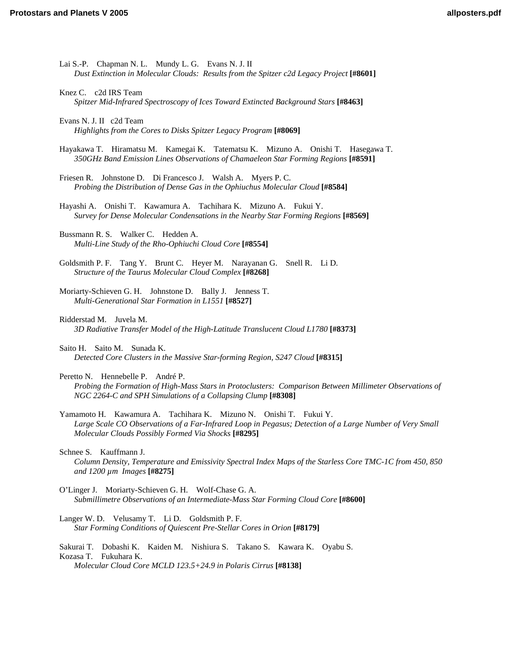- Lai S.-P. Chapman N. L. Mundy L. G. Evans N. J. II *[Dust Extinction in Molecular Clouds: Results from the Spitzer c2d Legacy Project](http://www.lpi.usra.edu/meetings/ppv2005/pdf/8601.pdf)* **[#8601]**
- Knez C. c2d IRS Team *[Spitzer Mid-Infrared Spectroscopy of Ices Toward Extincted Background Stars](http://www.lpi.usra.edu/meetings/ppv2005/pdf/8463.pdf)* **[#8463]**
- Evans N. J. II c2d Team *[Highlights from the Cores to Disks Spitzer Legacy Program](http://www.lpi.usra.edu/meetings/ppv2005/pdf/8069.pdf)* **[#8069]**
- [Hayakawa T. Hiramatsu M. Kamegai K. Tatematsu K. Mizuno A. Onishi T. Hasegawa T.](http://www.lpi.usra.edu/meetings/ppv2005/pdf/8591.pdf)  *350GHz Band Emission Lines Observations of Chamaeleon Star Forming Regions* **[#8591]**
- Friesen R. Johnstone D. Di Francesco J. Walsh A. Myers P. C. *[Probing the Distribution of Dense Gas in the Ophiuchus Molecular Cloud](http://www.lpi.usra.edu/meetings/ppv2005/pdf/8584.pdf)* **[#8584]**
- Hayashi A. Onishi T. Kawamura A. Tachihara K. Mizuno A. Fukui Y. *[Survey for Dense Molecular Condensations in the Nearby Star Forming Regions](http://www.lpi.usra.edu/meetings/ppv2005/pdf/8569.pdf)* **[#8569]**
- Bussmann R. S. Walker C. Hedden A. *[Multi-Line Study of the Rho-Ophiuchi Cloud Core](http://www.lpi.usra.edu/meetings/ppv2005/pdf/8554.pdf)* **[#8554]**
- [Goldsmith P. F. Tang Y. Brunt C. Heyer M. Narayanan G. Snell R. Li D.](http://www.lpi.usra.edu/meetings/ppv2005/pdf/8268.pdf)  *Structure of the Taurus Molecular Cloud Complex* **[#8268]**
- [Moriarty-Schieven G. H. Johnstone D. Bally J. Jenness T.](http://www.lpi.usra.edu/meetings/ppv2005/pdf/8527.pdf)  *Multi-Generational Star Formation in L1551* **[#8527]**
- Ridderstad M. Juvela M. *[3D Radiative Transfer Model of the High-Latitude Translucent Cloud L1780](http://www.lpi.usra.edu/meetings/ppv2005/pdf/8373.pdf)* **[#8373]**
- Saito H. Saito M. Sunada K. *[Detected Core Clusters in the Massive Star-forming Region, S247 Cloud](http://www.lpi.usra.edu/meetings/ppv2005/pdf/8315.pdf)* **[#8315]**

Peretto N. Hennebelle P. André P.

*[Probing the Formation of High-Mass Stars in Protoclusters: Comparison Between Millimeter Observations of](http://www.lpi.usra.edu/meetings/ppv2005/pdf/8308.pdf)  NGC 2264-C and SPH Simulations of a Collapsing Clump* **[#8308]**

- Yamamoto H. Kawamura A. Tachihara K. Mizuno N. Onishi T. Fukui Y. *[Large Scale CO Observations of a Far-Infrared Loop in Pegasus; Detection of a Large Number of Very Small](http://www.lpi.usra.edu/meetings/ppv2005/pdf/8295.pdf)  Molecular Clouds Possibly Formed Via Shocks* **[#8295]**
- Schnee S. Kauffmann J. *[Column Density, Temperature and Emissivity Spectral Index Maps of the Starless Core TMC-1C from 450, 850](http://www.lpi.usra.edu/meetings/ppv2005/pdf/8275.pdf)  and 1200 µm Images* **[#8275]**
- O'Linger J. Moriarty-Schieven G. H. Wolf-Chase G. A. *[Submillimetre Observations of an Intermediate-Mass Star Forming Cloud Core](http://www.lpi.usra.edu/meetings/ppv2005/pdf/8600.pdf)* **[#8600]**
- Langer W. D. Velusamy T. Li D. Goldsmith P. F. *[Star Forming Conditions of Quiescent Pre-Stellar Cores in Orion](http://www.lpi.usra.edu/meetings/ppv2005/pdf/8179.pdf)* **[#8179]**
- [Sakurai T. Dobashi K. Kaiden M. Nishiura S. Takano S. Kawara K. Oyabu S.](http://www.lpi.usra.edu/meetings/ppv2005/pdf/8138.pdf)  Kozasa T. Fukuhara K. *Molecular Cloud Core MCLD 123.5+24.9 in Polaris Cirrus* **[#8138]**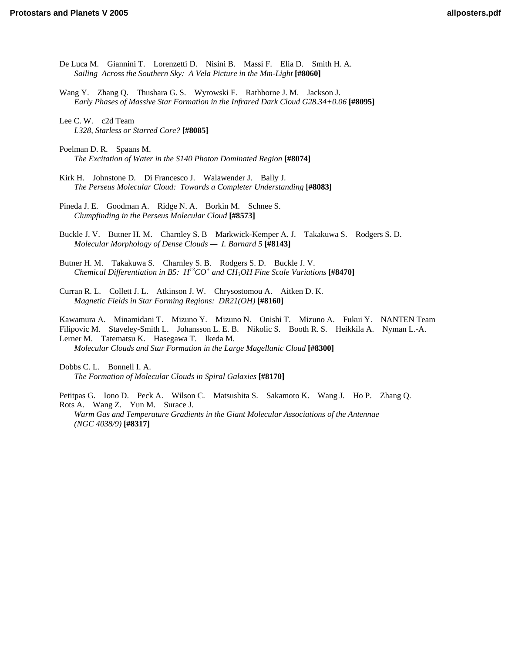- [De Luca M. Giannini T. Lorenzetti D. Nisini B. Massi F. Elia D. Smith H. A.](http://www.lpi.usra.edu/meetings/ppv2005/pdf/8060.pdf)  *Sailing Across the Southern Sky: A Vela Picture in the Mm-Light* **[#8060]**
- [Wang Y. Zhang Q. Thushara G. S. Wyrowski F. Rathborne J. M. Jackson J.](http://www.lpi.usra.edu/meetings/ppv2005/pdf/8095.pdf)  *Early Phases of Massive Star Formation in the Infrared Dark Cloud G28.34+0.06* **[#8095]**
- Lee C. W. c2d Team *[L328, Starless or Starred Core?](http://www.lpi.usra.edu/meetings/ppv2005/pdf/8085.pdf)* **[#8085]**
- Poelman D. R. Spaans M. *[The Excitation of Water in the S140 Photon Dominated Region](http://www.lpi.usra.edu/meetings/ppv2005/pdf/8074.pdf)* **[#8074]**
- Kirk H. Johnstone D. Di Francesco J. Walawender J. Bally J. *[The Perseus Molecular Cloud: Towards a Completer Understanding](http://www.lpi.usra.edu/meetings/ppv2005/pdf/8083.pdf)* **[#8083]**
- [Pineda J. E. Goodman A. Ridge N. A. Borkin M. Schnee S.](http://www.lpi.usra.edu/meetings/ppv2005/pdf/8573.pdf)  *Clumpfinding in the Perseus Molecular Cloud* **[#8573]**
- [Buckle J. V. Butner H. M. Charnley S. B Markwick-Kemper A. J. Takakuwa S. Rodgers S. D.](http://www.lpi.usra.edu/meetings/ppv2005/pdf/8143.pdf)  *Molecular Morphology of Dense Clouds — I. Barnard 5* **[#8143]**
- [Butner H. M. Takakuwa S. Charnley S. B. Rodgers S. D. Buckle J. V.](http://www.lpi.usra.edu/meetings/ppv2005/pdf/8470.pdf)  *Chemical Differentiation in B5: H13CO+ and CH3OH Fine Scale Variations* **[#8470]**
- [Curran R. L. Collett J. L. Atkinson J. W. Chrysostomou A. Aitken D. K.](http://www.lpi.usra.edu/meetings/ppv2005/pdf/8160.pdf)  *Magnetic Fields in Star Forming Regions: DR21(OH)* **[#8160]**

[Kawamura A. Minamidani T. Mizuno Y. Mizuno N. Onishi T. Mizuno A. Fukui Y. NANTEN Team](http://www.lpi.usra.edu/meetings/ppv2005/pdf/8300.pdf)  Filipovic M. Staveley-Smith L. Johansson L. E. B. Nikolic S. Booth R. S. Heikkila A. Nyman L.-A. Lerner M. Tatematsu K. Hasegawa T. Ikeda M.

*Molecular Clouds and Star Formation in the Large Magellanic Cloud* **[#8300]**

Dobbs C. L. Bonnell I. A. *[The Formation of Molecular Clouds in Spiral Galaxies](http://www.lpi.usra.edu/meetings/ppv2005/pdf/8170.pdf)* **[#8170]**

[Petitpas G. Iono D. Peck A. Wilson C. Matsushita S. Sakamoto K. Wang J. Ho P. Zhang Q.](http://www.lpi.usra.edu/meetings/ppv2005/pdf/8317.pdf)  Rots A. Wang Z. Yun M. Surace J. *Warm Gas and Temperature Gradients in the Giant Molecular Associations of the Antennae (NGC 4038/9)* **[#8317]**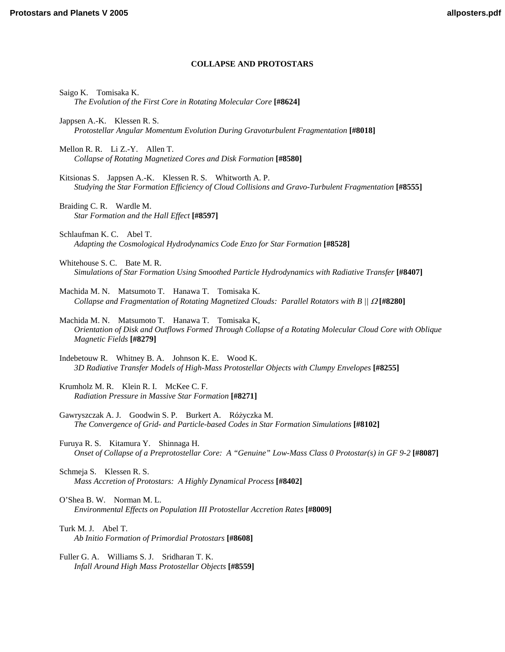# **COLLAPSE AND PROTOSTARS**

Saigo K. Tomisaka K. *[The Evolution of the First Core in Rotating Molecular Core](http://www.lpi.usra.edu/meetings/ppv2005/pdf/8624.pdf)* **[#8624]**

Jappsen A.-K. Klessen R. S. *[Protostellar Angular Momentum Evolution During Gravoturbulent Fragmentation](http://www.lpi.usra.edu/meetings/ppv2005/pdf/8018.pdf)* **[#8018]**

Mellon R. R. Li Z.-Y. Allen T. *[Collapse of Rotating Magnetized Cores and Disk Formation](http://www.lpi.usra.edu/meetings/ppv2005/pdf/8580.pdf)* **[#8580]**

Kitsionas S. Jappsen A.-K. Klessen R. S. Whitworth A. P. *[Studying the Star Formation Efficiency of Cloud Collisions and Gravo-Turbulent Fragmentation](http://www.lpi.usra.edu/meetings/ppv2005/pdf/8555.pdf)* **[#8555]**

Braiding C. R. Wardle M. *[Star Formation and the Hall Effect](http://www.lpi.usra.edu/meetings/ppv2005/pdf/8597.pdf)* **[#8597]**

Schlaufman K. C. Abel T. *[Adapting the Cosmological Hydrodynamics Code Enzo for Star Formation](http://www.lpi.usra.edu/meetings/ppv2005/pdf/8528.pdf)* **[#8528]**

Whitehouse S. C. Bate M. R. *[Simulations of Star Formation Using Smoothed Particle Hydrodynamics with Radiative Transfer](http://www.lpi.usra.edu/meetings/ppv2005/pdf/8407.pdf)* **[#8407]**

Machida M. N. Matsumoto T. Hanawa T. Tomisaka K. *[Collapse and Fragmentation of Rotating Magnetized Clouds: Parallel Rotators with B ||](http://www.lpi.usra.edu/meetings/ppv2005/pdf/8280.pdf)* Ω **[#8280]**

Machida M. N. Matsumoto T. Hanawa T. Tomisaka K, *[Orientation of Disk and Outflows Formed Through Collapse of a Rotating Molecular Cloud Core with Oblique](http://www.lpi.usra.edu/meetings/ppv2005/pdf/8279.pdf)  Magnetic Fields* **[#8279]**

Indebetouw R. Whitney B. A. Johnson K. E. Wood K. *[3D Radiative Transfer Models of High-Mass Protostellar Objects with Clumpy Envelopes](http://www.lpi.usra.edu/meetings/ppv2005/pdf/8255.pdf)* **[#8255]**

Krumholz M. R. Klein R. I. McKee C. F. *[Radiation Pressure in Massive Star Formation](http://www.lpi.usra.edu/meetings/ppv2005/pdf/8271.pdf)* **[#8271]**

Gawryszczak A. J. Goodwin S. P. Burkert A. Różyczka M. *[The Convergence of Grid- and Particle-based Codes in Star Formation Simulations](http://www.lpi.usra.edu/meetings/ppv2005/pdf/8102.pdf)* **[#8102]**

Furuya R. S. Kitamura Y. Shinnaga H. *[Onset of Collapse of a Preprotostellar Core: A "Genuine" Low-Mass Class 0 Protostar\(s\) in GF 9-2](http://www.lpi.usra.edu/meetings/ppv2005/pdf/8087.pdf)* **[#8087]**

Schmeja S. Klessen R. S. *[Mass Accretion of Protostars: A Highly Dynamical Process](http://www.lpi.usra.edu/meetings/ppv2005/pdf/8402.pdf)* **[#8402]**

O'Shea B. W. Norman M. L. *[Environmental Effects on Population III Protostellar Accretion Rates](http://www.lpi.usra.edu/meetings/ppv2005/pdf/8009.pdf)* **[#8009]**

Turk M. J. Abel T. *[Ab Initio Formation of Primordial Protostars](http://www.lpi.usra.edu/meetings/ppv2005/pdf/8608.pdf)* **[#8608]**

[Fuller G. A. Williams S. J. Sridharan T. K.](http://www.lpi.usra.edu/meetings/ppv2005/pdf/8559.pdf)  *Infall Around High Mass Protostellar Objects* **[#8559]**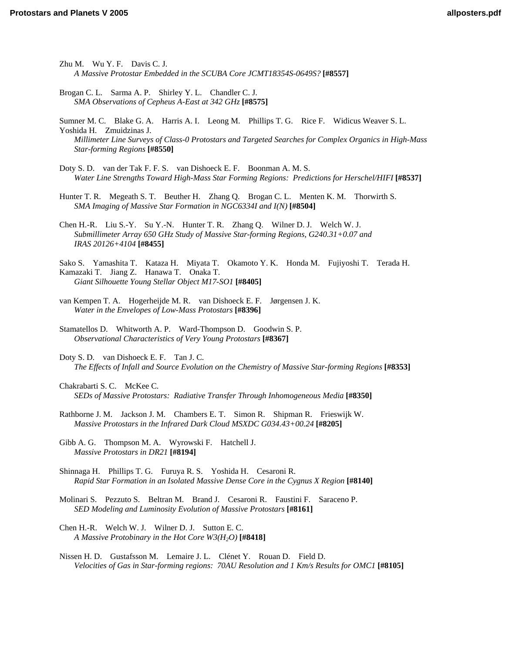- Zhu M. Wu Y. F. Davis C. J. *[A Massive Protostar Embedded in the SCUBA Core JCMT18354S-0649S?](http://www.lpi.usra.edu/meetings/ppv2005/pdf/8557.pdf)* **[#8557]**
- [Brogan C. L. Sarma A. P. Shirley Y. L. Chandler C. J.](http://www.lpi.usra.edu/meetings/ppv2005/pdf/8575.pdf)  *SMA Observations of Cepheus A-East at 342 GHz* **[#8575]**
- Sumner M. C. Blake G. A. Harris A. I. Leong M. Phillips T. G. Rice F. Widicus Weaver S. L. Yoshida H. Zmuidzinas J. *[Millimeter Line Surveys of Class-0 Protostars and Targeted Searches for Complex Organics in High-Mass](http://www.lpi.usra.edu/meetings/ppv2005/pdf/8550.pdf)  Star-forming Regions* **[#8550]**
- Doty S. D. van der Tak F. F. S. van Dishoeck E. F. Boonman A. M. S. *[Water Line Strengths Toward High-Mass Star Forming Regions: Predictions for Herschel/HIFI](http://www.lpi.usra.edu/meetings/ppv2005/pdf/8537.pdf)* **[#8537]**
- [Hunter T. R. Megeath S. T. Beuther H. Zhang Q. Brogan C. L. Menten K. M. Thorwirth S.](http://www.lpi.usra.edu/meetings/ppv2005/pdf/8504.pdf)  *SMA Imaging of Massive Star Formation in NGC6334I and I(N)* **[#8504]**
- [Chen H.-R. Liu S.-Y. Su Y.-N. Hunter T. R. Zhang Q. Wilner D. J. Welch W. J.](http://www.lpi.usra.edu/meetings/ppv2005/pdf/8455.pdf)  *Submillimeter Array 650 GHz Study of Massive Star-forming Regions, G240.31+0.07 and IRAS 20126+4104* **[#8455]**
- [Sako S. Yamashita T. Kataza H. Miyata T. Okamoto Y. K. Honda M. Fujiyoshi T. Terada H.](http://www.lpi.usra.edu/meetings/ppv2005/pdf/8405.pdf)  Kamazaki T. Jiang Z. Hanawa T. Onaka T. *Giant Silhouette Young Stellar Object M17-SO1* **[#8405]**
- [van Kempen T. A. Hogerheijde M. R. van Dishoeck E. F. Jørgensen J. K.](http://www.lpi.usra.edu/meetings/ppv2005/pdf/8396.pdf)  *Water in the Envelopes of Low-Mass Protostars* **[#8396]**
- [Stamatellos D. Whitworth A. P. Ward-Thompson D. Goodwin S. P.](http://www.lpi.usra.edu/meetings/ppv2005/pdf/8367.pdf)  *Observational Characteristics of Very Young Protostars* **[#8367]**
- Doty S. D. van Dishoeck E. F. Tan J. C. *[The Effects of Infall and Source Evolution on the Chemistry of Massive Star-forming Regions](http://www.lpi.usra.edu/meetings/ppv2005/pdf/8353.pdf)* **[#8353]**
- Chakrabarti S. C. McKee C. *[SEDs of Massive Protostars: Radiative Transfer Through Inhomogeneous Media](http://www.lpi.usra.edu/meetings/ppv2005/pdf/8350.pdf)* **[#8350]**
- [Rathborne J. M. Jackson J. M. Chambers E. T. Simon R. Shipman R. Frieswijk W.](http://www.lpi.usra.edu/meetings/ppv2005/pdf/8205.pdf)  *Massive Protostars in the Infrared Dark Cloud MSXDC G034.43+00.24* **[#8205]**
- [Gibb A. G. Thompson M. A. Wyrowski F. Hatchell J.](http://www.lpi.usra.edu/meetings/ppv2005/pdf/8194.pdf)  *Massive Protostars in DR21* **[#8194]**
- Shinnaga H. Phillips T. G. Furuya R. S. Yoshida H. Cesaroni R. *[Rapid Star Formation in an Isolated Massive Dense Core in the Cygnus X Region](http://www.lpi.usra.edu/meetings/ppv2005/pdf/8140.pdf)* **[#8140]**
- [Molinari S. Pezzuto S. Beltran M. Brand J. Cesaroni R. Faustini F. Saraceno P.](http://www.lpi.usra.edu/meetings/ppv2005/pdf/8161.pdf)  *SED Modeling and Luminosity Evolution of Massive Protostars* **[#8161]**
- [Chen H.-R. Welch W. J. Wilner D. J. Sutton E. C.](http://www.lpi.usra.edu/meetings/ppv2005/pdf/8418.pdf)  *A Massive Protobinary in the Hot Core W3(H2O)* **[#8418]**
- Nissen H. D. Gustafsson M. Lemaire J. L. Clénet Y. Rouan D. Field D. *[Velocities of Gas in Star-forming regions: 70AU Resolution and 1 Km/s Results for OMC1](http://www.lpi.usra.edu/meetings/ppv2005/pdf/8105.pdf)* **[#8105]**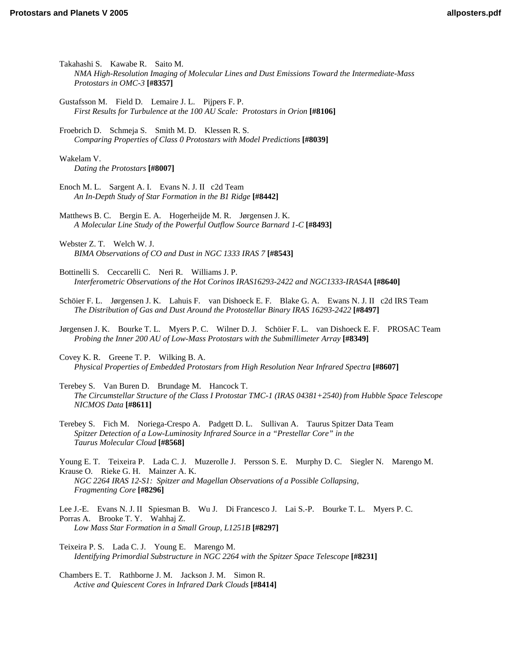- Takahashi S. Kawabe R. Saito M. *[NMA High-Resolution Imaging of Molecular Lines and Dust Emissions Toward the Intermediate-Mass](http://www.lpi.usra.edu/meetings/ppv2005/pdf/8357.pdf)  Protostars in OMC-3* **[#8357]**
- Gustafsson M. Field D. Lemaire J. L. Pijpers F. P. *[First Results for Turbulence at the 100 AU Scale: Protostars in Orion](http://www.lpi.usra.edu/meetings/ppv2005/pdf/8106.pdf)* **[#8106]**
- Froebrich D. Schmeja S. Smith M. D. Klessen R. S. *[Comparing Properties of Class 0 Protostars with Model Predictions](http://www.lpi.usra.edu/meetings/ppv2005/pdf/8039.pdf)* **[#8039]**

Wakelam V. *[Dating the Protostars](http://www.lpi.usra.edu/meetings/ppv2005/pdf/8007.pdf)* **[#8007]**

[Enoch M. L. Sargent A. I. Evans N. J. II c2d Team](http://www.lpi.usra.edu/meetings/ppv2005/pdf/8442.pdf)  *An In-Depth Study of Star Formation in the B1 Ridge* **[#8442]**

[Matthews B. C. Bergin E. A. Hogerheijde M. R. Jørgensen J. K.](http://www.lpi.usra.edu/meetings/ppv2005/pdf/8493.pdf)  *A Molecular Line Study of the Powerful Outflow Source Barnard 1-C* **[#8493]**

Webster Z. T. Welch W. J. *[BIMA Observations of CO and Dust in NGC 1333 IRAS 7](http://www.lpi.usra.edu/meetings/ppv2005/pdf/8543.pdf)* **[#8543]**

Bottinelli S. Ceccarelli C. Neri R. Williams J. P. *[Interferometric Observations of the Hot Corinos IRAS16293-2422 and NGC1333-IRAS4A](http://www.lpi.usra.edu/meetings/ppv2005/pdf/8640.pdf)* **[#8640]**

- [Schöier F. L. Jørgensen J. K. Lahuis F. van Dishoeck E. F. Blake G. A. Ewans N. J. II c2d IRS Team](http://www.lpi.usra.edu/meetings/ppv2005/pdf/8497.pdf)  *The Distribution of Gas and Dust Around the Protostellar Binary IRAS 16293-2422* **[#8497]**
- [Jørgensen J. K. Bourke T. L. Myers P. C. Wilner D. J. Schöier F. L. van Dishoeck E. F. PROSAC Team](http://www.lpi.usra.edu/meetings/ppv2005/pdf/8349.pdf)  *Probing the Inner 200 AU of Low-Mass Protostars with the Submillimeter Array* **[#8349]**

Covey K. R. Greene T. P. Wilking B. A. *[Physical Properties of Embedded Protostars from High Resolution Near Infrared Spectra](http://www.lpi.usra.edu/meetings/ppv2005/pdf/8607.pdf)* **[#8607]**

Terebey S. Van Buren D. Brundage M. Hancock T. *[The Circumstellar Structure of the Class I Protostar TMC-1 \(IRAS 04381+2540\) from Hubble Space Telescope](http://www.lpi.usra.edu/meetings/ppv2005/pdf/9611.pdf)  NICMOS Data* **[#8611]**

[Terebey S. Fich M. Noriega-Crespo A. Padgett D. L. Sullivan A. Taurus Spitzer Data Team](http://www.lpi.usra.edu/meetings/ppv2005/pdf/8568.pdf)  *Spitzer Detection of a Low-Luminosity Infrared Source in a "Prestellar Core" in the Taurus Molecular Cloud* **[#8568]**

[Young E. T. Teixeira P. Lada C. J. Muzerolle J. Persson S. E. Murphy D. C. Siegler N. Marengo M.](http://www.lpi.usra.edu/meetings/ppv2005/pdf/8296.pdf)  Krause O. Rieke G. H. Mainzer A. K. *NGC 2264 IRAS 12-S1: Spitzer and Magellan Observations of a Possible Collapsing, Fragmenting Core* **[#8296]**

[Lee J.-E. Evans N. J. II Spiesman B. Wu J. Di Francesco J. Lai S.-P. Bourke T. L. Myers P. C.](http://www.lpi.usra.edu/meetings/ppv2005/pdf/8297.pdf)  Porras A. Brooke T. Y. Wahhaj Z. *Low Mass Star Formation in a Small Group, L1251B* **[#8297]**

Teixeira P. S. Lada C. J. Young E. Marengo M. *[Identifying Primordial Substructure in NGC 2264 with the Spitzer Space Telescope](http://www.lpi.usra.edu/meetings/ppv2005/pdf/8231.pdf)* **[#8231]**

[Chambers E. T. Rathborne J. M. Jackson J. M. Simon R.](http://www.lpi.usra.edu/meetings/ppv2005/pdf/8414.pdf)  *Active and Quiescent Cores in Infrared Dark Clouds* **[#8414]**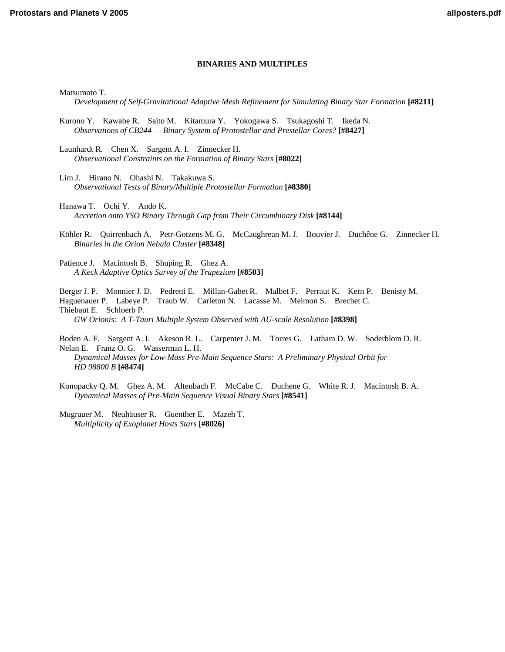# **BINARIES AND MULTIPLES**

Matsumoto T.

*[Development of Self-Gravitational Adaptive Mesh Refinement for Simulating Binary Star Formation](http://www.lpi.usra.edu/meetings/ppv2005/pdf/8211.pdf)* **[#8211]**

[Kurono Y. Kawabe R. Saito M. Kitamura Y. Yokogawa S. Tsukagoshi T. Ikeda N.](http://www.lpi.usra.edu/meetings/ppv2005/pdf/8427.pdf)  *Observations of CB244 — Binary System of Protostellar and Prestellar Cores?* **[#8427]**

Launhardt R. Chen X. Sargent A. I. Zinnecker H. *[Observational Constraints on the Formation of Binary Stars](http://www.lpi.usra.edu/meetings/ppv2005/pdf/8022.pdf)* **[#8022]**

Lim J. Hirano N. Ohashi N. Takakuwa S. *[Observational Tests of Binary/Multiple Protostellar Formation](http://www.lpi.usra.edu/meetings/ppv2005/pdf/8380.pdf)* **[#8380]**

Hanawa T. Ochi Y. Ando K. *[Accretion onto YSO Binary Through Gap from Their Circumbinary Disk](http://www.lpi.usra.edu/meetings/ppv2005/pdf/8144.pdf)* **[#8144]**

[Köhler R. Quirrenbach A. Petr-Gotzens M. G. McCaughrean M. J. Bouvier J. Duchêne G. Zinnecker H.](http://www.lpi.usra.edu/meetings/ppv2005/pdf/8348.pdf)  *Binaries in the Orion Nebula Cluster* **[#8348]**

[Patience J. Macintosh B. Shuping R. Ghez A.](http://www.lpi.usra.edu/meetings/ppv2005/pdf/8503.pdf)  *A Keck Adaptive Optics Survey of the Trapezium* **[#8503]**

[Berger J. P. Monnier J. D. Pedretti E. Millan-Gabet R. Malbet F. Perraut K. Kern P. Benisty M.](http://www.lpi.usra.edu/meetings/ppv2005/pdf/8398.pdf)  Haguenauer P. Labeye P. Traub W. Carleton N. Lacasse M. Meimon S. Brechet C. Thiebaut E. Schloerb P. *GW Orionis: A T-Tauri Multiple System Observed with AU-scale Resolution* **[#8398]**

[Boden A. F. Sargent A. I. Akeson R. L. Carpenter J. M. Torres G. Latham D. W. Soderblom D. R.](http://www.lpi.usra.edu/meetings/ppv2005/pdf/8474.pdf)  Nelan E. Franz O. G. Wasserman L. H.

*Dynamical Masses for Low-Mass Pre-Main Sequence Stars: A Preliminary Physical Orbit for HD 98800 B* **[#8474]**

[Konopacky Q. M. Ghez A. M. Altenbach F. McCabe C. Duchene G. White R. J. Macintosh B. A.](http://www.lpi.usra.edu/meetings/ppv2005/pdf/8541.pdf)  *Dynamical Masses of Pre-Main Sequence Visual Binary Stars* **[#8541]**

[Mugrauer M. Neuhäuser R. Guenther E. Mazeh T.](http://www.lpi.usra.edu/meetings/ppv2005/pdf/8026.pdf)  *Multiplicity of Exoplanet Hosts Stars* **[#8026]**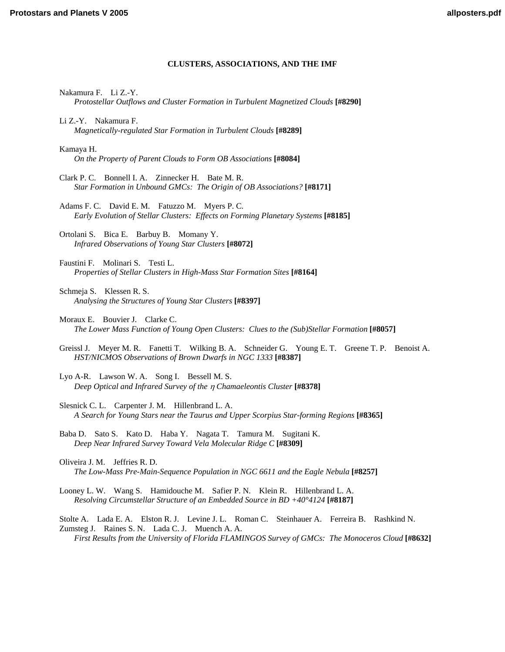# **CLUSTERS, ASSOCIATIONS, AND THE IMF**

Nakamura F. Li Z.-Y.

*[Protostellar Outflows and Cluster Formation in Turbulent Magnetized Clouds](http://www.lpi.usra.edu/meetings/ppv2005/pdf/8290.pdf)* **[#8290]**

- Li Z.-Y. Nakamura F. *[Magnetically-regulated Star Formation in Turbulent Clouds](http://www.lpi.usra.edu/meetings/ppv2005/pdf/8289.pdf)* **[#8289]**
- Kamaya H. *[On the Property of Parent Clouds to Form OB Associations](http://www.lpi.usra.edu/meetings/ppv2005/pdf/8084.pdf)* **[#8084]**
- Clark P. C. Bonnell I. A. Zinnecker H. Bate M. R. *[Star Formation in Unbound GMCs: The Origin of OB Associations?](http://www.lpi.usra.edu/meetings/ppv2005/pdf/8171.pdf)* **[#8171]**

Adams F. C. David E. M. Fatuzzo M. Myers P. C. *[Early Evolution of Stellar Clusters: Effects on Forming Planetary Systems](http://www.lpi.usra.edu/meetings/ppv2005/pdf/8185.pdf)* **[#8185]**

[Ortolani S. Bica E. Barbuy B. Momany Y.](http://www.lpi.usra.edu/meetings/ppv2005/pdf/8072.pdf)  *Infrared Observations of Young Star Clusters* **[#8072]**

Faustini F. Molinari S. Testi L. *[Properties of Stellar Clusters in High-Mass Star Formation Sites](http://www.lpi.usra.edu/meetings/ppv2005/pdf/8164.pdf)* **[#8164]**

Schmeja S. Klessen R. S. *[Analysing the Structures of Young Star Clusters](http://www.lpi.usra.edu/meetings/ppv2005/pdf/8397.pdf)* **[#8397]**

- Moraux E. Bouvier J. Clarke C. *[The Lower Mass Function of Young Open Clusters: Clues to the \(Sub\)Stellar Formation](http://www.lpi.usra.edu/meetings/ppv2005/pdf/8057.pdf)* **[#8057]**
- [Greissl J. Meyer M. R. Fanetti T. Wilking B. A. Schneider G. Young E. T. Greene T. P. Benoist A.](http://www.lpi.usra.edu/meetings/ppv2005/pdf/8387.pdf) *HST/NICMOS Observations of Brown Dwarfs in NGC 1333* **[#8387]**
- [Lyo A-R. Lawson W. A. Song I. Bessell M. S.](http://www.lpi.usra.edu/meetings/ppv2005/pdf/8378.pdf)  *Deep Optical and Infrared Survey of the* η *Chamaeleontis Cluster* **[#8378]**
- Slesnick C. L. Carpenter J. M. Hillenbrand L. A. *[A Search for Young Stars near the Taurus and Upper Scorpius Star-forming Regions](http://www.lpi.usra.edu/meetings/ppv2005/pdf/8365.pdf)* **[#8365]**
- [Baba D. Sato S. Kato D. Haba Y. Nagata T. Tamura M. Sugitani K.](http://www.lpi.usra.edu/meetings/ppv2005/pdf/8309.pdf)  *Deep Near Infrared Survey Toward Vela Molecular Ridge C* **[#8309]**
- Oliveira J. M. Jeffries R. D. *[The Low-Mass Pre-Main-Sequence Population in NGC 6611 and the Eagle Nebula](http://www.lpi.usra.edu/meetings/ppv2005/pdf/8257.pdf)* **[#8257]**
- [Looney L. W. Wang S. Hamidouche M. Safier P. N. Klein R. Hillenbrand L. A.](http://www.lpi.usra.edu/meetings/ppv2005/pdf/8187.pdf)  *Resolving Circumstellar Structure of an Embedded Source in BD +40°4124* **[#8187]**

[Stolte A. Lada E. A. Elston R. J. Levine J. L. Roman C. Steinhauer A. Ferreira B. Rashkind N.](http://www.lpi.usra.edu/meetings/ppv2005/pdf/8632.pdf)  Zumsteg J. Raines S. N. Lada C. J. Muench A. A. *First Results from the University of Florida FLAMINGOS Survey of GMCs: The Monoceros Cloud* **[#8632]**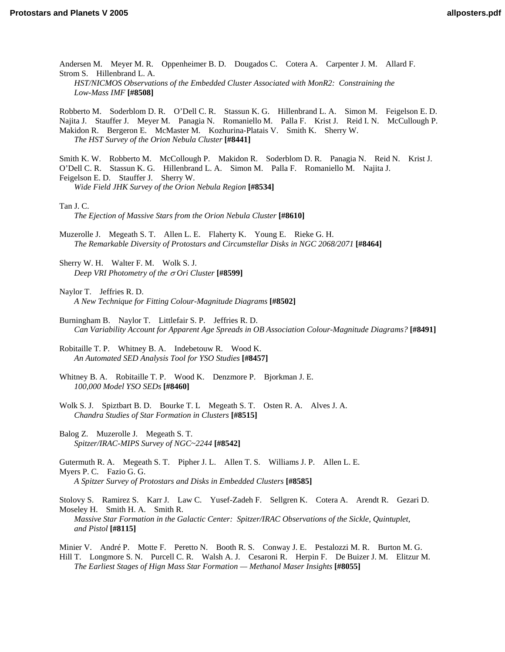[Andersen M. Meyer M. R. Oppenheimer B. D. Dougados C. Cotera A. Carpenter J. M. Allard F.](http://www.lpi.usra.edu/meetings/ppv2005/pdf/8508.pdf)  Strom S. Hillenbrand L. A. *HST/NICMOS Observations of the Embedded Cluster Associated with MonR2: Constraining the Low-Mass IMF* **[#8508]**

Robberto M. Soderblom D. R. O'Dell C. R. Stassun K. G. Hillenbrand L. A. Simon M. Feigelson E. D. [Najita J. Stauffer J. Meyer M. Panagia N. Romaniello M. Palla F. Krist J. Reid I. N. McCullough P.](http://www.lpi.usra.edu/meetings/ppv2005/pdf/8441.pdf)  Makidon R. Bergeron E. McMaster M. Kozhurina-Platais V. Smith K. Sherry W. *The HST Survey of the Orion Nebula Cluster* **[#8441]**

[Smith K. W. Robberto M. McCollough P. Makidon R. Soderblom D. R. Panagia N. Reid N. Krist J.](http://www.lpi.usra.edu/meetings/ppv2005/pdf/8534.pdf)  O'Dell C. R. Stassun K. G. Hillenbrand L. A. Simon M. Palla F. Romaniello M. Najita J. Feigelson E. D. Stauffer J. Sherry W. *Wide Field JHK Survey of the Orion Nebula Region* **[#8534]**

Tan J. C.

*[The Ejection of Massive Stars from the Orion Nebula Cluster](http://www.lpi.usra.edu/meetings/ppv2005/pdf/8610.pdf)* **[#8610]**

Muzerolle J. Megeath S. T. Allen L. E. Flaherty K. Young E. Rieke G. H. *[The Remarkable Diversity of Protostars and Circumstellar Disks in NGC 2068/2071](http://www.lpi.usra.edu/meetings/ppv2005/pdf/8464.pdf)* **[#8464]**

[Sherry W. H. Walter F. M. Wolk S. J.](http://www.lpi.usra.edu/meetings/ppv2005/pdf/8599.pdf)  *Deep VRI Photometry of the* σ *Ori Cluster* **[#8599]**

Naylor T. Jeffries R. D. *[A New Technique for Fitting Colour-Magnitude Diagrams](http://www.lpi.usra.edu/meetings/ppv2005/pdf/8502.pdf)* **[#8502]**

Burningham B. Naylor T. Littlefair S. P. Jeffries R. D. *[Can Variability Account for Apparent Age Spreads in OB Association Colour-Magnitude Diagrams?](http://www.lpi.usra.edu/meetings/ppv2005/pdf/8491.pdf)* **[#8491]**

[Robitaille T. P. Whitney B. A. Indebetouw R. Wood K.](http://www.lpi.usra.edu/meetings/ppv2005/pdf/8457.pdf)  *An Automated SED Analysis Tool for YSO Studies* **[#8457]**

[Whitney B. A. Robitaille T. P. Wood K. Denzmore P. Bjorkman J. E.](http://www.lpi.usra.edu/meetings/ppv2005/pdf/8460.pdf)  *100,000 Model YSO SEDs* **[#8460]**

- [Wolk S. J. Spiztbart B. D. Bourke T. L Megeath S. T. Osten R. A. Alves J. A.](http://www.lpi.usra.edu/meetings/ppv2005/pdf/8515.pdf)  *Chandra Studies of Star Formation in Clusters* **[#8515]**
- Balog Z. Muzerolle J. Megeath S. T. *[Spitzer/IRAC-MIPS Survey of NGC~2244](http://www.lpi.usra.edu/meetings/ppv2005/pdf/8542.pdf)* **[#8542]**

[Gutermuth R. A. Megeath S. T. Pipher J. L. Allen T. S. Williams J. P. Allen L. E.](http://www.lpi.usra.edu/meetings/ppv2005/pdf/8585.pdf)  Myers P. C. Fazio G. G. *A Spitzer Survey of Protostars and Disks in Embedded Clusters* **[#8585]**

[Stolovy S. Ramirez S. Karr J. Law C. Yusef-Zadeh F. Sellgren K. Cotera A. Arendt R. Gezari D.](http://www.lpi.usra.edu/meetings/ppv2005/pdf/8115.pdf)  Moseley H. Smith H. A. Smith R. *Massive Star Formation in the Galactic Center: Spitzer/IRAC Observations of the Sickle, Quintuplet, and Pistol* **[#8115]**

Minier V. André P. Motte F. Peretto N. Booth R. S. Conway J. E. Pestalozzi M. R. Burton M. G. [Hill T. Longmore S. N. Purcell C. R. Walsh A. J. Cesaroni R. Herpin F. De Buizer J. M. Elitzur M.](http://www.lpi.usra.edu/meetings/ppv2005/pdf/8055.pdf)  *The Earliest Stages of Hign Mass Star Formation — Methanol Maser Insights* **[#8055]**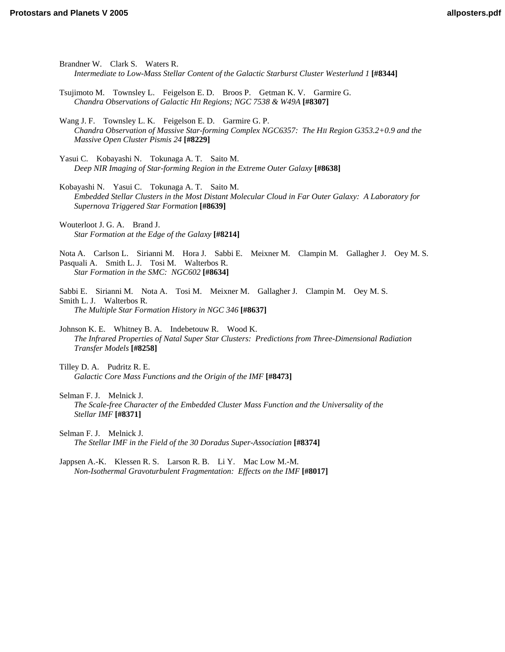Brandner W. Clark S. Waters R. *[Intermediate to Low-Mass Stellar Content of the Galactic Starburst Cluster Westerlund 1](http://www.lpi.usra.edu/meetings/ppv2005/pdf/8344.pdf)* **[#8344]** [Tsujimoto M. Townsley L. Feigelson E. D. Broos P. Getman K. V. Garmire G.](http://www.lpi.usra.edu/meetings/ppv2005/pdf/8307.pdf)  *Chandra Observations of Galactic HII Regions; NGC 7538 & W49A* **[#8307]** Wang J. F. Townsley L. K. Feigelson E. D. Garmire G. P. *[Chandra Observation of Massive Star-forming Complex NGC6357: The HII Region G353.2+0.9 and the](http://www.lpi.usra.edu/meetings/ppv2005/pdf/8229.pdf)  Massive Open Cluster Pismis 24* **[#8229]** Yasui C. Kobayashi N. Tokunaga A. T. Saito M. *[Deep NIR Imaging of Star-forming Region in the Extreme Outer Galaxy](http://www.lpi.usra.edu/meetings/ppv2005/pdf/8638.pdf)* **[#8638]** Kobayashi N. Yasui C. Tokunaga A. T. Saito M. *[Embedded Stellar Clusters in the Most Distant Molecular Cloud in Far Outer Galaxy: A Laboratory for](http://www.lpi.usra.edu/meetings/ppv2005/pdf/8639.pdf)  Supernova Triggered Star Formation* **[#8639]** Wouterloot J. G. A. Brand J. *[Star Formation at the Edge of the Galaxy](http://www.lpi.usra.edu/meetings/ppv2005/pdf/8214.pdf)* **[#8214]** [Nota A. Carlson L. Sirianni M. Hora J. Sabbi E. Meixner M. Clampin M. Gallagher J. Oey M. S.](http://www.lpi.usra.edu/meetings/ppv2005/pdf/8634.pdf)  Pasquali A. Smith L. J. Tosi M. Walterbos R. *Star Formation in the SMC: NGC602* **[#8634]** [Sabbi E. Sirianni M. Nota A. Tosi M. Meixner M. Gallagher J. Clampin M. Oey M. S.](http://www.lpi.usra.edu/meetings/ppv2005/pdf/8637.pdf)  Smith L. J. Walterbos R. *The Multiple Star Formation History in NGC 346* **[#8637]** Johnson K. E. Whitney B. A. Indebetouw R. Wood K. *[The Infrared Properties of Natal Super Star Clusters: Predictions from Three-Dimensional Radiation](http://www.lpi.usra.edu/meetings/ppv2005/pdf/8258.pdf)  Transfer Models* **[#8258]** Tilley D. A. Pudritz R. E. *[Galactic Core Mass Functions and the Origin of the IMF](http://www.lpi.usra.edu/meetings/ppv2005/pdf/8473.pdf)* **[#8473]** Selman F. J. Melnick J. *[The Scale-free Character of the Embedded Cluster Mass Function and the Universality of the](http://www.lpi.usra.edu/meetings/ppv2005/pdf/8371.pdf)  Stellar IMF* **[#8371]** Selman F. J. Melnick J. *[The Stellar IMF in the Field of the 30 Doradus Super-Association](http://www.lpi.usra.edu/meetings/ppv2005/pdf/8374.pdf)* **[#8374]** [Jappsen A.-K. Klessen R. S. Larson R. B. Li Y. Mac Low M.-M.](http://www.lpi.usra.edu/meetings/ppv2005/pdf/8017.pdf)  *Non-Isothermal Gravoturbulent Fragmentation: Effects on the IMF* **[#8017]**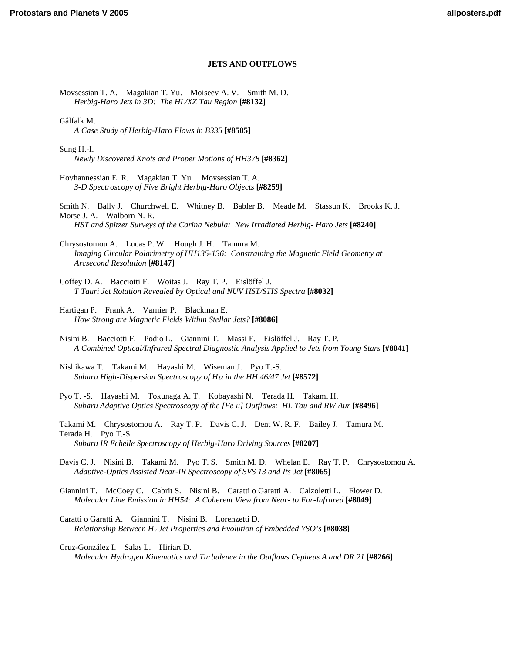# **JETS AND OUTFLOWS**

[Movsessian T. A. Magakian T. Yu. Moiseev A. V. Smith M. D.](http://www.lpi.usra.edu/meetings/ppv2005/pdf/8132.pdf)  *Herbig-Haro Jets in 3D: The HL/XZ Tau Region* **[#8132]**

Gålfalk M. *[A Case Study of Herbig-Haro Flows in B335](http://www.lpi.usra.edu/meetings/ppv2005/pdf/8505.pdf)* **[#8505]**

Sung H.-I. *[Newly Discovered Knots and Proper Motions of HH378](http://www.lpi.usra.edu/meetings/ppv2005/pdf/8362.pdf)* **[#8362]**

[Hovhannessian E. R. Magakian T. Yu. Movsessian T. A.](http://www.lpi.usra.edu/meetings/ppv2005/pdf/8259.pdf)  *3-D Spectroscopy of Five Bright Herbig-Haro Objects* **[#8259]**

[Smith N. Bally J. Churchwell E. Whitney B. Babler B. Meade M. Stassun K. Brooks K. J.](http://www.lpi.usra.edu/meetings/ppv2005/pdf/8240.pdf)  Morse J. A. Walborn N. R. *HST and Spitzer Surveys of the Carina Nebula: New Irradiated Herbig- Haro Jets* **[#8240]**

Chrysostomou A. Lucas P. W. Hough J. H. Tamura M. *[Imaging Circular Polarimetry of HH135-136: Constraining the Magnetic Field Geometry at](http://www.lpi.usra.edu/meetings/ppv2005/pdf/8147.pdf)  Arcsecond Resolution* **[#8147]**

Coffey D. A. Bacciotti F. Woitas J. Ray T. P. Eislöffel J. *[T Tauri Jet Rotation Revealed by Optical and NUV HST/STIS Spectra](http://www.lpi.usra.edu/meetings/ppv2005/pdf/8032.pdf)* **[#8032]**

Hartigan P. Frank A. Varnier P. Blackman E. *[How Strong are Magnetic Fields Within Stellar Jets?](http://www.lpi.usra.edu/meetings/ppv2005/pdf/8086.pdf)* **[#8086]**

Nisini B. Bacciotti F. Podio L. Giannini T. Massi F. Eislöffel J. Ray T. P. *[A Combined Optical/Infrared Spectral Diagnostic Analysis Applied to Jets from Young Stars](http://www.lpi.usra.edu/meetings/ppv2005/pdf/8041.pdf)* **[#8041]**

[Nishikawa T. Takami M. Hayashi M. Wiseman J. Pyo T.-S.](http://www.lpi.usra.edu/meetings/ppv2005/pdf/8572.pdf)  *Subaru High-Dispersion Spectroscopy of H*α *in the HH 46/47 Jet* **[#8572]**

[Pyo T. -S. Hayashi M. Tokunaga A. T. Kobayashi N. Terada H. Takami H.](http://www.lpi.usra.edu/meetings/ppv2005/pdf/8496.pdf)  *Subaru Adaptive Optics Spectroscopy of the [Fe II] Outflows: HL Tau and RW Aur* **[#8496]**

[Takami M. Chrysostomou A. Ray T. P. Davis C. J. Dent W. R. F. Bailey J. Tamura M.](http://www.lpi.usra.edu/meetings/ppv2005/pdf/8207.pdf)  Terada H. Pyo T.-S. *Subaru IR Echelle Spectroscopy of Herbig-Haro Driving Sources* **[#8207]**

[Davis C. J. Nisini B. Takami M. Pyo T. S. Smith M. D. Whelan E. Ray T. P. Chrysostomou A.](http://www.lpi.usra.edu/meetings/ppv2005/pdf/8065.pdf)  *Adaptive-Optics Assisted Near-IR Spectroscopy of SVS 13 and Its Jet* **[#8065]**

[Giannini T. McCoey C. Cabrit S. Nisini B. Caratti o Garatti A. Calzoletti L. Flower D.](http://www.lpi.usra.edu/meetings/ppv2005/pdf/8049.pdf)  *Molecular Line Emission in HH54: A Coherent View from Near- to Far-Infrared* **[#8049]**

Caratti o Garatti A. Giannini T. Nisini B. Lorenzetti D. *[Relationship Between H2 Jet Properties and Evolution of Embedded YSO's](http://www.lpi.usra.edu/meetings/ppv2005/pdf/8038.pdf)* **[#8038]**

Cruz-González I. Salas L. Hiriart D. *[Molecular Hydrogen Kinematics and Turbulence in the Outflows Cepheus A and DR 21](http://www.lpi.usra.edu/meetings/ppv2005/pdf/8266.pdf)* **[#8266]**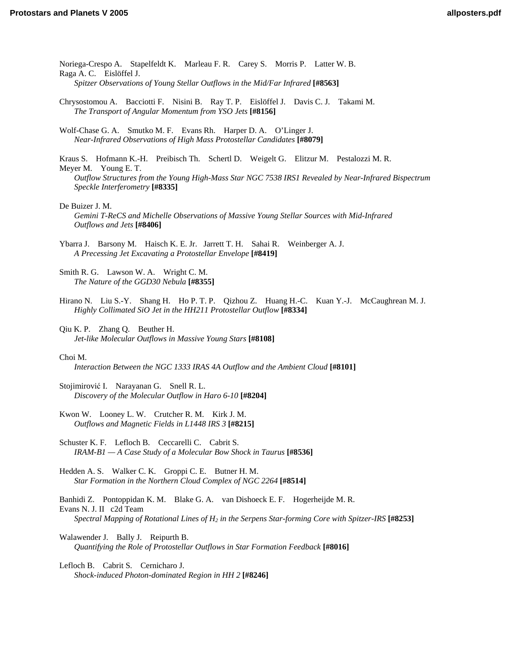[Noriega-Crespo A. Stapelfeldt K. Marleau F. R. Carey S. Morris P. Latter W. B.](http://www.lpi.usra.edu/meetings/ppv2005/pdf/8563.pdf)  Raga A. C. Eislöffel J. *Spitzer Observations of Young Stellar Outflows in the Mid/Far Infrared* **[#8563]**

- [Chrysostomou A. Bacciotti F. Nisini B. Ray T. P. Eislöffel J. Davis C. J. Takami M.](http://www.lpi.usra.edu/meetings/ppv2005/pdf/8156.pdf)  *The Transport of Angular Momentum from YSO Jets* **[#8156]**
- [Wolf-Chase G. A. Smutko M. F. Evans Rh. Harper D. A. O'Linger J.](http://www.lpi.usra.edu/meetings/ppv2005/pdf/8079.pdf)  *Near-Infrared Observations of High Mass Protostellar Candidates* **[#8079]**

Kraus S. Hofmann K.-H. Preibisch Th. Schertl D. Weigelt G. Elitzur M. Pestalozzi M. R. Meyer M. Young E. T. *[Outflow Structures from the Young High-Mass Star NGC 7538 IRS1 Revealed by Near-Infrared Bispectrum](http://www.lpi.usra.edu/meetings/ppv2005/pdf/8335.pdf)  Speckle Interferometry* **[#8335]**

De Buizer J. M.

*[Gemini T-ReCS and Michelle Observations of Massive Young Stellar Sources with Mid-Infrared](http://www.lpi.usra.edu/meetings/ppv2005/pdf/8406.pdf)  Outflows and Jets* **[#8406]**

[Ybarra J. Barsony M. Haisch K. E. Jr. Jarrett T. H. Sahai R. Weinberger A. J.](http://www.lpi.usra.edu/meetings/ppv2005/pdf/8419.pdf)  *A Precessing Jet Excavating a Protostellar Envelope* **[#8419]**

- [Smith R. G. Lawson W. A. Wright C. M.](http://www.lpi.usra.edu/meetings/ppv2005/pdf/8355.pdf)  *The Nature of the GGD30 Nebula* **[#8355]**
- [Hirano N. Liu S.-Y. Shang H. Ho P. T. P. Qizhou Z. Huang H.-C. Kuan Y.-J. McCaughrean M. J.](http://www.lpi.usra.edu/meetings/ppv2005/pdf/8334.pdf)  *Highly Collimated SiO Jet in the HH211 Protostellar Outflow* **[#8334]**

Qiu K. P. Zhang Q. Beuther H. *[Jet-like Molecular Outflows in Massive Young Stars](http://www.lpi.usra.edu/meetings/ppv2005/pdf/8108.pdf)* **[#8108]**

#### Choi M.

*[Interaction Between the NGC 1333 IRAS 4A Outflow and the Ambient Cloud](http://www.lpi.usra.edu/meetings/ppv2005/pdf/8101.pdf)* **[#8101]**

Stojimirović I. Narayanan G. Snell R. L. *[Discovery of the Molecular Outflow in Haro 6-10](http://www.lpi.usra.edu/meetings/ppv2005/pdf/8204.pdf)* **[#8204]**

[Kwon W. Looney L. W. Crutcher R. M. Kirk J. M.](http://www.lpi.usra.edu/meetings/ppv2005/pdf/8215.pdf)  *Outflows and Magnetic Fields in L1448 IRS 3* **[#8215]**

Schuster K. F. Lefloch B. Ceccarelli C. Cabrit S. *[IRAM-B1 — A Case Study of a Molecular Bow Shock in Taurus](http://www.lpi.usra.edu/meetings/ppv2005/pdf/8536.pdf)* **[#8536]**

Hedden A. S. Walker C. K. Groppi C. E. Butner H. M. *[Star Formation in the Northern Cloud Complex of NGC 2264](http://www.lpi.usra.edu/meetings/ppv2005/pdf/8514.pdf)* **[#8514]**

Banhidi Z. Pontoppidan K. M. Blake G. A. van Dishoeck E. F. Hogerheijde M. R. Evans N. J. II c2d Team *[Spectral Mapping of Rotational Lines of H2 in the Serpens Star-forming Core with Spitzer-IRS](http://www.lpi.usra.edu/meetings/ppv2005/pdf/8253.pdf)* **[#8253]**

Walawender J. Bally J. Reipurth B. *[Quantifying the Role of Protostellar Outflows in Star Formation Feedback](http://www.lpi.usra.edu/meetings/ppv2005/pdf/8016.pdf)* **[#8016]**

Lefloch B. Cabrit S. Cernicharo J. *[Shock-induced Photon-dominated Region in HH 2](http://www.lpi.usra.edu/meetings/ppv2005/pdf/8246.pdf)* **[#8246]**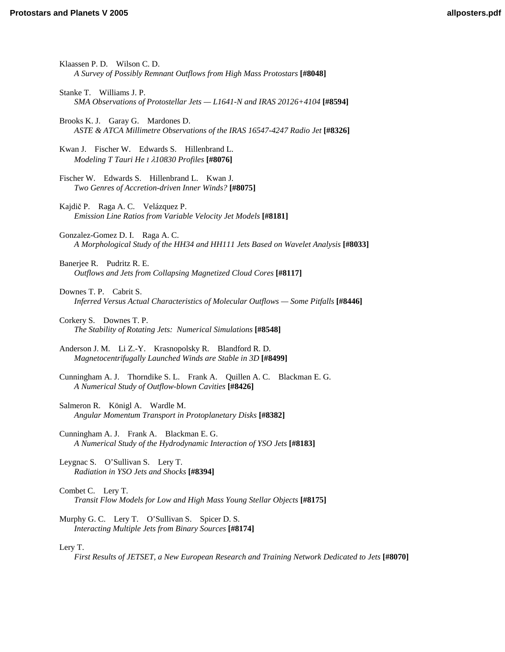| Klaassen P. D. Wilson C. D.<br>A Survey of Possibly Remnant Outflows from High Mass Protostars [#8048]                        |
|-------------------------------------------------------------------------------------------------------------------------------|
| Stanke T. Williams J. P.<br>SMA Observations of Protostellar Jets $-L1641$ -N and IRAS 20126+4104 [#8594]                     |
| Brooks K. J. Garay G. Mardones D.<br>ASTE & ATCA Millimetre Observations of the IRAS 16547-4247 Radio Jet [#8326]             |
| Kwan J. Fischer W. Edwards S. Hillenbrand L.<br>Modeling T Tauri He I 210830 Profiles [#8076]                                 |
| Fischer W. Edwards S. Hillenbrand L. Kwan J.<br>Two Genres of Accretion-driven Inner Winds? [#8075]                           |
| Kajdič P. Raga A. C. Velázquez P.<br>Emission Line Ratios from Variable Velocity Jet Models [#8181]                           |
| Gonzalez-Gomez D. I. Raga A. C.<br>A Morphological Study of the HH34 and HH111 Jets Based on Wavelet Analysis [#8033]         |
| Banerjee R. Pudritz R. E.<br>Outflows and Jets from Collapsing Magnetized Cloud Cores [#8117]                                 |
| Downes T. P. Cabrit S.<br>Inferred Versus Actual Characteristics of Molecular Outflows - Some Pitfalls [#8446]                |
| Corkery S. Downes T. P.<br>The Stability of Rotating Jets: Numerical Simulations [#8548]                                      |
| Anderson J. M. Li Z.-Y. Krasnopolsky R. Blandford R. D.<br>Magnetocentrifugally Launched Winds are Stable in 3D [#8499]       |
| Cunningham A. J. Thorndike S. L. Frank A. Quillen A. C. Blackman E. G.<br>A Numerical Study of Outflow-blown Cavities [#8426] |
| Salmeron R. Königl A. Wardle M.<br>Angular Momentum Transport in Protoplanetary Disks [#8382]                                 |
| Cunningham A. J. Frank A. Blackman E. G.<br>A Numerical Study of the Hydrodynamic Interaction of YSO Jets [#8183]             |
| Leygnac S. O'Sullivan S. Lery T.<br>Radiation in YSO Jets and Shocks [#8394]                                                  |
| Combet C. Lery T.<br>Transit Flow Models for Low and High Mass Young Stellar Objects [#8175]                                  |
| Murphy G. C. Lery T. O'Sullivan S. Spicer D. S.<br>Interacting Multiple Jets from Binary Sources [#8174]                      |
| Lery T.<br>First Results of JETSET, a New European Research and Training Network Dedicated to Jets [#8070]                    |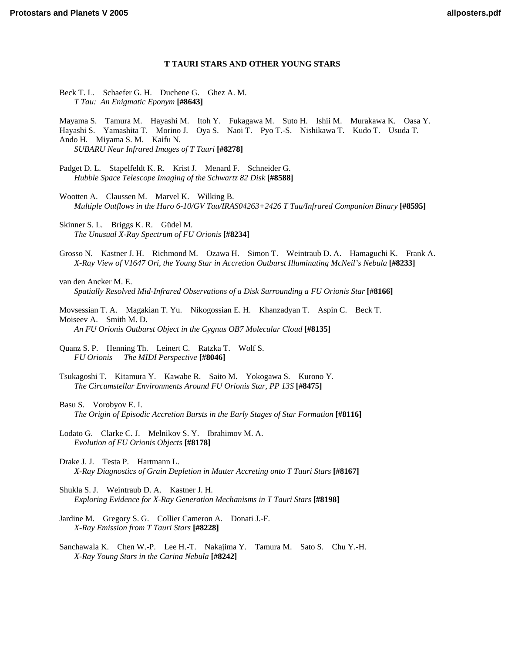## **T TAURI STARS AND OTHER YOUNG STARS**

[Beck T. L. Schaefer G. H. Duchene G. Ghez A. M.](http://www.lpi.usra.edu/meetings/ppv2005/pdf/8643.pdf)  *T Tau: An Enigmatic Eponym* **[#8643]**

[Mayama S. Tamura M. Hayashi M. Itoh Y. Fukagawa M. Suto H. Ishii M. Murakawa K. Oasa Y.](http://www.lpi.usra.edu/meetings/ppv2005/pdf/8278.pdf)  Hayashi S. Yamashita T. Morino J. Oya S. Naoi T. Pyo T.-S. Nishikawa T. Kudo T. Usuda T. Ando H. Miyama S. M. Kaifu N. *SUBARU Near Infrared Images of T Tauri* **[#8278]**

[Padget D. L. Stapelfeldt K. R. Krist J. Menard F. Schneider G.](http://www.lpi.usra.edu/meetings/ppv2005/pdf/8588.pdf)  *Hubble Space Telescope Imaging of the Schwartz 82 Disk* **[#8588]**

Wootten A. Claussen M. Marvel K. Wilking B. *[Multiple Outflows in the Haro 6-10/GV Tau/IRAS04263+2426 T Tau/Infrared Companion Binary](http://www.lpi.usra.edu/meetings/ppv2005/pdf/8595.pdf)* **[#8595]**

Skinner S. L. Briggs K. R. Güdel M. *[The Unusual X-Ray Spectrum of FU Orionis](http://www.lpi.usra.edu/meetings/ppv2005/pdf/8234.pdf)* **[#8234]**

[Grosso N. Kastner J. H. Richmond M. Ozawa H. Simon T. Weintraub D. A. Hamaguchi K. Frank A.](http://www.lpi.usra.edu/meetings/ppv2005/pdf/8233.pdf)  *X-Ray View of V1647 Ori, the Young Star in Accretion Outburst Illuminating McNeil's Nebula* **[#8233]**

van den Ancker M. E. *[Spatially Resolved Mid-Infrared Observations of a Disk Surrounding a FU Orionis Star](http://www.lpi.usra.edu/meetings/ppv2005/pdf/8166.pdf)* **[#8166]**

[Movsessian T. A. Magakian T. Yu. Nikogossian E. H. Khanzadyan T. Aspin C. Beck T.](http://www.lpi.usra.edu/meetings/ppv2005/pdf/8135.pdf)  Moiseev A. Smith M. D. *An FU Orionis Outburst Object in the Cygnus OB7 Molecular Cloud* **[#8135]**

[Quanz S. P. Henning Th. Leinert C. Ratzka T. Wolf S.](http://www.lpi.usra.edu/meetings/ppv2005/pdf/8046.pdf)  *FU Orionis — The MIDI Perspective* **[#8046]**

[Tsukagoshi T. Kitamura Y. Kawabe R. Saito M. Yokogawa S. Kurono Y.](http://www.lpi.usra.edu/meetings/ppv2005/pdf/8046.pdf)  *The Circumstellar Environments Around FU Orionis Star, PP 13S* **[#8475]**

#### Basu S. Vorobyov E. I.

*[The Origin of Episodic Accretion Bursts in the Early Stages of Star Formation](http://www.lpi.usra.edu/meetings/ppv2005/pdf/8116.pdf)* **[#8116]**

- [Lodato G. Clarke C. J. Melnikov S. Y. Ibrahimov M. A.](http://www.lpi.usra.edu/meetings/ppv2005/pdf/8178.pdf)  *Evolution of FU Orionis Objects* **[#8178]**
- Drake J. J. Testa P. Hartmann L. *[X-Ray Diagnostics of Grain Depletion in Matter Accreting onto T Tauri Stars](http://www.lpi.usra.edu/meetings/ppv2005/pdf/8167.pdf)* **[#8167]**
- Shukla S. J. Weintraub D. A. Kastner J. H. *[Exploring Evidence for X-Ray Generation Mechanisms in T Tauri Stars](http://www.lpi.usra.edu/meetings/ppv2005/pdf/8198.pdf)* **[#8198]**
- [Jardine M. Gregory S. G. Collier Cameron A. Donati J.-F.](http://www.lpi.usra.edu/meetings/ppv2005/pdf/8228.pdf)  *X-Ray Emission from T Tauri Stars* **[#8228]**
- [Sanchawala K. Chen W.-P. Lee H.-T. Nakajima Y. Tamura M. Sato S. Chu Y.-H.](http://www.lpi.usra.edu/meetings/ppv2005/pdf/8242.pdf)  *X-Ray Young Stars in the Carina Nebula* **[#8242]**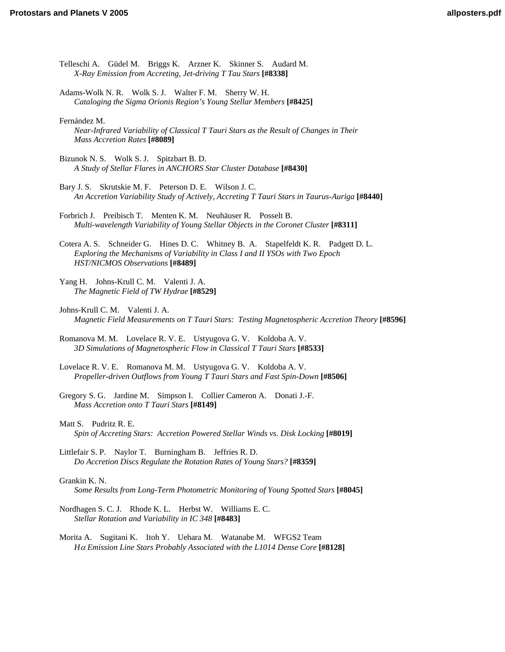- [Telleschi A. Güdel M. Briggs K. Arzner K. Skinner S. Audard M.](http://www.lpi.usra.edu/meetings/ppv2005/pdf/8338.pdf)  *X-Ray Emission from Accreting, Jet-driving T Tau Stars* **[#8338]**
- [Adams-Wolk N. R. Wolk S. J. Walter F. M. Sherry W. H.](http://www.lpi.usra.edu/meetings/ppv2005/pdf/8425.pdf)  *Cataloging the Sigma Orionis Region's Young Stellar Members* **[#8425]**

Fernández M.

- *[Near-Infrared Variability of Classical T Tauri Stars as the Result of Changes in Their](http://www.lpi.usra.edu/meetings/ppv2005/pdf/8089.pdf)  Mass Accretion Rates* **[#8089]**
- Bizunok N. S. Wolk S. J. Spitzbart B. D. *[A Study of Stellar Flares in ANCHORS Star Cluster Database](http://www.lpi.usra.edu/meetings/ppv2005/pdf/8430.pdf)* **[#8430]**
- Bary J. S. Skrutskie M. F. Peterson D. E. Wilson J. C. *[An Accretion Variability Study of Actively, Accreting T Tauri Stars in Taurus-Auriga](http://www.lpi.usra.edu/meetings/ppv2005/pdf/8440.pdf)* **[#8440]**
- Forbrich J. Preibisch T. Menten K. M. Neuhäuser R. Posselt B. *[Multi-wavelength Variability of Young Stellar Objects in the Coronet Cluster](http://www.lpi.usra.edu/meetings/ppv2005/pdf/8311.pdf)* **[#8311]**
- [Cotera A. S. Schneider G. Hines D. C. Whitney B. A. Stapelfeldt K. R. Padgett D. L.](http://www.lpi.usra.edu/meetings/ppv2005/pdf/8489.pdf)  *Exploring the Mechanisms of Variability in Class I and II YSOs with Two Epoch HST/NICMOS Observations* **[#8489]**
- [Yang H. Johns-Krull C. M. Valenti J. A.](http://www.lpi.usra.edu/meetings/ppv2005/pdf/8529.pdf)  *The Magnetic Field of TW Hydrae* **[#8529]**
- Johns-Krull C. M. Valenti J. A. *[Magnetic Field Measurements on T Tauri Stars: Testing Magnetospheric Accretion Theory](http://www.lpi.usra.edu/meetings/ppv2005/pdf/8596.pdf)* **[#8596]**
- [Romanova M. M. Lovelace R. V. E. Ustyugova G. V. Koldoba A. V.](http://www.lpi.usra.edu/meetings/ppv2005/pdf/8533.pdf)  *3D Simulations of Magnetospheric Flow in Classical T Tauri Stars* **[#8533]**
- [Lovelace R. V. E. Romanova M. M. Ustyugova G. V. Koldoba A. V.](http://www.lpi.usra.edu/meetings/ppv2005/pdf/8506.pdf)  *Propeller-driven Outflows from Young T Tauri Stars and Fast Spin-Down* **[#8506]**
- [Gregory S. G. Jardine M. Simpson I. Collier Cameron A. Donati J.-F.](http://www.lpi.usra.edu/meetings/ppv2005/pdf/8149.pdf)  *Mass Accretion onto T Tauri Stars* **[#8149]**
- Matt S. Pudritz R. E. *[Spin of Accreting Stars: Accretion Powered Stellar Winds vs. Disk Locking](http://www.lpi.usra.edu/meetings/ppv2005/pdf/8019.pdf)* **[#8019]**
- Littlefair S. P. Naylor T. Burningham B. Jeffries R. D. *[Do Accretion Discs Regulate the Rotation Rates of Young Stars?](http://www.lpi.usra.edu/meetings/ppv2005/pdf/8359.pdf)* **[#8359]**

#### Grankin K. N.

*[Some Results from Long-Term Photometric Monitoring of Young Spotted Stars](http://www.lpi.usra.edu/meetings/ppv2005/pdf/8045.pdf)* **[#8045]**

- [Nordhagen S. C. J. Rhode K. L. Herbst W. Williams E. C.](http://www.lpi.usra.edu/meetings/ppv2005/pdf/8483.pdf)  *Stellar Rotation and Variability in IC 348* **[#8483]**
- [Morita A. Sugitani K. Itoh Y. Uehara M. Watanabe M. WFGS2 Team](http://www.lpi.usra.edu/meetings/ppv2005/pdf/8128.pdf)  *H*α *Emission Line Stars Probably Associated with the L1014 Dense Core* **[#8128]**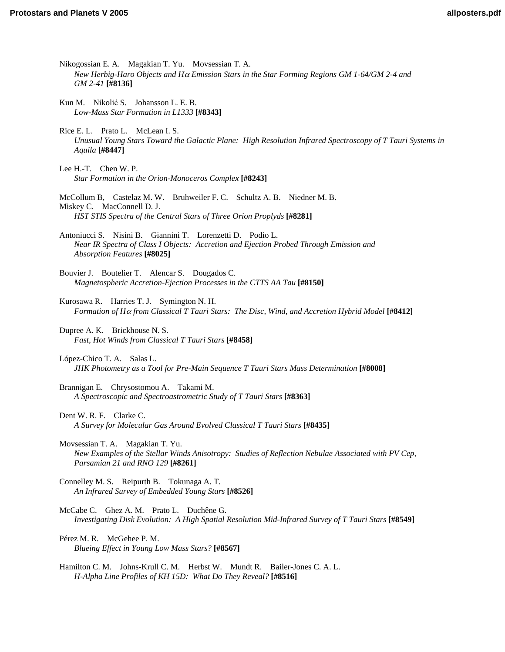Nikogossian E. A. Magakian T. Yu. Movsessian T. A. *New Herbig-Haro Objects and H*α *[Emission Stars in the Star Forming Regions GM 1-64/GM 2-4 and](http://www.lpi.usra.edu/meetings/ppv2005/pdf/8136.pdf)  GM 2-41* **[#8136]** Kun M. Nikolić S. Johansson L. E. B. *[Low-Mass Star Formation in L1333](http://www.lpi.usra.edu/meetings/ppv2005/pdf/8343.pdf)* **[#8343]** Rice E. L. Prato L. McLean I. S. *[Unusual Young Stars Toward the Galactic Plane: High Resolution Infrared Spectroscopy of T Tauri Systems in](http://www.lpi.usra.edu/meetings/ppv2005/pdf/8447.pdf)  Aquila* **[#8447]** Lee H.-T. Chen W. P. *[Star Formation in the Orion-Monoceros Complex](http://www.lpi.usra.edu/meetings/ppv2005/pdf/8243.pdf)* **[#8243]** [McCollum B, Castelaz M. W. Bruhweiler F. C. Schultz A. B. Niedner M. B.](http://www.lpi.usra.edu/meetings/ppv2005/pdf/8281.pdf)  Miskey C. MacConnell D. J. *HST STIS Spectra of the Central Stars of Three Orion Proplyds* **[#8281]** Antoniucci S. Nisini B. Giannini T. Lorenzetti D. Podio L. *[Near IR Spectra of Class I Objects: Accretion and Ejection Probed Through Emission and](http://www.lpi.usra.edu/meetings/ppv2005/pdf/8025.pdf)  Absorption Features* **[#8025]** Bouvier J. Boutelier T. Alencar S. Dougados C. *[Magnetospheric Accretion-Ejection Processes in the CTTS AA Tau](http://www.lpi.usra.edu/meetings/ppv2005/pdf/8150.pdf)* **[#8150]** Kurosawa R. Harries T. J. Symington N. H. *Formation of H*α *[from Classical T Tauri Stars: The Disc, Wind, and Accretion Hybrid Model](http://www.lpi.usra.edu/meetings/ppv2005/pdf/8412.pdf)* **[#8412]** Dupree A. K. Brickhouse N. S. *[Fast, Hot Winds from Classical T Tauri Stars](http://www.lpi.usra.edu/meetings/ppv2005/pdf/8458.pdf)* **[#8458]** López-Chico T. A. Salas L. *[JHK Photometry as a Tool for Pre-Main Sequence T Tauri Stars Mass Determination](http://www.lpi.usra.edu/meetings/ppv2005/pdf/8008.pdf)* **[#8008]** Brannigan E. Chrysostomou A. Takami M. *[A Spectroscopic and Spectroastrometric Study of T Tauri Stars](http://www.lpi.usra.edu/meetings/ppv2005/pdf/8363.pdf)* **[#8363]** Dent W. R. F. Clarke C. *[A Survey for Molecular Gas Around Evolved Classical T Tauri Stars](http://www.lpi.usra.edu/meetings/ppv2005/pdf/8435.pdf)* **[#8435]** Movsessian T. A. Magakian T. Yu. *[New Examples of the Stellar Winds Anisotropy: Studies of Reflection Nebulae Associated with PV Cep,](http://www.lpi.usra.edu/meetings/ppv2005/pdf/8261.pdf)  Parsamian 21 and RNO 129* **[#8261]** [Connelley M. S. Reipurth B. Tokunaga A. T.](http://www.lpi.usra.edu/meetings/ppv2005/pdf/8526.pdf)  *An Infrared Survey of Embedded Young Stars* **[#8526]** McCabe C. Ghez A. M. Prato L. Duchêne G. *[Investigating Disk Evolution: A High Spatial Resolution Mid-Infrared Survey of T Tauri Stars](http://www.lpi.usra.edu/meetings/ppv2005/pdf/8549.pdf)* **[#8549]** Pérez M. R. McGehee P. M. *[Blueing Effect in Young Low Mass Stars?](http://www.lpi.usra.edu/meetings/ppv2005/pdf/8567.pdf)* **[#8567]** [Hamilton C. M. Johns-Krull C. M. Herbst W. Mundt R. Bailer-Jones C. A. L.](http://www.lpi.usra.edu/meetings/ppv2005/pdf/8516.pdf)  *H-Alpha Line Profiles of KH 15D: What Do They Reveal?* **[#8516]**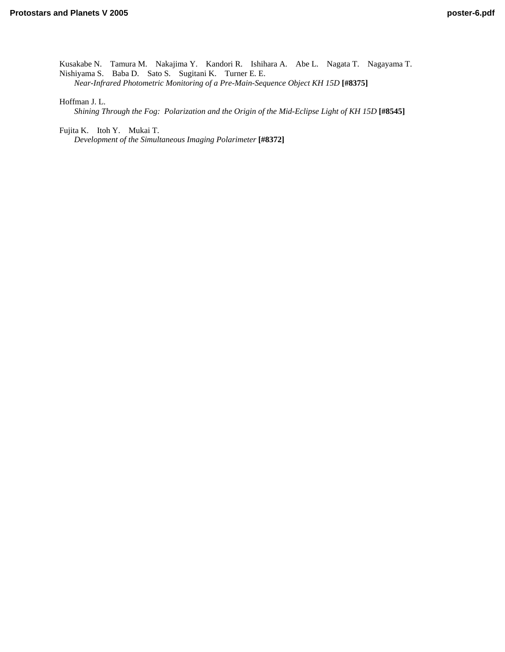[Kusakabe N. Tamura M. Nakajima Y. Kandori R. Ishihara A. Abe L. Nagata T. Nagayama T.](http://www.lpi.usra.edu/meetings/ppv2005/pdf/8375.pdf)  Nishiyama S. Baba D. Sato S. Sugitani K. Turner E. E. *Near-Infrared Photometric Monitoring of a Pre-Main-Sequence Object KH 15D* **[#8375]**

Hoffman J. L.

*[Shining Through the Fog: Polarization and the Origin of the Mid-Eclipse Light of KH 15D](http://www.lpi.usra.edu/meetings/ppv2005/pdf/8545.pdf)* **[#8545]**

Fujita K. Itoh Y. Mukai T.

*[Development of the Simultaneous Imaging Polarimeter](http://www.lpi.usra.edu/meetings/ppv2005/pdf/8372.pdf)* **[#8372]**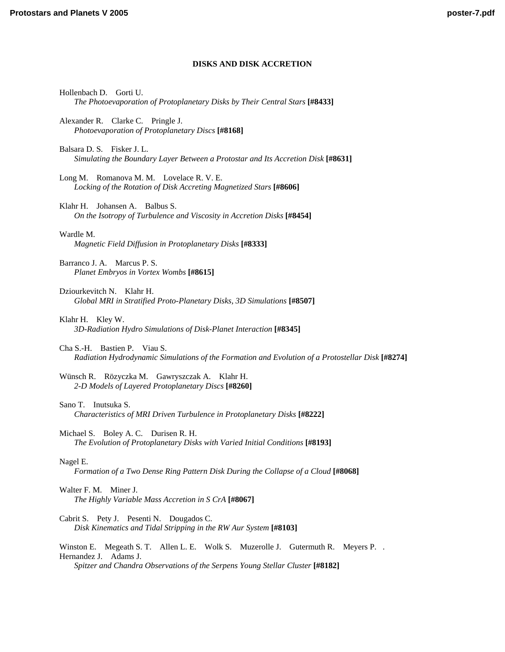# **DISKS AND DISK ACCRETION**

Hollenbach D. Gorti U. *[The Photoevaporation of Protoplanetary Disks by Their Central Stars](http://www.lpi.usra.edu/meetings/ppv2005/pdf/8433.pdf)* **[#8433]**

- Alexander R. Clarke C. Pringle J. *[Photoevaporation of Protoplanetary Discs](http://www.lpi.usra.edu/meetings/ppv2005/pdf/8168.pdf)* **[#8168]**
- Balsara D. S. Fisker J. L. *[Simulating the Boundary Layer Between a Protostar and Its Accretion Disk](http://www.lpi.usra.edu/meetings/ppv2005/pdf/8631.pdf)* **[#8631]**
- Long M. Romanova M. M. Lovelace R. V. E. *[Locking of the Rotation of Disk Accreting Magnetized Stars](http://www.lpi.usra.edu/meetings/ppv2005/pdf/8606.pdf)* **[#8606]**
- Klahr H. Johansen A. Balbus S. *[On the Isotropy of Turbulence and Viscosity in Accretion Disks](http://www.lpi.usra.edu/meetings/ppv2005/pdf/8454.pdf)* **[#8454]**

Wardle M. *[Magnetic Field Diffusion in Protoplanetary Disks](http://www.lpi.usra.edu/meetings/ppv2005/pdf/8333.pdf)* **[#8333]**

Barranco J. A. Marcus P. S. *[Planet Embryos in Vortex Wombs](http://www.lpi.usra.edu/meetings/ppv2005/pdf/8615.pdf)* **[#8615]**

- Dziourkevitch N. Klahr H. *[Global MRI in Stratified Proto-Planetary Disks, 3D Simulations](http://www.lpi.usra.edu/meetings/ppv2005/pdf/8507.pdf)* **[#8507]**
- Klahr H. Kley W. *[3D-Radiation Hydro Simulations of Disk-Planet Interaction](http://www.lpi.usra.edu/meetings/ppv2005/pdf/8345.pdf)* **[#8345]**
- Cha S.-H. Bastien P. Viau S. *[Radiation Hydrodynamic Simulations of the Formation and Evolution of a Protostellar Disk](http://www.lpi.usra.edu/meetings/ppv2005/pdf/8274.pdf)* **[#8274]**
- [Wünsch R. Rözyczka M. Gawryszczak A. Klahr H.](http://www.lpi.usra.edu/meetings/ppv2005/pdf/8260.pdf)  *2-D Models of Layered Protoplanetary Discs* **[#8260]**
- Sano T. Inutsuka S. *[Characteristics of MRI Driven Turbulence in Protoplanetary Disks](http://www.lpi.usra.edu/meetings/ppv2005/pdf/8222.pdf)* **[#8222]**
- Michael S. Boley A. C. Durisen R. H. *[The Evolution of Protoplanetary Disks with Varied Initial Conditions](http://www.lpi.usra.edu/meetings/ppv2005/pdf/8193.pdf)* **[#8193]**

# Nagel E.

*[Formation of a Two Dense Ring Pattern Disk During the Collapse of a Cloud](http://www.lpi.usra.edu/meetings/ppv2005/pdf/8068.pdf)* **[#8068]**

# Walter F. M. Miner J. *[The Highly Variable Mass Accretion in S CrA](http://www.lpi.usra.edu/meetings/ppv2005/pdf/8067.pdf)* **[#8067]**

Cabrit S. Pety J. Pesenti N. Dougados C. *[Disk Kinematics and Tidal Stripping in the RW Aur System](http://www.lpi.usra.edu/meetings/ppv2005/pdf/8103.pdf)* **[#8103]**

Winston E. Megeath S. T. Allen L. E. Wolk S. Muzerolle J. Gutermuth R. Meyers P. . Hernandez J. Adams J. *Spitzer and Chandra Observations of the Serpens Young Stellar Cluster* **[#8182]**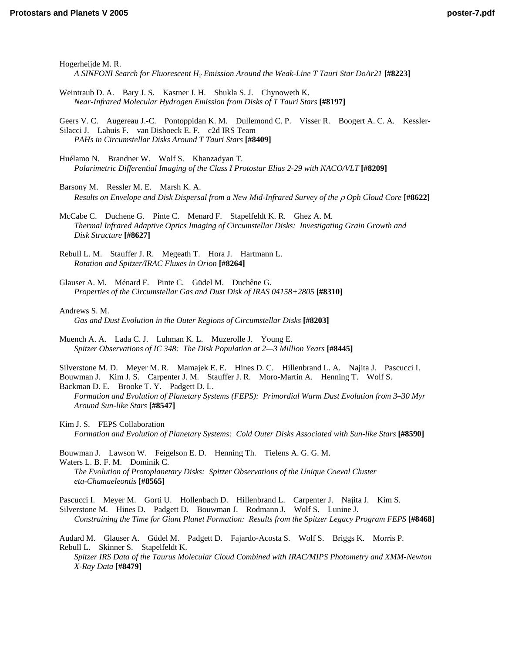Hogerheijde M. R. *[A SINFONI Search for Fluorescent H2 Emission Around the Weak-Line T Tauri Star DoAr21](http://www.lpi.usra.edu/meetings/ppv2005/pdf/8223.pdf)* **[#8223]** [Weintraub D. A. Bary J. S. Kastner J. H. Shukla S. J. Chynoweth K.](http://www.lpi.usra.edu/meetings/ppv2005/pdf/8197.pdf)  *Near-Infrared Molecular Hydrogen Emission from Disks of T Tauri Stars* **[#8197]** [Geers V. C. Augereau J.-C. Pontoppidan K. M. Dullemond C. P. Visser R. Boogert A. C. A. Kessler-](http://www.lpi.usra.edu/meetings/ppv2005/pdf/8409.pdf)Silacci J. Lahuis F. van Dishoeck E. F. c2d IRS Team *PAHs in Circumstellar Disks Around T Tauri Stars* **[#8409]** Huélamo N. Brandner W. Wolf S. Khanzadyan T. *[Polarimetric Differential Imaging of the Class I Protostar Elias 2-29 with NACO/VLT](http://www.lpi.usra.edu/meetings/ppv2005/pdf/8209.pdf)* **[#8209]** Barsony M. Ressler M. E. Marsh K. A. *[Results on Envelope and Disk Dispersal from a New Mid-Infrared Survey of the](http://www.lpi.usra.edu/meetings/ppv2005/pdf/8622.pdf)* ρ *Oph Cloud Core* **[#8622]** McCabe C. Duchene G. Pinte C. Menard F. Stapelfeldt K. R. Ghez A. M. *[Thermal Infrared Adaptive Optics Imaging of Circumstellar Disks: Investigating Grain Growth and](http://www.lpi.usra.edu/meetings/ppv2005/pdf/8627.pdf)  Disk Structure* **[#8627]** [Rebull L. M. Stauffer J. R. Megeath T. Hora J. Hartmann L.](http://www.lpi.usra.edu/meetings/ppv2005/pdf/8264.pdf)  *Rotation and Spitzer/IRAC Fluxes in Orion* **[#8264]** Glauser A. M. Ménard F. Pinte C. Güdel M. Duchêne G. *[Properties of the Circumstellar Gas and Dust Disk of IRAS 04158+2805](http://www.lpi.usra.edu/meetings/ppv2005/pdf/8310.pdf)* **[#8310]** Andrews S. M. *[Gas and Dust Evolution in the Outer Regions of Circumstellar Disks](http://www.lpi.usra.edu/meetings/ppv2005/pdf/8203.pdf)* **[#8203]** Muench A. A. Lada C. J. Luhman K. L. Muzerolle J. Young E. *[Spitzer Observations of IC 348: The Disk Population at 2—3 Million Years](http://www.lpi.usra.edu/meetings/ppv2005/pdf/8445.pdf)* **[#8445]** [Silverstone M. D. Meyer M. R. Mamajek E. E. Hines D. C. Hillenbrand L. A. Najita J. Pascucci I.](http://www.lpi.usra.edu/meetings/ppv2005/pdf/8547.pdf)  Bouwman J. Kim J. S. Carpenter J. M. Stauffer J. R. Moro-Martin A. Henning T. Wolf S. Backman D. E. Brooke T. Y. Padgett D. L. *Formation and Evolution of Planetary Systems (FEPS): Primordial Warm Dust Evolution from 3–30 Myr Around Sun-like Stars* **[#8547]** Kim J. S. FEPS Collaboration *[Formation and Evolution of Planetary Systems: Cold Outer Disks Associated with Sun-like Stars](http://www.lpi.usra.edu/meetings/ppv2005/pdf/8590.pdf)* **[#8590]** Bouwman J. Lawson W. Feigelson E. D. Henning Th. Tielens A. G. G. M. Waters L. B. F. M. Dominik C. *[The Evolution of Protoplanetary Disks: Spitzer Observations of the Unique Coeval Cluster](http://www.lpi.usra.edu/meetings/ppv2005/pdf/8565.pdf)  eta-Chamaeleontis* **[#8565]** [Pascucci I. Meyer M. Gorti U. Hollenbach D. Hillenbrand L. Carpenter J. Najita J. Kim S.](http://www.lpi.usra.edu/meetings/ppv2005/pdf/8468.pdf)  Silverstone M. Hines D. Padgett D. Bouwman J. Rodmann J. Wolf S. Lunine J. *Constraining the Time for Giant Planet Formation: Results from the Spitzer Legacy Program FEPS* **[#8468]** Audard M. Glauser A. Güdel M. Padgett D. Fajardo-Acosta S. Wolf S. Briggs K. Morris P. Rebull L. Skinner S. Stapelfeldt K. *[Spitzer IRS Data of the Taurus Molecular Cloud Combined with IRAC/MIPS Photometry and XMM-Newton](http://www.lpi.usra.edu/meetings/ppv2005/pdf/8479.pdf)  X-Ray Data* **[#8479]**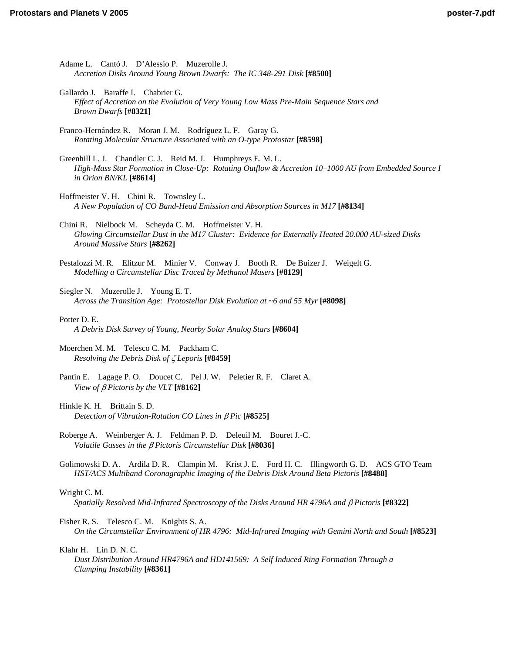- Adame L. Cantó J. D'Alessio P. Muzerolle J. *[Accretion Disks Around Young Brown Dwarfs: The IC 348-291 Disk](http://www.lpi.usra.edu/meetings/ppv2005/pdf/8500.pdf)* **[#8500]**
- Gallardo J. Baraffe I. Chabrier G. *[Effect of Accretion on the Evolution of Very Young Low Mass Pre-Main Sequence Stars and](http://www.lpi.usra.edu/meetings/ppv2005/pdf/8321.pdf)  Brown Dwarfs* **[#8321]**
- [Franco-Hernández R. Moran J. M. Rodríguez L. F. Garay G.](http://www.lpi.usra.edu/meetings/ppv2005/pdf/8598.pdf)  *Rotating Molecular Structure Associated with an O-type Protostar* **[#8598]**
- Greenhill L. J. Chandler C. J. Reid M. J. Humphreys E. M. L. *[High-Mass Star Formation in Close-Up: Rotating Outflow & Accretion 10–1000 AU from Embedded Source I](http://www.lpi.usra.edu/meetings/ppv2005/pdf/8614.pdf)  in Orion BN/KL* **[#8614]**
- Hoffmeister V. H. Chini R. Townsley L. *[A New Population of CO Band-Head Emission and Absorption Sources in M17](http://www.lpi.usra.edu/meetings/ppv2005/pdf/8134.pdf)* **[#8134]**
- Chini R. Nielbock M. Scheyda C. M. Hoffmeister V. H. *[Glowing Circumstellar Dust in the M17 Cluster: Evidence for Externally Heated 20.000 AU-sized Disks](http://www.lpi.usra.edu/meetings/ppv2005/pdf/8262.pdf)  Around Massive Stars* **[#8262]**
- [Pestalozzi M. R. Elitzur M. Minier V. Conway J. Booth R. De Buizer J. Weigelt G.](http://www.lpi.usra.edu/meetings/ppv2005/pdf/8129.pdf)  *Modelling a Circumstellar Disc Traced by Methanol Masers* **[#8129]**
- Siegler N. Muzerolle J. Young E. T. *[Across the Transition Age: Protostellar Disk Evolution at ~6 and 55 Myr](http://www.lpi.usra.edu/meetings/ppv2005/pdf/8098.pdf)* **[#8098]**
- Potter D. E. *[A Debris Disk Survey of Young, Nearby Solar Analog Stars](http://www.lpi.usra.edu/meetings/ppv2005/pdf/8604.pdf)* **[#8604]**
- [Moerchen M. M. Telesco C. M. Packham C.](http://www.lpi.usra.edu/meetings/ppv2005/pdf/8459.pdf)  *Resolving the Debris Disk of* ζ *Leporis* **[#8459]**
- [Pantin E. Lagage P. O. Doucet C. Pel J. W. Peletier R. F. Claret A.](http://www.lpi.usra.edu/meetings/ppv2005/pdf/8162.pdf)  *View of* β *Pictoris by the VLT* **[#8162]**
- Hinkle K. H. Brittain S. D. *[Detection of Vibration-Rotation CO Lines in](http://www.lpi.usra.edu/meetings/ppv2005/pdf/8525.pdf)* β *Pic* **[#8525]**
- [Roberge A. Weinberger A. J. Feldman P. D. Deleuil M. Bouret J.-C.](http://www.lpi.usra.edu/meetings/ppv2005/pdf/8036.pdf)  *Volatile Gasses in the* β *Pictoris Circumstellar Disk* **[#8036]**
- [Golimowski D. A. Ardila D. R. Clampin M. Krist J. E. Ford H. C. Illingworth G. D. ACS GTO Team](http://www.lpi.usra.edu/meetings/ppv2005/pdf/8488.pdf)  *HST/ACS Multiband Coronagraphic Imaging of the Debris Disk Around Beta Pictoris* **[#8488]**

# Wright C. M.

- *[Spatially Resolved Mid-Infrared Spectroscopy of the Disks Around HR 4796A and](http://www.lpi.usra.edu/meetings/ppv2005/pdf/8322.pdf)* β *Pictoris* **[#8322]**
- Fisher R. S. Telesco C. M. Knights S. A.
	- *[On the Circumstellar Environment of HR 4796: Mid-Infrared Imaging with Gemini North and South](http://www.lpi.usra.edu/meetings/ppv2005/pdf/8523.pdf)* **[#8523]**

Klahr H. Lin D. N. C.

*[Dust Distribution Around HR4796A and HD141569: A Self Induced Ring Formation Through a](http://www.lpi.usra.edu/meetings/ppv2005/pdf/8361.pdf)  Clumping Instability* **[#8361]**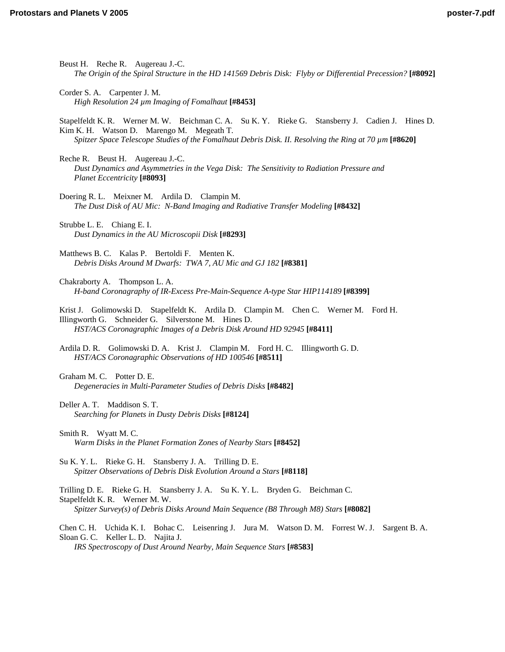- Beust H. Reche R. Augereau J.-C. *[The Origin of the Spiral Structure in the HD 141569 Debris Disk: Flyby or Differential Precession?](http://www.lpi.usra.edu/meetings/ppv2005/pdf/8092.pdf)* **[#8092]**
- Corder S. A. Carpenter J. M. *[High Resolution 24 µm Imaging of Fomalhaut](http://www.lpi.usra.edu/meetings/ppv2005/pdf/8453.pdf)* **[#8453]**

[Stapelfeldt K. R. Werner M. W. Beichman C. A. Su K. Y. Rieke G. Stansberry J. Cadien J. Hines D.](http://www.lpi.usra.edu/meetings/ppv2005/pdf/8620.pdf)  Kim K. H. Watson D. Marengo M. Megeath T. *Spitzer Space Telescope Studies of the Fomalhaut Debris Disk. II. Resolving the Ring at 70 µm* **[#8620]**

- Reche R. Beust H. Augereau J.-C. *[Dust Dynamics and Asymmetries in the Vega Disk: The Sensitivity to Radiation Pressure and](http://www.lpi.usra.edu/meetings/ppv2005/pdf/8093.pdf)  Planet Eccentricity* **[#8093]**
- Doering R. L. Meixner M. Ardila D. Clampin M. *[The Dust Disk of AU Mic: N-Band Imaging and Radiative Transfer Modeling](http://www.lpi.usra.edu/meetings/ppv2005/pdf/8432.pdf)* **[#8432]**
- Strubbe L. E. Chiang E. I. *[Dust Dynamics in the AU Microscopii Disk](http://www.lpi.usra.edu/meetings/ppv2005/pdf/8293.pdf)* **[#8293]**
- Matthews B. C. Kalas P. Bertoldi F. Menten K. *[Debris Disks Around M Dwarfs: TWA 7, AU Mic and GJ 182](http://www.lpi.usra.edu/meetings/ppv2005/pdf/8381.pdf)* **[#8381]**
- Chakraborty A. Thompson L. A. *[H-band Coronagraphy of IR-Excess Pre-Main-Sequence A-type Star HIP114189](http://www.lpi.usra.edu/meetings/ppv2005/pdf/8399.pdf)* **[#8399]**

[Krist J. Golimowski D. Stapelfeldt K. Ardila D. Clampin M. Chen C. Werner M. Ford H.](http://www.lpi.usra.edu/meetings/ppv2005/pdf/8411.pdf)  Illingworth G. Schneider G. Silverstone M. Hines D. *HST/ACS Coronagraphic Images of a Debris Disk Around HD 92945* **[#8411]**

- [Ardila D. R. Golimowski D. A. Krist J. Clampin M. Ford H. C. Illingworth G. D.](http://www.lpi.usra.edu/meetings/ppv2005/pdf/8511.pdf)  *HST/ACS Coronagraphic Observations of HD 100546* **[#8511]**
- Graham M. C. Potter D. E. *[Degeneracies in Multi-Parameter Studies of Debris Disks](http://www.lpi.usra.edu/meetings/ppv2005/pdf/8482.pdf)* **[#8482]**
- Deller A. T. Maddison S. T. *[Searching for Planets in Dusty Debris Disks](http://www.lpi.usra.edu/meetings/ppv2005/pdf/8124.pdf)* **[#8124]**
- Smith R. Wyatt M. C. *[Warm Disks in the Planet Formation Zones of Nearby Stars](http://www.lpi.usra.edu/meetings/ppv2005/pdf/8452.pdf)* **[#8452]**
- Su K. Y. L. Rieke G. H. Stansberry J. A. Trilling D. E. *[Spitzer Observations of Debris Disk Evolution Around a Stars](http://www.lpi.usra.edu/meetings/ppv2005/pdf/8118.pdf)* **[#8118]**

[Trilling D. E. Rieke G. H. Stansberry J. A. Su K. Y. L. Bryden G. Beichman C.](http://www.lpi.usra.edu/meetings/ppv2005/pdf/8082.pdf)  Stapelfeldt K. R. Werner M. W. *Spitzer Survey(s) of Debris Disks Around Main Sequence (B8 Through M8) Stars* **[#8082]**

[Chen C. H. Uchida K. I. Bohac C. Leisenring J. Jura M. Watson D. M. Forrest W. J. Sargent B. A.](http://www.lpi.usra.edu/meetings/ppv2005/pdf/8583.pdf)  Sloan G. C. Keller L. D. Najita J.

*IRS Spectroscopy of Dust Around Nearby, Main Sequence Stars* **[#8583]**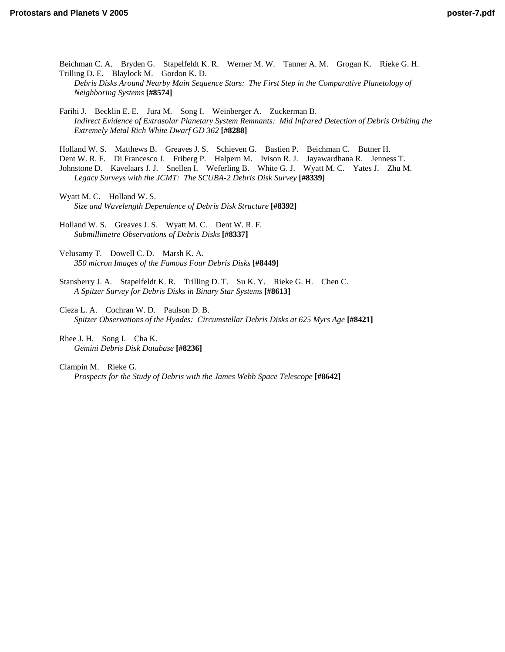[Beichman C. A. Bryden G. Stapelfeldt K. R. Werner M. W. Tanner A. M. Grogan K. Rieke G. H.](http://www.lpi.usra.edu/meetings/ppv2005/pdf/8574.pdf)  Trilling D. E. Blaylock M. Gordon K. D. *Debris Disks Around Nearby Main Sequence Stars: The First Step in the Comparative Planetology of Neighboring Systems* **[#8574]**

Farihi J. Becklin E. E. Jura M. Song I. Weinberger A. Zuckerman B. *[Indirect Evidence of Extrasolar Planetary System Remnants: Mid Infrared Detection of Debris Orbiting the](http://www.lpi.usra.edu/meetings/ppv2005/pdf/8288.pdf)  Extremely Metal Rich White Dwarf GD 362* **[#8288]**

Holland W. S. Matthews B. Greaves J. S. Schieven G. Bastien P. Beichman C. Butner H.

Dent W. R. F. Di Francesco J. Friberg P. Halpern M. Ivison R. J. Jayawardhana R. Jenness T.

Johnstone D. Kavelaars J. J. Snellen I. Weferling B. White G. J. Wyatt M. C. Yates J. Zhu M. *Legacy Surveys with the JCMT: The SCUBA-2 Debris Disk Survey* **[#8339]**

Wyatt M. C. Holland W. S. *[Size and Wavelength Dependence of Debris Disk Structure](http://www.lpi.usra.edu/meetings/ppv2005/pdf/8392.pdf)* **[#8392]**

[Holland W. S. Greaves J. S. Wyatt M. C. Dent W. R. F.](http://www.lpi.usra.edu/meetings/ppv2005/pdf/8337.pdf)  *Submillimetre Observations of Debris Disks* **[#8337]**

Velusamy T. Dowell C. D. Marsh K. A. *[350 micron Images of the Famous Four Debris Disks](http://www.lpi.usra.edu/meetings/ppv2005/pdf/8449.pdf)* **[#8449]**

[Stansberry J. A. Stapelfeldt K. R. Trilling D. T. Su K. Y. Rieke G. H. Chen C.](http://www.lpi.usra.edu/meetings/ppv2005/pdf/8613.pdf)  *A Spitzer Survey for Debris Disks in Binary Star Systems* **[#8613]**

Cieza L. A. Cochran W. D. Paulson D. B. *[Spitzer Observations of the Hyades: Circumstellar Debris Disks at 625 Myrs Age](http://www.lpi.usra.edu/meetings/ppv2005/pdf/8421.pdf)* **[#8421]**

[Rhee J. H. Song I. Cha K.](http://www.lpi.usra.edu/meetings/ppv2005/pdf/8236.pdf)  *Gemini Debris Disk Database* **[#8236]**

Clampin M. Rieke G. *[Prospects for the Study of Debris with the James Webb Space Telescope](http://www.lpi.usra.edu/meetings/ppv2005/pdf/8642.pdf)* **[#8642]**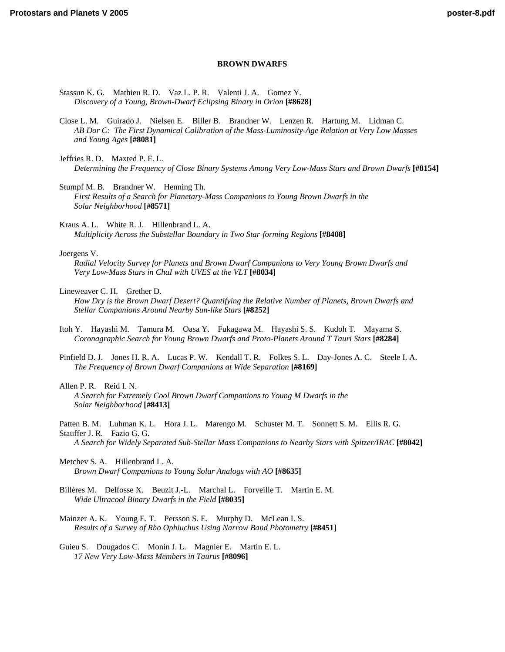#### **BROWN DWARFS**

- [Stassun K. G. Mathieu R. D. Vaz L. P. R. Valenti J. A. Gomez Y.](http://www.lpi.usra.edu/meetings/ppv2005/pdf/8628.pdf)  *Discovery of a Young, Brown-Dwarf Eclipsing Binary in Orion* **[#8628]**
- [Close L. M. Guirado J. Nielsen E. Biller B. Brandner W. Lenzen R. Hartung M. Lidman C.](http://www.lpi.usra.edu/meetings/ppv2005/pdf/8081.pdf)  *AB Dor C: The First Dynamical Calibration of the Mass-Luminosity-Age Relation at Very Low Masses and Young Ages* **[#8081]**
- Jeffries R. D. Maxted P. F. L. *[Determining the Frequency of Close Binary Systems Among Very Low-Mass Stars and Brown Dwarfs](http://www.lpi.usra.edu/meetings/ppv2005/pdf/8154.pdf)* **[#8154]**

Stumpf M. B. Brandner W. Henning Th. *[First Results of a Search for Planetary-Mass Companions to Young Brown Dwarfs in the](http://www.lpi.usra.edu/meetings/ppv2005/pdf/8571.pdf)  Solar Neighborhood* **[#8571]**

Kraus A. L. White R. J. Hillenbrand L. A. *[Multiplicity Across the Substellar Boundary in Two Star-forming Regions](http://www.lpi.usra.edu/meetings/ppv2005/pdf/8408.pdf)* **[#8408]**

#### Joergens V.

*[Radial Velocity Survey for Planets and Brown Dwarf Companions to Very Young Brown Dwarfs and](http://www.lpi.usra.edu/meetings/ppv2005/pdf/8034.pdf)  Very Low-Mass Stars in ChaI with UVES at the VLT* **[#8034]**

Lineweaver C. H. Grether D.

- *[How Dry is the Brown Dwarf Desert? Quantifying the Relative Number of Planets, Brown Dwarfs and](http://www.lpi.usra.edu/meetings/ppv2005/pdf/8252.pdf)  Stellar Companions Around Nearby Sun-like Stars* **[#8252]**
- [Itoh Y. Hayashi M. Tamura M. Oasa Y. Fukagawa M. Hayashi S. S. Kudoh T. Mayama S.](http://www.lpi.usra.edu/meetings/ppv2005/pdf/8284.pdf)  *Coronagraphic Search for Young Brown Dwarfs and Proto-Planets Around T Tauri Stars* **[#8284]**
- [Pinfield D. J. Jones H. R. A. Lucas P. W. Kendall T. R. Folkes S. L. Day-Jones A. C. Steele I. A.](http://www.lpi.usra.edu/meetings/ppv2005/pdf/8169.pdf)  *The Frequency of Brown Dwarf Companions at Wide Separation* **[#8169]**

Allen P. R. Reid I. N. *[A Search for Extremely Cool Brown Dwarf Companions to Young M Dwarfs in the](http://www.lpi.usra.edu/meetings/ppv2005/pdf/8413.pdf)  Solar Neighborhood* **[#8413]**

- [Patten B. M. Luhman K. L. Hora J. L. Marengo M. Schuster M. T. Sonnett S. M. Ellis R. G.](http://www.lpi.usra.edu/meetings/ppv2005/pdf/8042.pdf)  Stauffer J. R. Fazio G. G. *A Search for Widely Separated Sub-Stellar Mass Companions to Nearby Stars with Spitzer/IRAC* **[#8042]**
- Metchev S. A. Hillenbrand L. A. *[Brown Dwarf Companions to Young Solar Analogs with AO](http://www.lpi.usra.edu/meetings/ppv2005/pdf/8635.pdf)* **[#8635]**
- [Billères M. Delfosse X. Beuzit J.-L. Marchal L. Forveille T. Martin E. M.](http://www.lpi.usra.edu/meetings/ppv2005/pdf/8035.pdf)  *Wide Ultracool Binary Dwarfs in the Field* **[#8035]**
- [Mainzer A. K. Young E. T. Persson S. E. Murphy D. McLean I. S.](http://www.lpi.usra.edu/meetings/ppv2005/pdf/8451.pdf)  *Results of a Survey of Rho Ophiuchus Using Narrow Band Photometry* **[#8451]**

[Guieu S. Dougados C. Monin J. L. Magnier E. Martin E. L.](http://www.lpi.usra.edu/meetings/ppv2005/pdf/8096.pdf)  *17 New Very Low-Mass Members in Taurus* **[#8096]**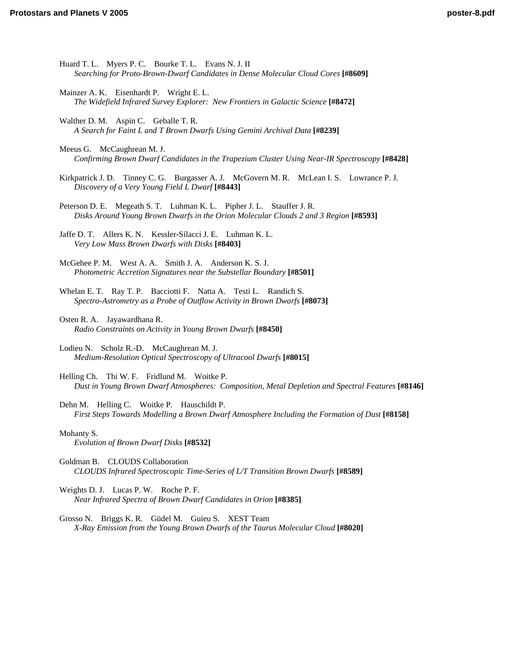- Huard T. L. Myers P. C. Bourke T. L. Evans N. J. II *[Searching for Proto-Brown-Dwarf Candidates in Dense Molecular Cloud Cores](http://www.lpi.usra.edu/meetings/ppv2005/pdf/8609.pdf)* **[#8609]**
- Mainzer A. K. Eisenhardt P. Wright E. L. *[The Widefield Infrared Survey Explorer: New Frontiers in Galactic Science](http://www.lpi.usra.edu/meetings/ppv2005/pdf/8472.pdf)* **[#8472]**
- Walther D. M. Aspin C. Geballe T. R. *[A Search for Faint L and T Brown Dwarfs Using Gemini Archival Data](http://www.lpi.usra.edu/meetings/ppv2005/pdf/8239.pdf)* **[#8239]**
- Meeus G. McCaughrean M. J. *[Confirming Brown Dwarf Candidates in the Trapezium Cluster Using Near-IR Spectroscopy](http://www.lpi.usra.edu/meetings/ppv2005/pdf/8428.pdf)* **[#8428]**
- [Kirkpatrick J. D. Tinney C. G. Burgasser A. J. McGovern M. R. McLean I. S. Lowrance P. J.](http://www.lpi.usra.edu/meetings/ppv2005/pdf/8443.pdf)  *Discovery of a Very Young Field L Dwarf* **[#8443]**
- Peterson D. E. Megeath S. T. Luhman K. L. Pipher J. L. Stauffer J. R. *[Disks Around Young Brown Dwarfs in the Orion Molecular Clouds 2 and 3 Region](http://www.lpi.usra.edu/meetings/ppv2005/pdf/8593.pdf)* **[#8593]**

[Jaffe D. T. Allers K. N. Kessler-Silacci J. E. Luhman K. L.](http://www.lpi.usra.edu/meetings/ppv2005/pdf/8403.pdf)  *Very Low Mass Brown Dwarfs with Disks* **[#8403]**

McGehee P. M. West A. A. Smith J. A. Anderson K. S. J. *[Photometric Accretion Signatures near the Substellar Boundary](http://www.lpi.usra.edu/meetings/ppv2005/pdf/8501.pdf)* **[#8501]**

- [Whelan E. T. Ray T. P. Bacciotti F. Natta A. Testi L. Randich S.](http://www.lpi.usra.edu/meetings/ppv2005/pdf/8073.pdf)  *Spectro-Astrometry as a Probe of Outflow Activity in Brown Dwarfs* **[#8073]**
- Osten R. A. Jayawardhana R. *[Radio Constraints on Activity in Young Brown Dwarfs](http://www.lpi.usra.edu/meetings/ppv2005/pdf/8450.pdf)* **[#8450]**
- Lodieu N. Scholz R.-D. McCaughrean M. J. *[Medium-Resolution Optical Spectroscopy of Ultracool Dwarfs](http://www.lpi.usra.edu/meetings/ppv2005/pdf/8015.pdf)* **[#8015]**
- Helling Ch. Thi W. F. Fridlund M. Woitke P. *[Dust in Young Brown Dwarf Atmospheres: Composition, Metal Depletion and Spectral Features](http://www.lpi.usra.edu/meetings/ppv2005/pdf/8146.pdf)* **[#8146]**
- Dehn M. Helling C. Woitke P. Hauschildt P. *[First Steps Towards Modelling a Brown Dwarf Atmosphere Including the Formation of Dust](http://www.lpi.usra.edu/meetings/ppv2005/pdf/8158.pdf)* **[#8158]**

#### Mohanty S.

*[Evolution of Brown Dwarf Disks](http://www.lpi.usra.edu/meetings/ppv2005/pdf/8532.pdf)* **[#8532]**

- Goldman B. CLOUDS Collaboration *[CLOUDS Infrared Spectroscopic Time-Series of L/T Transition Brown Dwarfs](http://www.lpi.usra.edu/meetings/ppv2005/pdf/8589.pdf)* **[#8589]**
- Weights D. J. Lucas P. W. Roche P. F. *[Near Infrared Spectra of Brown Dwarf Candidates in Orion](http://www.lpi.usra.edu/meetings/ppv2005/pdf/8385.pdf)* **[#8385]**
- Grosso N. Briggs K. R. Güdel M. Guieu S. XEST Team *[X-Ray Emission from the Young Brown Dwarfs of the Taurus Molecular Cloud](http://www.lpi.usra.edu/meetings/ppv2005/pdf/8020.pdf)* **[#8020]**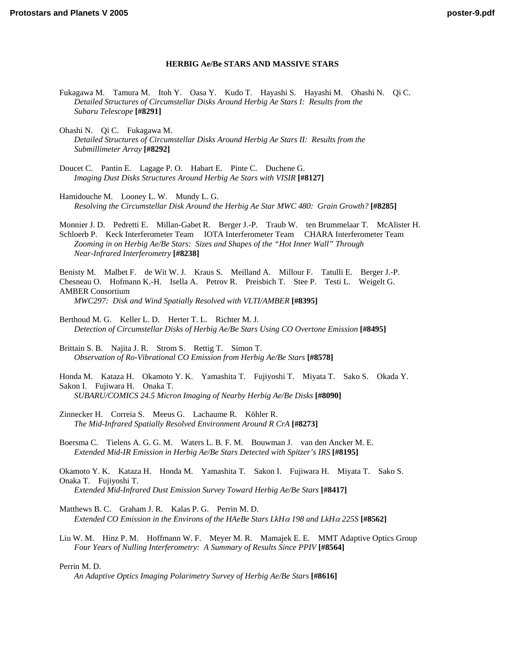# **HERBIG Ae/Be STARS AND MASSIVE STARS**

- [Fukagawa M. Tamura M. Itoh Y. Oasa Y. Kudo T. Hayashi S. Hayashi M. Ohashi N. Qi C.](http://www.lpi.usra.edu/meetings/ppv2005/pdf/8291.pdf)  *Detailed Structures of Circumstellar Disks Around Herbig Ae Stars I: Results from the Subaru Telescope* **[#8291]**
- Ohashi N. Qi C. Fukagawa M. *[Detailed Structures of Circumstellar Disks Around Herbig Ae Stars II: Results from the](http://www.lpi.usra.edu/meetings/ppv2005/pdf/8292.pdf)  Submillimeter Array* **[#8292]**
- [Doucet C. Pantin E. Lagage P. O. Habart E. Pinte C. Duchene G.](http://www.lpi.usra.edu/meetings/ppv2005/pdf/8127.pdf)  *Imaging Dust Disks Structures Around Herbig Ae Stars with VISIR* **[#8127]**

Hamidouche M. Looney L. W. Mundy L. G. *[Resolving the Circumstellar Disk Around the Herbig Ae Star MWC 480: Grain Growth?](http://www.lpi.usra.edu/meetings/ppv2005/pdf/8285.pdf)* **[#8285]**

[Monnier J. D. Pedretti E. Millan-Gabet R. Berger J.-P. Traub W. ten Brummelaar T. McAlister H.](http://www.lpi.usra.edu/meetings/ppv2005/pdf/8238.pdf)  Schloerb P. Keck Interferometer Team IOTA Interferometer Team CHARA Interferometer Team *Zooming in on Herbig Ae/Be Stars: Sizes and Shapes of the "Hot Inner Wall" Through Near-Infrared Interferometry* **[#8238]**

[Benisty M. Malbet F. de Wit W. J. Kraus S. Meilland A. Millour F. Tatulli E. Berger J.-P.](http://www.lpi.usra.edu/meetings/ppv2005/pdf/8395.pdf)  Chesneau O. Hofmann K.-H. Isella A. Petrov R. Preisbich T. Stee P. Testi L. Weigelt G. AMBER Consortium *MWC297: Disk and Wind Spatially Resolved with VLTI/AMBER* **[#8395]**

Berthoud M. G. Keller L. D. Herter T. L. Richter M. J. *[Detection of Circumstellar Disks of Herbig Ae/Be Stars Using CO Overtone Emission](http://www.lpi.usra.edu/meetings/ppv2005/pdf/8495.pdf)* **[#8495]**

Brittain S. B. Najita J. R. Strom S. Rettig T. Simon T. *[Observation of Ro-Vibrational CO Emission from Herbig Ae/Be Stars](http://www.lpi.usra.edu/meetings/ppv2005/pdf/8578.pdf)* **[#8578]**

[Honda M. Kataza H. Okamoto Y. K. Yamashita T. Fujiyoshi T. Miyata T. Sako S. Okada Y.](http://www.lpi.usra.edu/meetings/ppv2005/pdf/8090.pdf)  Sakon I. Fujiwara H. Onaka T. *SUBARU/COMICS 24.5 Micron Imaging of Nearby Herbig Ae/Be Disks* **[#8090]**

[Zinnecker H. Correia S. Meeus G. Lachaume R. Köhler R.](http://www.lpi.usra.edu/meetings/ppv2005/pdf/8273.pdf)  *The Mid-Infrared Spatially Resolved Environment Around R CrA* **[#8273]**

[Boersma C. Tielens A. G. G. M. Waters L. B. F. M. Bouwman J. van den Ancker M. E.](http://www.lpi.usra.edu/meetings/ppv2005/pdf/8195.pdf)  *Extended Mid-IR Emission in Herbig Ae/Be Stars Detected with Spitzer's IRS* **[#8195]**

[Okamoto Y. K. Kataza H. Honda M. Yamashita T. Sakon I. Fujiwara H. Miyata T. Sako S.](http://www.lpi.usra.edu/meetings/ppv2005/pdf/8417.pdf)  Onaka T. Fujiyoshi T. *Extended Mid-Infrared Dust Emission Survey Toward Herbig Ae/Be Stars* **[#8417]**

Matthews B. C. Graham J. R. Kalas P. G. Perrin M. D. *[Extended CO Emission in the Environs of the HAeBe Stars LkH](http://www.lpi.usra.edu/meetings/ppv2005/pdf/8562.pdf)*α *198 and LkH*α *225S* **[#8562]**

[Liu W. M. Hinz P. M. Hoffmann W. F. Meyer M. R. Mamajek E. E. MMT Adaptive Optics Group](http://www.lpi.usra.edu/meetings/ppv2005/pdf/8564.pdf)  *Four Years of Nulling Interferometry: A Summary of Results Since PPIV* **[#8564]**

Perrin M. D.

*[An Adaptive Optics Imaging Polarimetry Survey of Herbig Ae/Be Stars](http://www.lpi.usra.edu/meetings/ppv2005/pdf/8616.pdf)* **[#8616]**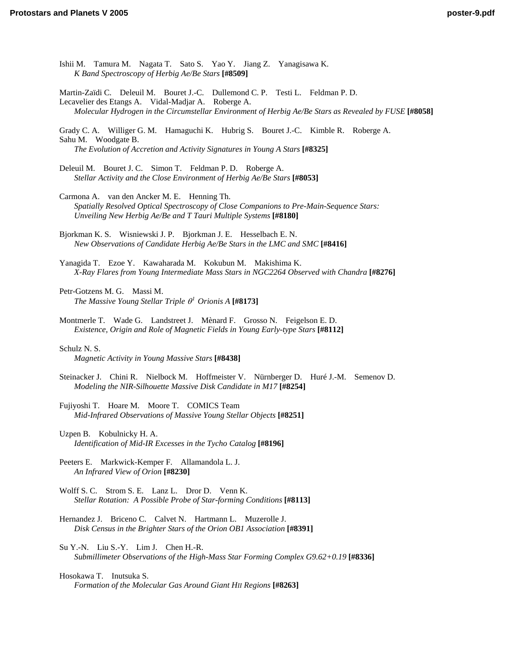[Ishii M. Tamura M. Nagata T. Sato S. Yao Y. Jiang Z. Yanagisawa K.](http://www.lpi.usra.edu/meetings/ppv2005/pdf/8509.pdf)  *K Band Spectroscopy of Herbig Ae/Be Stars* **[#8509]**

Martin-Zaïdi C. Deleuil M. Bouret J.-C. Dullemond C. P. Testi L. Feldman P. D. Lecavelier des Etangs A. Vidal-Madjar A. Roberge A. *[Molecular Hydrogen in the Circumstellar Environment of Herbig Ae/Be Stars as Revealed by FUSE](http://www.lpi.usra.edu/meetings/ppv2005/pdf/8058.pdf)* **[#8058]**

[Grady C. A. Williger G. M. Hamaguchi K. Hubrig S. Bouret J.-C. Kimble R. Roberge A.](http://www.lpi.usra.edu/meetings/ppv2005/pdf/8325.pdf)  Sahu M. Woodgate B. *The Evolution of Accretion and Activity Signatures in Young A Stars* **[#8325]**

[Deleuil M. Bouret J. C. Simon T. Feldman P. D. Roberge A.](http://www.lpi.usra.edu/meetings/ppv2005/pdf/8053.pdf)  *Stellar Activity and the Close Environment of Herbig Ae/Be Stars* **[#8053]**

Carmona A. van den Ancker M. E. Henning Th. *[Spatially Resolved Optical Spectroscopy of Close Companions to Pre-Main-Sequence Stars:](http://www.lpi.usra.edu/meetings/ppv2005/pdf/8180.pdf)  Unveiling New Herbig Ae/Be and T Tauri Multiple Systems* **[#8180]**

Bjorkman K. S. Wisniewski J. P. Bjorkman J. E. Hesselbach E. N. *[New Observations of Candidate Herbig Ae/Be Stars in the LMC and SMC](http://www.lpi.usra.edu/meetings/ppv2005/pdf/8416.pdf)* **[#8416]**

Yanagida T. Ezoe Y. Kawaharada M. Kokubun M. Makishima K. *[X-Ray Flares from Young Intermediate Mass Stars in NGC2264 Observed with Chandra](http://www.lpi.usra.edu/meetings/ppv2005/pdf/8276.pdf)* **[#8276]**

Petr-Gotzens M. G. Massi M. *[The Massive Young Stellar Triple](http://www.lpi.usra.edu/meetings/ppv2005/pdf/8173.pdf)* θ*<sup>1</sup> Orionis A* **[#8173]**

[Montmerle T. Wade G. Landstreet J. Mènard F. Grosso N. Feigelson E. D.](http://www.lpi.usra.edu/meetings/ppv2005/pdf/8112.pdf)  *Existence, Origin and Role of Magnetic Fields in Young Early-type Stars* **[#8112]**

Schulz N. S.

*[Magnetic Activity in Young Massive Stars](http://www.lpi.usra.edu/meetings/ppv2005/pdf/8438.pdf)* **[#8438]**

[Steinacker J. Chini R. Nielbock M. Hoffmeister V. Nürnberger D. Huré J.-M. Semenov D.](http://www.lpi.usra.edu/meetings/ppv2005/pdf/8254.pdf)  *Modeling the NIR-Silhouette Massive Disk Candidate in M17* **[#8254]**

Fujiyoshi T. Hoare M. Moore T. COMICS Team *[Mid-Infrared Observations of Massive Young Stellar Objects](http://www.lpi.usra.edu/meetings/ppv2005/pdf/8251.pdf)* **[#8251]**

Uzpen B. Kobulnicky H. A. *[Identification of Mid-IR Excesses in the Tycho Catalog](http://www.lpi.usra.edu/meetings/ppv2005/pdf/8196.pdf)* **[#8196]**

[Peeters E. Markwick-Kemper F. Allamandola L. J.](http://www.lpi.usra.edu/meetings/ppv2005/pdf/8230.pdf)  *An Infrared View of Orion* **[#8230]**

Wolff S. C. Strom S. E. Lanz L. Dror D. Venn K. *[Stellar Rotation: A Possible Probe of Star-forming Conditions](http://www.lpi.usra.edu/meetings/ppv2005/pdf/8113.pdf)* **[#8113]**

[Hernandez J. Briceno C. Calvet N. Hartmann L. Muzerolle J.](http://www.lpi.usra.edu/meetings/ppv2005/pdf/8391.pdf)  *Disk Census in the Brighter Stars of the Orion OB1 Association* **[#8391]**

Su Y.-N. Liu S.-Y. Lim J. Chen H.-R. *[Submillimeter Observations of the High-Mass Star Forming Complex G9.62+0.19](http://www.lpi.usra.edu/meetings/ppv2005/pdf/8336.pdf)* **[#8336]**

Hosokawa T. Inutsuka S. *[Formation of the Molecular Gas Around Giant HII Regions](http://www.lpi.usra.edu/meetings/ppv2005/pdf/8263.pdf)* **[#8263]**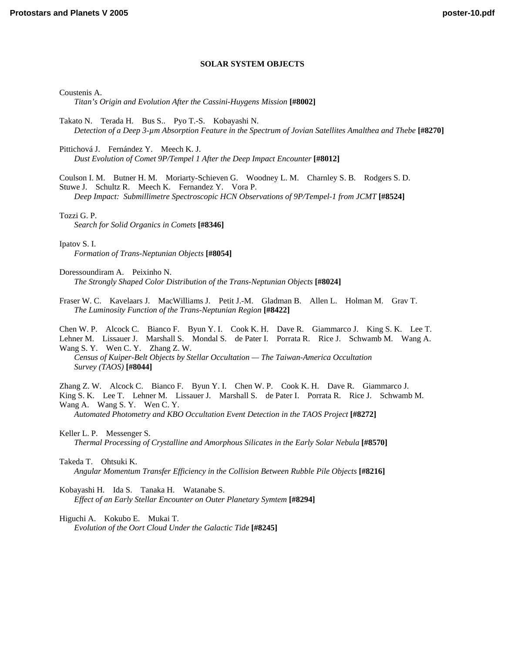# **SOLAR SYSTEM OBJECTS**

Coustenis A.

*[Titan's Origin and Evolution After the Cassini-Huygens Mission](http://www.lpi.usra.edu/meetings/ppv2005/pdf/8002.pdf)* **[#8002]**

Takato N. Terada H. Bus S.. Pyo T.-S. Kobayashi N. *[Detection of a Deep 3-µm Absorption Feature in the Spectrum of Jovian Satellites Amalthea and Thebe](http://www.lpi.usra.edu/meetings/ppv2005/pdf/8270.pdf)* **[#8270]**

Pittichová J. Fernández Y. Meech K. J. *[Dust Evolution of Comet 9P/Tempel 1 After the Deep Impact Encounter](http://www.lpi.usra.edu/meetings/ppv2005/pdf/8012.pdf)* **[#8012]**

[Coulson I. M. Butner H. M. Moriarty-Schieven G. Woodney L. M. Charnley S. B. Rodgers S. D.](http://www.lpi.usra.edu/meetings/ppv2005/pdf/8524.pdf)  Stuwe J. Schultz R. Meech K. Fernandez Y. Vora P.

*Deep Impact: Submillimetre Spectroscopic HCN Observations of 9P/Tempel-1 from JCMT* **[#8524]**

Tozzi G. P.

*[Search for Solid Organics in Comets](http://www.lpi.usra.edu/meetings/ppv2005/pdf/8346.pdf)* **[#8346]**

Ipatov S. I.

*[Formation of Trans-Neptunian Objects](http://www.lpi.usra.edu/meetings/ppv2005/pdf/8054.pdf)* **[#8054]**

Doressoundiram A. Peixinho N. *[The Strongly Shaped Color Distribution of the Trans-Neptunian Objects](http://www.lpi.usra.edu/meetings/ppv2005/pdf/8024.pdf)* **[#8024]**

[Fraser W. C. Kavelaars J. MacWilliams J. Petit J.-M. Gladman B. Allen L. Holman M. Grav T.](http://www.lpi.usra.edu/meetings/ppv2005/pdf/8422.pdf)  *The Luminosity Function of the Trans-Neptunian Region* **[#8422]**

[Chen W. P. Alcock C. Bianco F. Byun Y. I. Cook K. H. Dave R. Giammarco J. King S. K. Lee T.](http://www.lpi.usra.edu/meetings/ppv2005/pdf/8044.pdf)  Lehner M. Lissauer J. Marshall S. Mondal S. de Pater I. Porrata R. Rice J. Schwamb M. Wang A. Wang S. Y. Wen C. Y. Zhang Z. W.

*Census of Kuiper-Belt Objects by Stellar Occultation — The Taiwan-America Occultation Survey (TAOS)* **[#8044]**

Zhang Z. W. Alcock C. Bianco F. Byun Y. I. Chen W. P. Cook K. H. Dave R. Giammarco J.

[King S. K. Lee T. Lehner M. Lissauer J. Marshall S. de Pater I. Porrata R. Rice J. Schwamb M.](http://www.lpi.usra.edu/meetings/ppv2005/pdf/8272.pdf)  Wang A. Wang S. Y. Wen C. Y.

*Automated Photometry and KBO Occultation Event Detection in the TAOS Project* **[#8272]**

Keller L. P. Messenger S. *[Thermal Processing of Crystalline and Amorphous Silicates in the Early Solar Nebula](http://www.lpi.usra.edu/meetings/ppv2005/pdf/8570.pdf)* **[#8570]**

Takeda T. Ohtsuki K. *[Angular Momentum Transfer Efficiency in the Collision Between Rubble Pile Objects](http://www.lpi.usra.edu/meetings/ppv2005/pdf/8216.pdf)* **[#8216]**

Kobayashi H. Ida S. Tanaka H. Watanabe S. *[Effect of an Early Stellar Encounter on Outer Planetary Symtem](http://www.lpi.usra.edu/meetings/ppv2005/pdf/8294.pdf)* **[#8294]**

Higuchi A. Kokubo E. Mukai T. *[Evolution of the Oort Cloud Under the Galactic Tide](http://www.lpi.usra.edu/meetings/ppv2005/pdf/8245.pdf)* **[#8245]**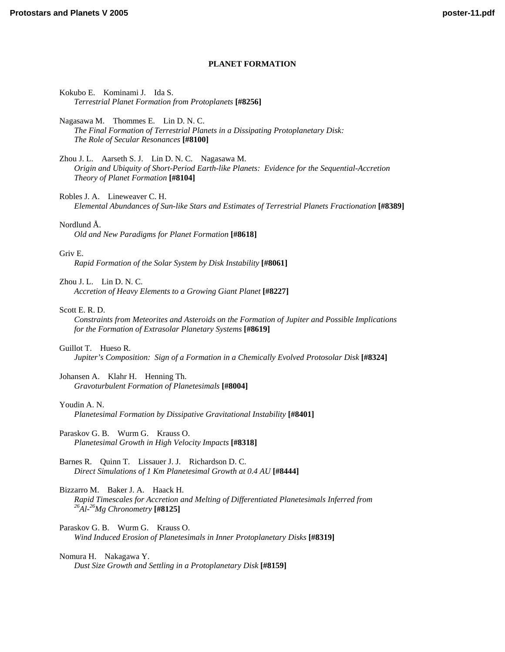# **PLANET FORMATION**

### Kokubo E. Kominami J. Ida S. *[Terrestrial Planet Formation from Protoplanets](http://www.lpi.usra.edu/meetings/ppv2005/pdf/8256.pdf)* **[#8256]**

Nagasawa M. Thommes E. Lin D. N. C. *[The Final Formation of Terrestrial Planets in a Dissipating Protoplanetary Disk:](http://www.lpi.usra.edu/meetings/ppv2005/pdf/8100.pdf)  The Role of Secular Resonances* **[#8100]**

Zhou J. L. Aarseth S. J. Lin D. N. C. Nagasawa M. *[Origin and Ubiquity of Short-Period Earth-like Planets: Evidence for the Sequential-Accretion](http://www.lpi.usra.edu/meetings/ppv2005/pdf/8104.pdf)  Theory of Planet Formation* **[#8104]**

Robles J. A. Lineweaver C. H.

*[Elemental Abundances of Sun-like Stars and Estimates of Terrestrial Planets Fractionation](http://www.lpi.usra.edu/meetings/ppv2005/pdf/8389.pdf)* **[#8389]**

#### Nordlund Å.

*[Old and New Paradigms for Planet Formation](http://www.lpi.usra.edu/meetings/ppv2005/pdf/8618.pdf)* **[#8618]**

#### Griv E.

*[Rapid Formation of the Solar System by Disk Instability](http://www.lpi.usra.edu/meetings/ppv2005/pdf/8061.pdf)* **[#8061]**

Zhou J. L. Lin D. N. C.

*[Accretion of Heavy Elements to a Growing Giant Planet](http://www.lpi.usra.edu/meetings/ppv2005/pdf/8227.pdf)* **[#8227]**

#### Scott E. R. D.

*[Constraints from Meteorites and Asteroids on the Formation of Jupiter and Possible Implications](http://www.lpi.usra.edu/meetings/ppv2005/pdf/8619.pdf)  for the Formation of Extrasolar Planetary Systems* **[#8619]**

## Guillot T. Hueso R.

*[Jupiter's Composition: Sign of a Formation in a Chemically Evolved Protosolar Disk](http://www.lpi.usra.edu/meetings/ppv2005/pdf/8324.pdf)* **[#8324]**

Johansen A. Klahr H. Henning Th. *[Gravoturbulent Formation of Planetesimals](http://www.lpi.usra.edu/meetings/ppv2005/pdf/8004.pdf)* **[#8004]**

#### Youdin A. N.

*[Planetesimal Formation by Dissipative Gravitational Instability](http://www.lpi.usra.edu/meetings/ppv2005/pdf/8401.pdf)* **[#8401]**

Paraskov G. B. Wurm G. Krauss O. *[Planetesimal Growth in High Velocity Impacts](http://www.lpi.usra.edu/meetings/ppv2005/pdf/8318.pdf)* **[#8318]**

Barnes R. Quinn T. Lissauer J. J. Richardson D. C. *[Direct Simulations of 1 Km Planetesimal Growth at 0.4 AU](http://www.lpi.usra.edu/meetings/ppv2005/pdf/8444.pdf)* **[#8444]**

Bizzarro M. Baker J. A. Haack H. *[Rapid Timescales for Accretion and Melting of Differentiated Planetesimals Inferred from 26Al-26Mg Chronometry](http://www.lpi.usra.edu/meetings/ppv2005/pdf/8125.pdf)* **[#8125]**

Paraskov G. B. Wurm G. Krauss O. *[Wind Induced Erosion of Planetesimals in Inner Protoplanetary Disks](http://www.lpi.usra.edu/meetings/ppv2005/pdf/8319.pdf)* **[#8319]**

Nomura H. Nakagawa Y. *[Dust Size Growth and Settling in a Protoplanetary Disk](http://www.lpi.usra.edu/meetings/ppv2005/pdf/8159.pdf)* **[#8159]**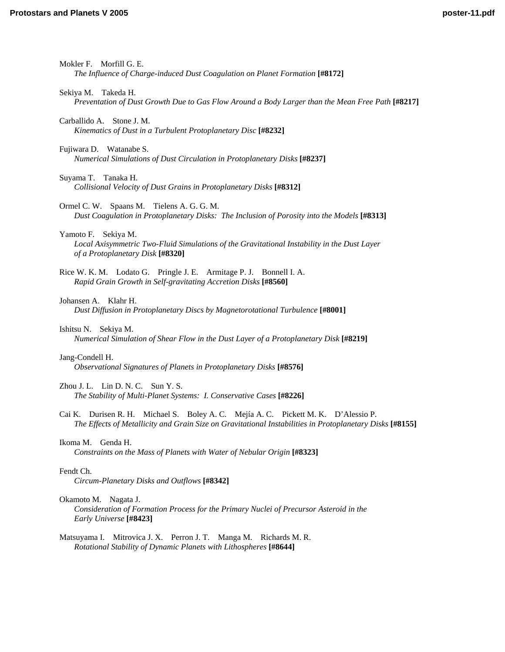| Mokler F. Morfill G. E.<br>The Influence of Charge-induced Dust Coagulation on Planet Formation [#8172]                                                                                        |
|------------------------------------------------------------------------------------------------------------------------------------------------------------------------------------------------|
| Sekiya M. Takeda H.<br>Preventation of Dust Growth Due to Gas Flow Around a Body Larger than the Mean Free Path [#8217]                                                                        |
| Stone J. M.<br>Carballido A.<br>Kinematics of Dust in a Turbulent Protoplanetary Disc [#8232]                                                                                                  |
| Fujiwara D. Watanabe S.<br>Numerical Simulations of Dust Circulation in Protoplanetary Disks [#8237]                                                                                           |
| Suyama T. Tanaka H.<br>Collisional Velocity of Dust Grains in Protoplanetary Disks [#8312]                                                                                                     |
| Ormel C. W. Spaans M. Tielens A. G. G. M.<br>Dust Coagulation in Protoplanetary Disks: The Inclusion of Porosity into the Models [#8313]                                                       |
| Yamoto F. Sekiya M.<br>Local Axisymmetric Two-Fluid Simulations of the Gravitational Instability in the Dust Layer<br>of a Protoplanetary Disk [#8320]                                         |
| Rice W. K. M. Lodato G. Pringle J. E. Armitage P. J. Bonnell I. A.<br>Rapid Grain Growth in Self-gravitating Accretion Disks [#8560]                                                           |
| Johansen A. Klahr H.<br>Dust Diffusion in Protoplanetary Discs by Magnetorotational Turbulence [#8001]                                                                                         |
| Ishitsu N.<br>Sekiya M.<br>Numerical Simulation of Shear Flow in the Dust Layer of a Protoplanetary Disk [#8219]                                                                               |
| Jang-Condell H.<br>Observational Signatures of Planets in Protoplanetary Disks [#8576]                                                                                                         |
| Zhou J. L. Lin D. N. C. Sun Y. S.<br>The Stability of Multi-Planet Systems: I. Conservative Cases [#8226]                                                                                      |
| Cai K. Durisen R. H. Michael S. Boley A. C. Mejía A. C. Pickett M. K. D'Alessio P.<br>The Effects of Metallicity and Grain Size on Gravitational Instabilities in Protoplanetary Disks [#8155] |
| Ikoma M.<br>Genda H.<br>Constraints on the Mass of Planets with Water of Nebular Origin [#8323]                                                                                                |
| Fendt Ch.<br>Circum-Planetary Disks and Outflows [#8342]                                                                                                                                       |
| Okamoto M. Nagata J.<br>Consideration of Formation Process for the Primary Nuclei of Precursor Asteroid in the<br>Early Universe [#8423]                                                       |
| Matsuyama I. Mitrovica J. X. Perron J. T. Manga M. Richards M. R.<br>Rotational Stability of Dynamic Planets with Lithospheres [#8644]                                                         |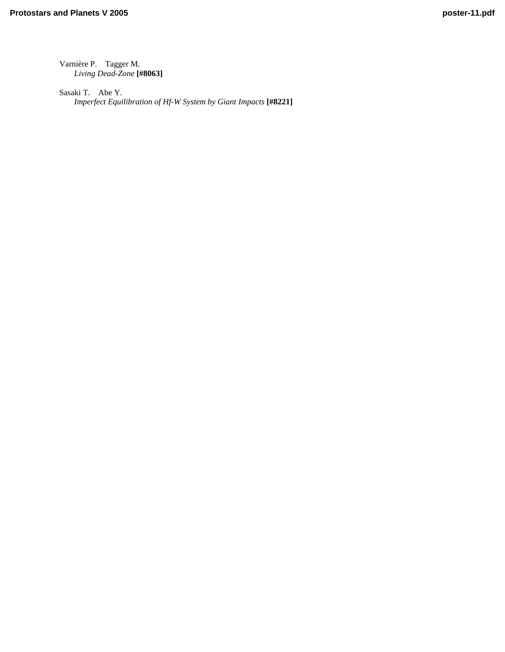[Varnière P. Tagger M.](http://www.lpi.usra.edu/meetings/ppv2005/pdf/8063.pdf)  *Living Dead-Zone* **[#8063]**

Sasaki T. Abe Y. *[Imperfect Equilibration of Hf-W System by Giant Impacts](http://www.lpi.usra.edu/meetings/ppv2005/pdf/8221.pdf)* **[#8221]**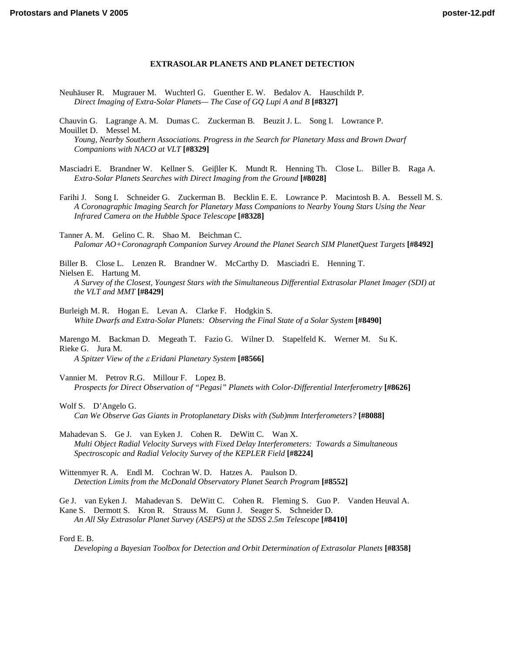# **EXTRASOLAR PLANETS AND PLANET DETECTION**

- [Neuhäuser R. Mugrauer M. Wuchterl G. Guenther E. W. Bedalov A. Hauschildt P.](http://www.lpi.usra.edu/meetings/ppv2005/pdf/8327.pdf)  *Direct Imaging of Extra-Solar Planets— The Case of GQ Lupi A and B* **[#8327]**
- Chauvin G. Lagrange A. M. Dumas C. Zuckerman B. Beuzit J. L. Song I. Lowrance P. Mouillet D. Messel M. *[Young, Nearby Southern Associations. Progress in the Search for Planetary Mass and Brown Dwarf](http://www.lpi.usra.edu/meetings/ppv2005/pdf/8329.pdf)  Companions with NACO at VLT* **[#8329]**
- Masciadri E. Brandner W. Kellner S. Geiβler K. Mundt R. Henning Th. Close L. Biller B. Raga A. *[Extra-Solar Planets Searches with Direct Imaging from the Ground](http://www.lpi.usra.edu/meetings/ppv2005/pdf/8028.pdf)* **[#8028]**
- [Farihi J. Song I. Schneider G. Zuckerman B. Becklin E. E. Lowrance P. Macintosh B. A. Bessell M. S.](http://www.lpi.usra.edu/meetings/ppv2005/pdf/8328.pdf)  *A Coronagraphic Imaging Search for Planetary Mass Companions to Nearby Young Stars Using the Near Infrared Camera on the Hubble Space Telescope* **[#8328]**
- Tanner A. M. Gelino C. R. Shao M. Beichman C. *[Palomar AO+Coronagraph Companion Survey Around the Planet Search SIM PlanetQuest Targets](http://www.lpi.usra.edu/meetings/ppv2005/pdf/8492.pdf)* **[#8492]**

Biller B. Close L. Lenzen R. Brandner W. McCarthy D. Masciadri E. Henning T. Nielsen E. Hartung M.

*[A Survey of the Closest, Youngest Stars with the Simultaneous Differential Extrasolar Planet Imager \(SDI\) at](http://www.lpi.usra.edu/meetings/ppv2005/pdf/8429.pdf)  the VLT and MMT* **[#8429]**

- Burleigh M. R. Hogan E. Levan A. Clarke F. Hodgkin S. *[White Dwarfs and Extra-Solar Planets: Observing the Final State of a Solar System](http://www.lpi.usra.edu/meetings/ppv2005/pdf/8490.pdf)* **[#8490]**
- [Marengo M. Backman D. Megeath T. Fazio G. Wilner D. Stapelfeld K. Werner M. Su K.](http://www.lpi.usra.edu/meetings/ppv2005/pdf/8566.pdf)  Rieke G. Jura M.

*A Spitzer View of the* ε *Eridani Planetary System* **[#8566]**

- Vannier M. Petrov R.G. Millour F. Lopez B. *[Prospects for Direct Observation of "Pegasi" Planets with Color-Differential Interferometry](http://www.lpi.usra.edu/meetings/ppv2005/pdf/8626.pdf)* **[#8626]**
- Wolf S. D'Angelo G. *[Can We Observe Gas Giants in Protoplanetary Disks with \(Sub\)mm Interferometers?](http://www.lpi.usra.edu/meetings/ppv2005/pdf/8088.pdf)* **[#8088]**
- Mahadevan S. Ge J. van Eyken J. Cohen R. DeWitt C. Wan X. *[Multi Object Radial Velocity Surveys with Fixed Delay Interferometers: Towards a Simultaneous](http://www.lpi.usra.edu/meetings/ppv2005/pdf/8224.pdf)  Spectroscopic and Radial Velocity Survey of the KEPLER Field* **[#8224]**
- Wittenmyer R. A. Endl M. Cochran W. D. Hatzes A. Paulson D. *[Detection Limits from the McDonald Observatory Planet Search Program](http://www.lpi.usra.edu/meetings/ppv2005/pdf/8552.pdf)* **[#8552]**

[Ge J. van Eyken J. Mahadevan S. DeWitt C. Cohen R. Fleming S. Guo P. Vanden Heuval A.](http://www.lpi.usra.edu/meetings/ppv2005/pdf/8410.pdf)  Kane S. Dermott S. Kron R. Strauss M. Gunn J. Seager S. Schneider D. *An All Sky Extrasolar Planet Survey (ASEPS) at the SDSS 2.5m Telescope* **[#8410]**

#### Ford E. B.

*[Developing a Bayesian Toolbox for Detection and Orbit Determination of Extrasolar Planets](http://www.lpi.usra.edu/meetings/ppv2005/pdf/8358.pdf)* **[#8358]**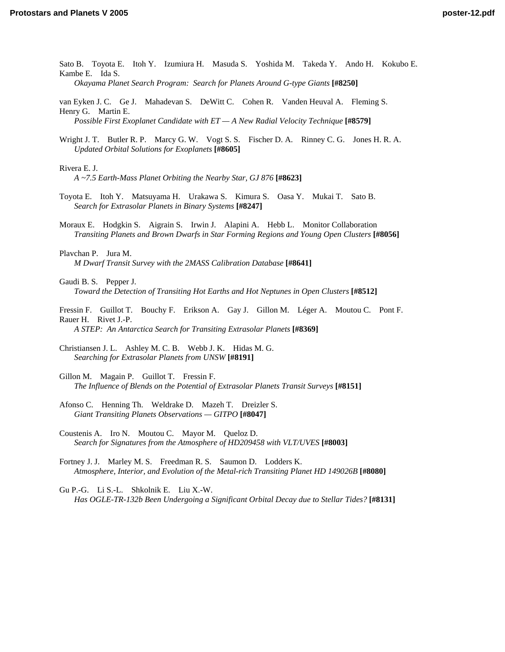[Sato B. Toyota E. Itoh Y. Izumiura H. Masuda S. Yoshida M. Takeda Y. Ando H. Kokubo E.](http://www.lpi.usra.edu/meetings/ppv2005/pdf/8250.pdf)  Kambe E. Ida S. *Okayama Planet Search Program: Search for Planets Around G-type Giants* **[#8250]**

[van Eyken J. C. Ge J. Mahadevan S. DeWitt C. Cohen R. Vanden Heuval A. Fleming S.](http://www.lpi.usra.edu/meetings/ppv2005/pdf/8579.pdf) 

Henry G. Martin E. *Possible First Exoplanet Candidate with ET — A New Radial Velocity Technique* **[#8579]**

[Wright J. T. Butler R. P. Marcy G. W. Vogt S. S. Fischer D. A. Rinney C. G. Jones H. R. A.](http://www.lpi.usra.edu/meetings/ppv2005/pdf/8605.pdf)  *Updated Orbital Solutions for Exoplanets* **[#8605]**

Rivera E. J.

*[A ~7.5 Earth-Mass Planet Orbiting the Nearby Star, GJ 876](http://www.lpi.usra.edu/meetings/ppv2005/pdf/8623.pdf)* **[#8623]**

- [Toyota E. Itoh Y. Matsuyama H. Urakawa S. Kimura S. Oasa Y. Mukai T. Sato B.](http://www.lpi.usra.edu/meetings/ppv2005/pdf/8247.pdf)  *Search for Extrasolar Planets in Binary Systems* **[#8247]**
- [Moraux E. Hodgkin S. Aigrain S. Irwin J. Alapini A. Hebb L. Monitor Collaboration](http://www.lpi.usra.edu/meetings/ppv2005/pdf/8056.pdf)  *Transiting Planets and Brown Dwarfs in Star Forming Regions and Young Open Clusters* **[#8056]**

Plavchan P. Jura M. *[M Dwarf Transit Survey with the 2MASS Calibration Database](http://www.lpi.usra.edu/meetings/ppv2005/pdf/8641.pdf)* **[#8641]**

- Gaudi B. S. Pepper J. *[Toward the Detection of Transiting Hot Earths and Hot Neptunes in Open Clusters](http://www.lpi.usra.edu/meetings/ppv2005/pdf/8512.pdf)* **[#8512]**
- [Fressin F. Guillot T. Bouchy F. Erikson A. Gay J. Gillon M. Léger A. Moutou C. Pont F.](http://www.lpi.usra.edu/meetings/ppv2005/pdf/8369.pdf)  Rauer H. Rivet J.-P. *A STEP: An Antarctica Search for Transiting Extrasolar Planets* **[#8369]**

[Christiansen J. L. Ashley M. C. B. Webb J. K. Hidas M. G.](http://www.lpi.usra.edu/meetings/ppv2005/pdf/8191.pdf)  *Searching for Extrasolar Planets from UNSW* **[#8191]**

- Gillon M. Magain P. Guillot T. Fressin F. *[The Influence of Blends on the Potential of Extrasolar Planets Transit Surveys](http://www.lpi.usra.edu/meetings/ppv2005/pdf/8151.pdf)* **[#8151]**
- [Afonso C. Henning Th. Weldrake D. Mazeh T. Dreizler S.](http://www.lpi.usra.edu/meetings/ppv2005/pdf/8047.pdf)  *Giant Transiting Planets Observations — GITPO* **[#8047]**
- Coustenis A. Iro N. Moutou C. Mayor M. Queloz D. *[Search for Signatures from the Atmosphere of HD209458 with VLT/UVES](http://www.lpi.usra.edu/meetings/ppv2005/pdf/8003.pdf)* **[#8003]**
- Fortney J. J. Marley M. S. Freedman R. S. Saumon D. Lodders K. *[Atmosphere, Interior, and Evolution of the Metal-rich Transiting Planet HD 149026B](http://www.lpi.usra.edu/meetings/ppv2005/pdf/8080.pdf)* **[#8080]**

Gu P.-G. Li S.-L. Shkolnik E. Liu X.-W. *[Has OGLE-TR-132b Been Undergoing a Significant Orbital Decay due to Stellar Tides?](http://www.lpi.usra.edu/meetings/ppv2005/pdf/8131.pdf)* **[#8131]**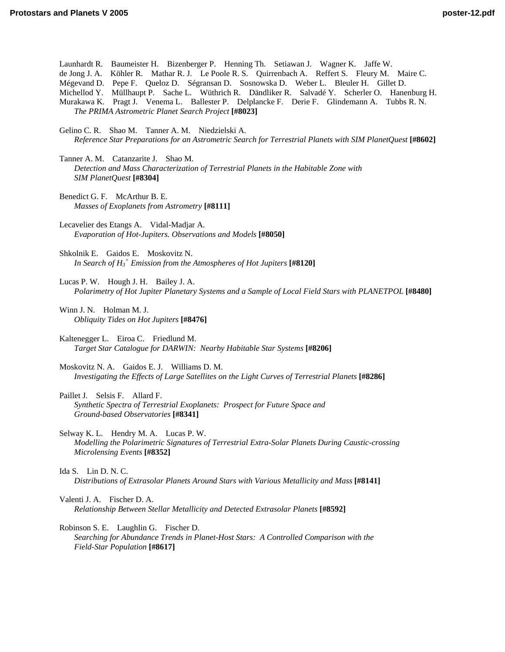| Launhardt R. Baumeister H. Bizenberger P. Henning Th. Setiawan J. Wagner K. Jaffe W.<br>de Jong J. A. Köhler R. Mathar R. J. Le Poole R. S. Quirrenbach A. Reffert S. Fleury M. Maire C.<br>Mégevand D. Pepe F. Queloz D. Ségransan D. Sosnowska D. Weber L. Bleuler H. Gillet D.<br>Michellod Y. Müllhaupt P. Sache L. Wüthrich R. Dändliker R. Salvadé Y. Scherler O. Hanenburg H.<br>Murakawa K. Pragt J. Venema L. Ballester P. Delplancke F. Derie F. Glindemann A. Tubbs R. N.<br>The PRIMA Astrometric Planet Search Project [#8023] |
|---------------------------------------------------------------------------------------------------------------------------------------------------------------------------------------------------------------------------------------------------------------------------------------------------------------------------------------------------------------------------------------------------------------------------------------------------------------------------------------------------------------------------------------------|
| Gelino C. R. Shao M. Tanner A. M. Niedzielski A.<br>Reference Star Preparations for an Astrometric Search for Terrestrial Planets with SIM PlanetQuest [#8602]                                                                                                                                                                                                                                                                                                                                                                              |
| Tanner A. M. Catanzarite J. Shao M.<br>Detection and Mass Characterization of Terrestrial Planets in the Habitable Zone with<br>SIM PlanetQuest [#8304]                                                                                                                                                                                                                                                                                                                                                                                     |
| Benedict G. F. McArthur B. E.<br>Masses of Exoplanets from Astrometry [#8111]                                                                                                                                                                                                                                                                                                                                                                                                                                                               |
| Lecavelier des Etangs A. Vidal-Madjar A.<br>Evaporation of Hot-Jupiters. Observations and Models [#8050]                                                                                                                                                                                                                                                                                                                                                                                                                                    |
| Shkolnik E. Gaidos E. Moskovitz N.<br>In Search of $H_3^+$ Emission from the Atmospheres of Hot Jupiters [#8120]                                                                                                                                                                                                                                                                                                                                                                                                                            |
| Lucas P. W. Hough J. H. Bailey J. A.<br>Polarimetry of Hot Jupiter Planetary Systems and a Sample of Local Field Stars with PLANETPOL [#8480]                                                                                                                                                                                                                                                                                                                                                                                               |
| Winn J. N. Holman M. J.<br>Obliquity Tides on Hot Jupiters [#8476]                                                                                                                                                                                                                                                                                                                                                                                                                                                                          |
| Kaltenegger L. Eiroa C. Friedlund M.<br>Target Star Catalogue for DARWIN: Nearby Habitable Star Systems [#8206]                                                                                                                                                                                                                                                                                                                                                                                                                             |
| Moskovitz N. A. Gaidos E. J. Williams D. M.<br>Investigating the Effects of Large Satellites on the Light Curves of Terrestrial Planets [#8286]                                                                                                                                                                                                                                                                                                                                                                                             |
| Paillet J. Selsis F. Allard F.<br>Synthetic Spectra of Terrestrial Exoplanets: Prospect for Future Space and<br>Ground-based Observatories [#8341]                                                                                                                                                                                                                                                                                                                                                                                          |

Selway K. L. Hendry M. A. Lucas P. W. *[Modelling the Polarimetric Signatures of Terrestrial Extra-Solar Planets During Caustic-crossing](http://www.lpi.usra.edu/meetings/ppv2005/pdf/8352.pdf) Microlensing Events* **[#8352]**

Ida S. Lin D. N. C. *[Distributions of Extrasolar Planets Around Stars with Various Metallicity and Mass](http://www.lpi.usra.edu/meetings/ppv2005/pdf/8141.pdf)* **[#8141]**

Valenti J. A. Fischer D. A. *[Relationship Between Stellar Metallicity and Detected Extrasolar Planets](http://www.lpi.usra.edu/meetings/ppv2005/pdf/8592.pdf)* **[#8592]**

Robinson S. E. Laughlin G. Fischer D. *[Searching for Abundance Trends in Planet-Host Stars: A Controlled Comparison with the](http://www.lpi.usra.edu/meetings/ppv2005/pdf/8617.pdf)  Field-Star Population* **[#8617]**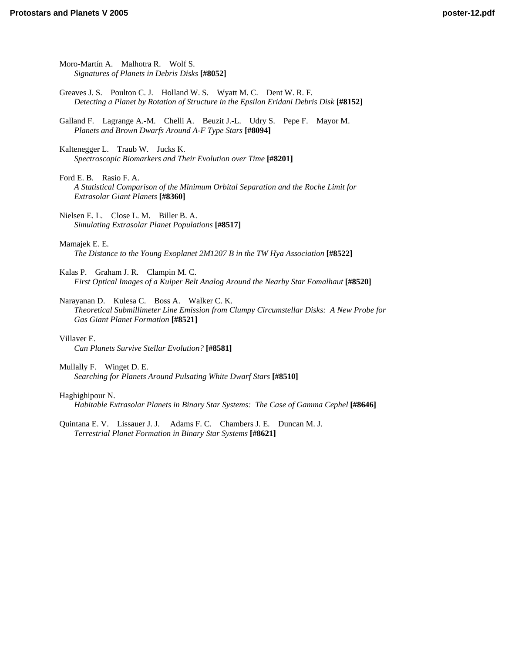[Moro-Martín A. Malhotra R. Wolf S.](http://www.lpi.usra.edu/meetings/ppv2005/pdf/8052.pdf)  *Signatures of Planets in Debris Disks* **[#8052]**

- Greaves J. S. Poulton C. J. Holland W. S. Wyatt M. C. Dent W. R. F. *[Detecting a Planet by Rotation of Structure in the Epsilon Eridani Debris Disk](http://www.lpi.usra.edu/meetings/ppv2005/pdf/8152.pdf)* **[#8152]**
- [Galland F. Lagrange A.-M. Chelli A. Beuzit J.-L. Udry S. Pepe F. Mayor M.](http://www.lpi.usra.edu/meetings/ppv2005/pdf/8094.pdf)  *Planets and Brown Dwarfs Around A-F Type Stars* **[#8094]**
- Kaltenegger L. Traub W. Jucks K. *[Spectroscopic Biomarkers and Their Evolution over Time](http://www.lpi.usra.edu/meetings/ppv2005/pdf/8201.pdf)* **[#8201]**

Ford E. B. Rasio F. A. *[A Statistical Comparison of the Minimum Orbital Separation and the Roche Limit for](http://www.lpi.usra.edu/meetings/ppv2005/pdf/8360.pdf)  Extrasolar Giant Planets* **[#8360]**

[Nielsen E. L. Close L. M. Biller B. A.](http://www.lpi.usra.edu/meetings/ppv2005/pdf/8517.pdf)  *Simulating Extrasolar Planet Populations* **[#8517]**

Mamajek E. E.

*[The Distance to the Young Exoplanet 2M1207 B in the TW Hya Association](http://www.lpi.usra.edu/meetings/ppv2005/pdf/8522.pdf)* **[#8522]**

Kalas P. Graham J. R. Clampin M. C. *[First Optical Images of a Kuiper Belt Analog Around the Nearby Star Fomalhaut](http://www.lpi.usra.edu/meetings/ppv2005/pdf/8520.pdf)* **[#8520]**

Narayanan D. Kulesa C. Boss A. Walker C. K. *[Theoretical Submillimeter Line Emission from Clumpy Circumstellar Disks: A New Probe for](http://www.lpi.usra.edu/meetings/ppv2005/pdf/8521.pdf)  Gas Giant Planet Formation* **[#8521]**

#### Villaver E.

*[Can Planets Survive Stellar Evolution?](http://www.lpi.usra.edu/meetings/ppv2005/pdf/8581.pdf)* **[#8581]**

Mullally F. Winget D. E. *[Searching for Planets Around Pulsating White Dwarf Stars](http://www.lpi.usra.edu/meetings/ppv2005/pdf/8510.pdf)* **[#8510]**

#### Haghighipour N.

*[Habitable Extrasolar Planets in Binary Star Systems: The Case of Gamma Cephel](http://www.lpi.usra.edu/meetings/ppv2005/pdf/8646.pdf)* **[#8646]**

[Quintana E. V. Lissauer J. J. Adams F. C. Chambers J. E. Duncan M. J.](http://www.lpi.usra.edu/meetings/ppv2005/pdf/8621.pdf)  *Terrestrial Planet Formation in Binary Star Systems* **[#8621]**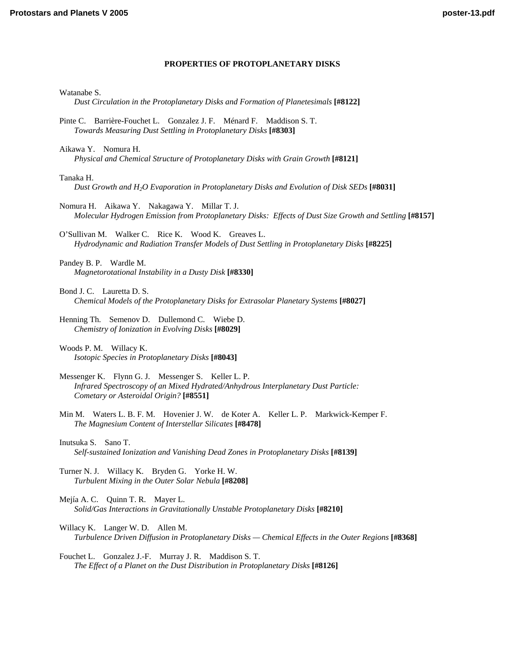## **PROPERTIES OF PROTOPLANETARY DISKS**

Watanabe S.

```
Dust Circulation in the Protoplanetary Disks and Formation of Planetesimals [#8122]
```
- [Pinte C. Barrière-Fouchet L. Gonzalez J. F. Ménard F. Maddison S. T.](http://www.lpi.usra.edu/meetings/ppv2005/pdf/8303.pdf)  *Towards Measuring Dust Settling in Protoplanetary Disks* **[#8303]**
- Aikawa Y. Nomura H. *Physical and Chemical Structure of Protoplanetary Disks with Grain Growth* **[#8121]**

#### Tanaka H.

*[Dust Growth and H2O Evaporation in Protoplanetary Disks and Evolution of Disk SEDs](http://www.lpi.usra.edu/meetings/ppv2005/pdf/8031.pdf)* **[#8031]**

Nomura H. Aikawa Y. Nakagawa Y. Millar T. J. *[Molecular Hydrogen Emission from Protoplanetary Disks: Effects of Dust Size Growth and Settling](http://www.lpi.usra.edu/meetings/ppv2005/pdf/8157.pdf)* **[#8157]**

O'Sullivan M. Walker C. Rice K. Wood K. Greaves L. *[Hydrodynamic and Radiation Transfer Models of Dust Settling in Protoplanetary Disks](http://www.lpi.usra.edu/meetings/ppv2005/pdf/8225.pdf)* **[#8225]**

Pandey B. P. Wardle M. *[Magnetorotational Instability in a Dusty Disk](http://www.lpi.usra.edu/meetings/ppv2005/pdf/8330.pdf)* **[#8330]**

[Henning Th. Semenov D. Dullemond C. Wiebe D.](http://www.lpi.usra.edu/meetings/ppv2005/pdf/8029.pdf)  *Chemistry of Ionization in Evolving Disks* **[#8029]**

Woods P. M. Willacy K. *[Isotopic Species in Protoplanetary Disks](http://www.lpi.usra.edu/meetings/ppv2005/pdf/8043.pdf)* **[#8043]**

- Messenger K. Flynn G. J. Messenger S. Keller L. P. *[Infrared Spectroscopy of an Mixed Hydrated/Anhydrous Interplanetary Dust Particle:](http://www.lpi.usra.edu/meetings/ppv2005/pdf/8551.pdf)  Cometary or Asteroidal Origin?* **[#8551]**
- [Min M. Waters L. B. F. M. Hovenier J. W. de Koter A. Keller L. P. Markwick-Kemper F.](http://www.lpi.usra.edu/meetings/ppv2005/pdf/8478.pdf)  *The Magnesium Content of Interstellar Silicates* **[#8478]**

[Turner N. J. Willacy K. Bryden G. Yorke H. W.](http://www.lpi.usra.edu/meetings/ppv2005/pdf/8208.pdf)  *Turbulent Mixing in the Outer Solar Nebula* **[#8208]**

Mejía A. C. Quinn T. R. Mayer L. *[Solid/Gas Interactions in Gravitationally Unstable Protoplanetary Disks](http://www.lpi.usra.edu/meetings/ppv2005/pdf/8210.pdf)* **[#8210]**

Willacy K. Langer W. D. Allen M. *[Turbulence Driven Diffusion in Protoplanetary Disks — Chemical Effects in the Outer Regions](http://www.lpi.usra.edu/meetings/ppv2005/pdf/8368.pdf)* **[#8368]**

Fouchet L. Gonzalez J.-F. Murray J. R. Maddison S. T. *[The Effect of a Planet on the Dust Distribution in Protoplanetary Disks](http://www.lpi.usra.edu/meetings/ppv2005/pdf/8126.pdf)* **[#8126]**

Bond J. C. Lauretta D. S. *[Chemical Models of the Protoplanetary Disks for Extrasolar Planetary Systems](http://www.lpi.usra.edu/meetings/ppv2005/pdf/8027.pdf)* **[#8027]**

Inutsuka S. Sano T. *[Self-sustained Ionization and Vanishing Dead Zones in Protoplanetary Disks](http://www.lpi.usra.edu/meetings/ppv2005/pdf/8139.pdf)* **[#8139]**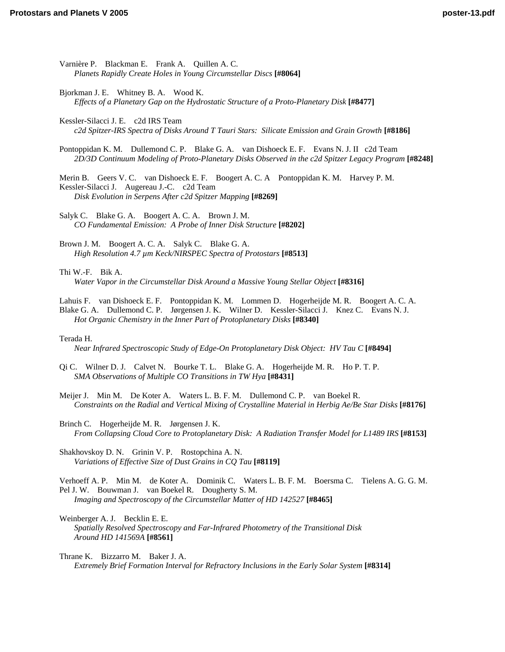Varnière P. Blackman E. Frank A. Quillen A. C. *[Planets Rapidly Create Holes in Young Circumstellar Discs](http://www.lpi.usra.edu/meetings/ppv2005/pdf/8064.pdf)* **[#8064]** Bjorkman J. E. Whitney B. A. Wood K. *[Effects of a Planetary Gap on the Hydrostatic Structure of a Proto-Planetary Disk](http://www.lpi.usra.edu/meetings/ppv2005/pdf/8477.pdf)* **[#8477]** Kessler-Silacci J. E. c2d IRS Team *[c2d Spitzer-IRS Spectra of Disks Around T Tauri Stars: Silicate Emission and Grain Growth](http://www.lpi.usra.edu/meetings/ppv2005/pdf/8186.pdf)* **[#8186]** [Pontoppidan K. M. Dullemond C. P. Blake G. A. van Dishoeck E. F. Evans N. J. II c2d Team](http://www.lpi.usra.edu/meetings/ppv2005/pdf/8248.pdf)  *2D/3D Continuum Modeling of Proto-Planetary Disks Observed in the c2d Spitzer Legacy Program* **[#8248]** [Merin B. Geers V. C. van Dishoeck E. F. Boogert A. C. A Pontoppidan K. M. Harvey P. M.](http://www.lpi.usra.edu/meetings/ppv2005/pdf/8269.pdf)  Kessler-Silacci J. Augereau J.-C. c2d Team *Disk Evolution in Serpens After c2d Spitzer Mapping* **[#8269]** Salyk C. Blake G. A. Boogert A. C. A. Brown J. M. *[CO Fundamental Emission: A Probe of Inner Disk Structure](http://www.lpi.usra.edu/meetings/ppv2005/pdf/8202.pdf)* **[#8202]** Brown J. M. Boogert A. C. A. Salyk C. Blake G. A. *[High Resolution 4.7 µm Keck/NIRSPEC Spectra of Protostars](http://www.lpi.usra.edu/meetings/ppv2005/pdf/8513.pdf)* **[#8513]** Thi W.-F. Bik A. *[Water Vapor in the Circumstellar Disk Around a Massive Young Stellar Object](http://www.lpi.usra.edu/meetings/ppv2005/pdf/8316.pdf)* **[#8316]** [Lahuis F. van Dishoeck E. F. Pontoppidan K. M. Lommen D. Hogerheijde M. R. Boogert A. C. A.](http://www.lpi.usra.edu/meetings/ppv2005/pdf/8340.pdf)  Blake G. A. Dullemond C. P. Jørgensen J. K. Wilner D. Kessler-Silacci J. Knez C. Evans N. J. *Hot Organic Chemistry in the Inner Part of Protoplanetary Disks* **[#8340]** Terada H. *[Near Infrared Spectroscopic Study of Edge-On Protoplanetary Disk Object: HV Tau C](http://www.lpi.usra.edu/meetings/ppv2005/pdf/8494.pdf)* **[#8494]** [Qi C. Wilner D. J. Calvet N. Bourke T. L. Blake G. A. Hogerheijde M. R. Ho P. T. P.](http://www.lpi.usra.edu/meetings/ppv2005/pdf/8431.pdf)  *SMA Observations of Multiple CO Transitions in TW Hya* **[#8431]** Meijer J. Min M. De Koter A. Waters L. B. F. M. Dullemond C. P. van Boekel R. *[Constraints on the Radial and Vertical Mixing of Crystalline Material in Herbig Ae/Be Star Disks](http://www.lpi.usra.edu/meetings/ppv2005/pdf/8176.pdf)* **[#8176]**

Brinch C. Hogerheijde M. R. Jørgensen J. K. *[From Collapsing Cloud Core to Protoplanetary Disk: A Radiation Transfer Model for L1489 IRS](http://www.lpi.usra.edu/meetings/ppv2005/pdf/8153.pdf)* **[#8153]**

[Shakhovskoy D. N. Grinin V. P. Rostopchina A. N.](http://www.lpi.usra.edu/meetings/ppv2005/pdf/8119.pdf)  *Variations of Effective Size of Dust Grains in CQ Tau* **[#8119]**

[Verhoeff A. P. Min M. de Koter A. Dominik C. Waters L. B. F. M. Boersma C. Tielens A. G. G. M.](http://www.lpi.usra.edu/meetings/ppv2005/pdf/8465.pdf)  Pel J. W. Bouwman J. van Boekel R. Dougherty S. M. *Imaging and Spectroscopy of the Circumstellar Matter of HD 142527* **[#8465]**

Weinberger A. J. Becklin E. E. *[Spatially Resolved Spectroscopy and Far-Infrared Photometry of the Transitional Disk](http://www.lpi.usra.edu/meetings/ppv2005/pdf/8561.pdf)  Around HD 141569A* **[#8561]**

Thrane K. Bizzarro M. Baker J. A. *[Extremely Brief Formation Interval for Refractory Inclusions in the Early Solar System](http://www.lpi.usra.edu/meetings/ppv2005/pdf/8314.pdf)* **[#8314]**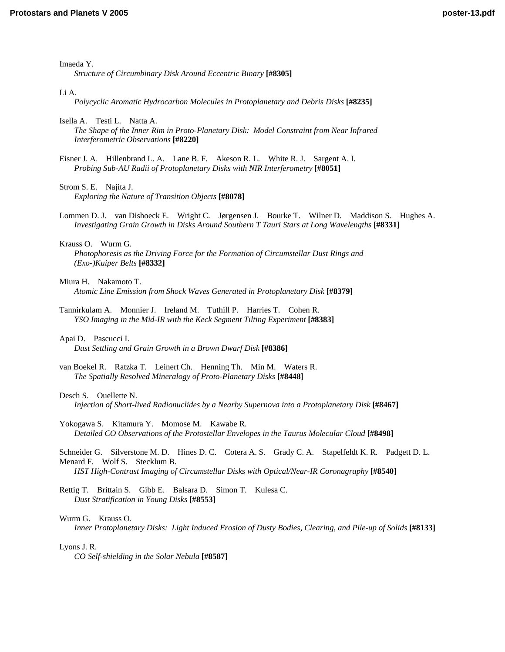Imaeda Y.

*[Structure of Circumbinary Disk Around Eccentric Binary](http://www.lpi.usra.edu/meetings/ppv2005/pdf/8305.pdf)* **[#8305]**

#### Li A.

*[Polycyclic Aromatic Hydrocarbon Molecules in Protoplanetary and Debris Disks](http://www.lpi.usra.edu/meetings/ppv2005/pdf/8235.pdf)* **[#8235]**

Isella A. Testi L. Natta A.

*[The Shape of the Inner Rim in Proto-Planetary Disk: Model Constraint from Near Infrared](http://www.lpi.usra.edu/meetings/ppv2005/pdf/8220.pdf)  Interferometric Observations* **[#8220]**

[Eisner J. A. Hillenbrand L. A. Lane B. F. Akeson R. L. White R. J. Sargent A. I.](http://www.lpi.usra.edu/meetings/ppv2005/pdf/8051.pdf)  *Probing Sub-AU Radii of Protoplanetary Disks with NIR Interferometry* **[#8051]**

Strom S. E. Najita J. *[Exploring the Nature of Transition Objects](http://www.lpi.usra.edu/meetings/ppv2005/pdf/8078.pdf)* **[#8078]**

[Lommen D. J. van Dishoeck E. Wright C. Jørgensen J. Bourke T. Wilner D. Maddison S. Hughes A.](http://www.lpi.usra.edu/meetings/ppv2005/pdf/8331.pdf)  *Investigating Grain Growth in Disks Around Southern T Tauri Stars at Long Wavelengths* **[#8331]**

Krauss O. Wurm G. *[Photophoresis as the Driving Force for the Formation of Circumstellar Dust Rings and](http://www.lpi.usra.edu/meetings/ppv2005/pdf/8332.pdf)  (Exo-)Kuiper Belts* **[#8332]**

- Miura H. Nakamoto T. *[Atomic Line Emission from Shock Waves Generated in Protoplanetary Disk](http://www.lpi.usra.edu/meetings/ppv2005/pdf/8379.pdf)* **[#8379]**
- [Tannirkulam A. Monnier J. Ireland M. Tuthill P. Harries T. Cohen R.](http://www.lpi.usra.edu/meetings/ppv2005/pdf/8383.pdf)  *YSO Imaging in the Mid-IR with the Keck Segment Tilting Experiment* **[#8383]**
- Apai D. Pascucci I. *[Dust Settling and Grain Growth in a Brown Dwarf Disk](http://www.lpi.usra.edu/meetings/ppv2005/pdf/8386.pdf)* **[#8386]**
- [van Boekel R. Ratzka T. Leinert Ch. Henning Th. Min M. Waters R.](http://www.lpi.usra.edu/meetings/ppv2005/pdf/8448.pdf)  *The Spatially Resolved Mineralogy of Proto-Planetary Disks* **[#8448]**

# Desch S. Ouellette N.

*[Injection of Short-lived Radionuclides by a Nearby Supernova into a Protoplanetary Disk](http://www.lpi.usra.edu/meetings/ppv2005/pdf/8467.pdf)* **[#8467]**

Yokogawa S. Kitamura Y. Momose M. Kawabe R. *[Detailed CO Observations of the Protostellar Envelopes in the Taurus Molecular Cloud](http://www.lpi.usra.edu/meetings/ppv2005/pdf/8498.pdf)* **[#8498]**

[Schneider G. Silverstone M. D. Hines D. C. Cotera A. S. Grady C. A. Stapelfeldt K. R. Padgett D. L.](http://www.lpi.usra.edu/meetings/ppv2005/pdf/8540.pdf)  Menard F. Wolf S. Stecklum B.

*HST High-Contrast Imaging of Circumstellar Disks with Optical/Near-IR Coronagraphy* **[#8540]**

[Rettig T. Brittain S. Gibb E. Balsara D. Simon T. Kulesa C.](http://www.lpi.usra.edu/meetings/ppv2005/pdf/8553.pdf)  *Dust Stratification in Young Disks* **[#8553]**

Wurm G. Krauss O.

*[Inner Protoplanetary Disks: Light Induced Erosion of Dusty Bodies, Clearing, and Pile-up of Solids](http://www.lpi.usra.edu/meetings/ppv2005/pdf/8133.pdf)* **[#8133]**

Lyons J. R.

*[CO Self-shielding in the Solar Nebula](http://www.lpi.usra.edu/meetings/ppv2005/pdf/8587.pdf)* **[#8587]**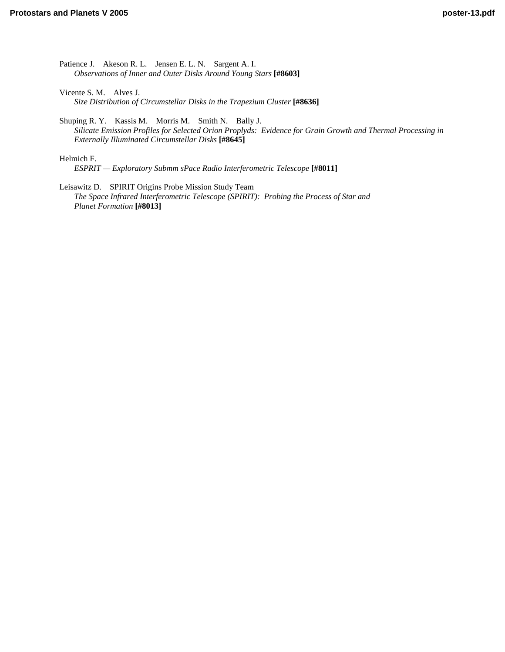[Patience J. Akeson R. L. Jensen E. L. N. Sargent A. I.](http://www.lpi.usra.edu/meetings/ppv2005/pdf/8603.pdf)  *Observations of Inner and Outer Disks Around Young Stars* **[#8603]**

Vicente S. M. Alves J. *[Size Distribution of Circumstellar Disks in the Trapezium Cluster](http://www.lpi.usra.edu/meetings/ppv2005/pdf/8636.pdf)* **[#8636]**

Shuping R. Y. Kassis M. Morris M. Smith N. Bally J. *[Silicate Emission Profiles for Selected Orion Proplyds: Evidence for Grain Growth and Thermal Processing in](http://www.lpi.usra.edu/meetings/ppv2005/pdf/8645.pdf)  Externally Illuminated Circumstellar Disks* **[#8645]**

Helmich F.

*[ESPRIT — Exploratory Submm sPace Radio Interferometric Telescope](http://www.lpi.usra.edu/meetings/ppv2005/pdf/8011.pdf)* **[#8011]**

Leisawitz D. SPIRIT Origins Probe Mission Study Team *[The Space Infrared Interferometric Telescope \(SPIRIT\): Probing the Process of Star and](http://www.lpi.usra.edu/meetings/ppv2005/pdf/8013.pdf)  Planet Formation* **[#8013]**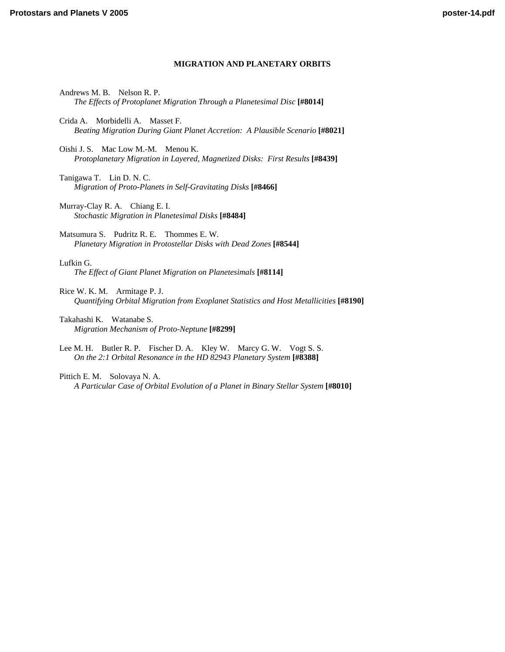# **MIGRATION AND PLANETARY ORBITS**

- Andrews M. B. Nelson R. P. *[The Effects of Protoplanet Migration Through a Planetesimal Disc](http://www.lpi.usra.edu/meetings/ppv2005/pdf/8014.pdf)* **[#8014]**
- Crida A. Morbidelli A. Masset F. *[Beating Migration During Giant Planet Accretion: A Plausible Scenario](http://www.lpi.usra.edu/meetings/ppv2005/pdf/8021.pdf)* **[#8021]**
- Oishi J. S. Mac Low M.-M. Menou K. *[Protoplanetary Migration in Layered, Magnetized Disks: First Results](http://www.lpi.usra.edu/meetings/ppv2005/pdf/8439.pdf)* **[#8439]**
- Tanigawa T. Lin D. N. C. *[Migration of Proto-Planets in Self-Gravitating Disks](http://www.lpi.usra.edu/meetings/ppv2005/pdf/8466.pdf)* **[#8466]**

Murray-Clay R. A. Chiang E. I. *[Stochastic Migration in Planetesimal Disks](http://www.lpi.usra.edu/meetings/ppv2005/pdf/8484.pdf)* **[#8484]**

Matsumura S. Pudritz R. E. Thommes E. W. *[Planetary Migration in Protostellar Disks with Dead Zones](http://www.lpi.usra.edu/meetings/ppv2005/pdf/8544.pdf)* **[#8544]**

Lufkin G. *[The Effect of Giant Planet Migration on Planetesimals](http://www.lpi.usra.edu/meetings/ppv2005/pdf/8114.pdf)* **[#8114]**

Rice W. K. M. Armitage P. J. *[Quantifying Orbital Migration from Exoplanet Statistics and Host Metallicities](http://www.lpi.usra.edu/meetings/ppv2005/pdf/8190.pdf)* **[#8190]**

Takahashi K. Watanabe S. *[Migration Mechanism of Proto-Neptune](http://www.lpi.usra.edu/meetings/ppv2005/pdf/8299.pdf)* **[#8299]**

[Lee M. H. Butler R. P. Fischer D. A. Kley W. Marcy G. W. Vogt S. S.](http://www.lpi.usra.edu/meetings/ppv2005/pdf/8388.pdf)  *On the 2:1 Orbital Resonance in the HD 82943 Planetary System* **[#8388]**

Pittich E. M. Solovaya N. A. *[A Particular Case of Orbital Evolution of a Planet in Binary Stellar System](http://www.lpi.usra.edu/meetings/ppv2005/pdf/8010.pdf)* **[#8010]**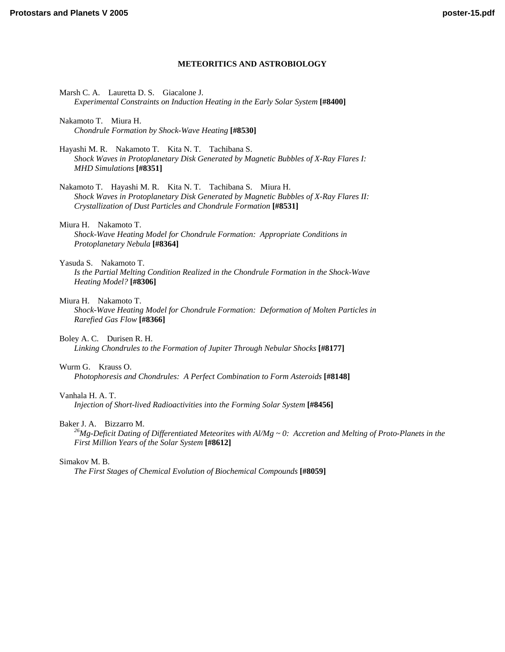# **METEORITICS AND ASTROBIOLOGY**

- Marsh C. A. Lauretta D. S. Giacalone J. *[Experimental Constraints on Induction Heating in the Early Solar System](http://www.lpi.usra.edu/meetings/ppv2005/pdf/8400.pdf)* **[#8400]**
- Nakamoto T. Miura H. *[Chondrule Formation by Shock-Wave Heating](http://www.lpi.usra.edu/meetings/ppv2005/pdf/8530.pdf)* **[#8530]**
- Hayashi M. R. Nakamoto T. Kita N. T. Tachibana S. *[Shock Waves in Protoplanetary Disk Generated by Magnetic Bubbles of X-Ray Flares I:](http://www.lpi.usra.edu/meetings/ppv2005/pdf/8351.pdf)  MHD Simulations* **[#8351]**
- Nakamoto T. Hayashi M. R. Kita N. T. Tachibana S. Miura H. *[Shock Waves in Protoplanetary Disk Generated by Magnetic Bubbles of X-Ray Flares II:](http://www.lpi.usra.edu/meetings/ppv2005/pdf/8531.pdf)  Crystallization of Dust Particles and Chondrule Formation* **[#8531]**
- Miura H. Nakamoto T. *[Shock-Wave Heating Model for Chondrule Formation: Appropriate Conditions in](http://www.lpi.usra.edu/meetings/ppv2005/pdf/8364.pdf)  Protoplanetary Nebula* **[#8364]**

# Yasuda S. Nakamoto T.

*[Is the Partial Melting Condition Realized in the Chondrule Formation in the Shock-Wave](http://www.lpi.usra.edu/meetings/ppv2005/pdf/8306.pdf)  Heating Model?* **[#8306]**

# Miura H. Nakamoto T.

*[Shock-Wave Heating Model for Chondrule Formation: Deformation of Molten Particles in](http://www.lpi.usra.edu/meetings/ppv2005/pdf/8366.pdf)  Rarefied Gas Flow* **[#8366]**

# Boley A. C. Durisen R. H.

*[Linking Chondrules to the Formation of Jupiter Through Nebular Shocks](http://www.lpi.usra.edu/meetings/ppv2005/pdf/8177.pdf)* **[#8177]**

# Wurm G. Krauss O.

*[Photophoresis and Chondrules: A Perfect Combination to Form Asteroids](http://www.lpi.usra.edu/meetings/ppv2005/pdf/8148.pdf)* **[#8148]**

# Vanhala H. A. T.

*[Injection of Short-lived Radioactivities into the Forming Solar System](http://www.lpi.usra.edu/meetings/ppv2005/pdf/8456.pdf)* **[#8456]**

Baker J. A. Bizzarro M.<br><sup>26</sup>Mg-Deficit Dating of Differentiated Meteorites with Al/Mg ~ 0: Accretion and Melting of Proto-Planets in the *First Million Years of the Solar System* **[#8612]**

# Simakov M. B.

*[The First Stages of Chemical Evolution of Biochemical Compounds](http://www.lpi.usra.edu/meetings/ppv2005/pdf/8059.pdf)* **[#8059]**